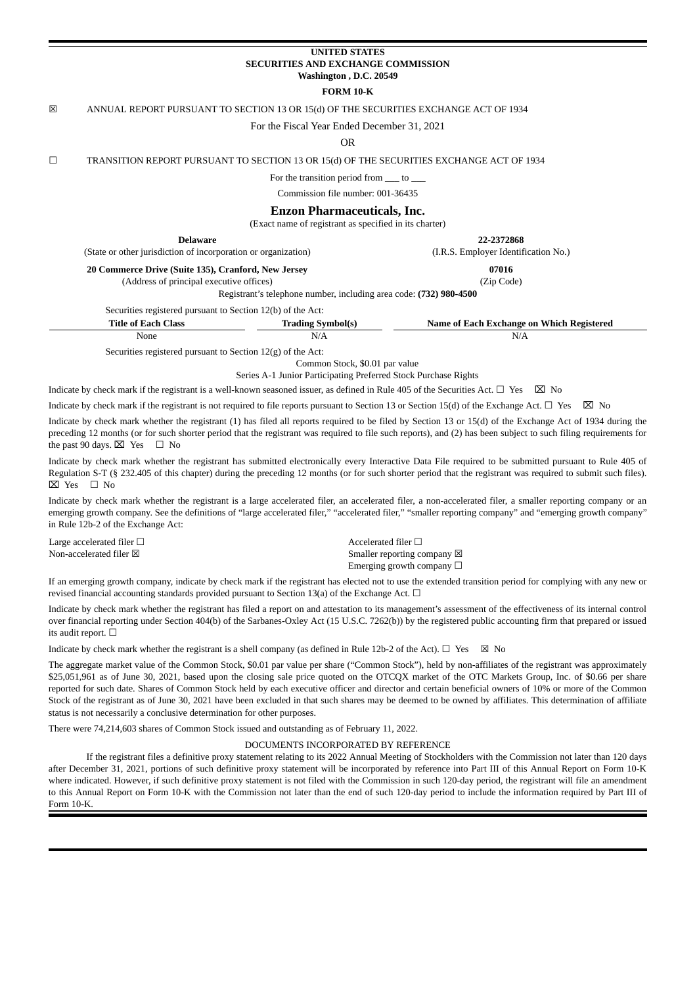## **UNITED STATES SECURITIES AND EXCHANGE COMMISSION Washington , D.C. 20549**

#### **FORM 10-K**

## ☒ ANNUAL REPORT PURSUANT TO SECTION 13 OR 15(d) OF THE SECURITIES EXCHANGE ACT OF 1934

#### For the Fiscal Year Ended December 31, 2021

OR

☐ TRANSITION REPORT PURSUANT TO SECTION 13 OR 15(d) OF THE SECURITIES EXCHANGE ACT OF 1934

For the transition period from  $\_\_$  to  $\_$ 

Commission file number: 001-36435

## **Enzon Pharmaceuticals, Inc.**

(Exact name of registrant as specified in its charter)

| <b>Delaware</b>                                                | 22-2372868                           |
|----------------------------------------------------------------|--------------------------------------|
| (State or other jurisdiction of incorporation or organization) | (I.R.S. Employer Identification No.) |
| 20 Commerce Drive (Suite 135), Cranford, New Jersey            | 07016                                |

(Address of principal executive offices) (Zip Code)

Registrant's telephone number, including area code: **(732) 980-4500**

| Securities registered pursuant to Section 12(b) of the Act: |                          |                   |
|-------------------------------------------------------------|--------------------------|-------------------|
| Title of Each Class                                         | <b>Trading Symbol(s)</b> | Name of Each Exch |

| <b>Title of Each Class</b> | <b>Trading Symbol(s)</b> | Name of Each Exchange on Which Registered |
|----------------------------|--------------------------|-------------------------------------------|
| None                       | N/A                      | N/A                                       |

Securities registered pursuant to Section 12(g) of the Act:

Common Stock, \$0.01 par value

Series A-1 Junior Participating Preferred Stock Purchase Rights

Indicate by check mark if the registrant is a well-known seasoned issuer, as defined in Rule 405 of the Securities Act.  $\Box$  Yes  $\boxtimes$  No

Indicate by check mark if the registrant is not required to file reports pursuant to Section 13 or Section 15(d) of the Exchange Act.  $\square$  Yes  $\square$  No

Indicate by check mark whether the registrant (1) has filed all reports required to be filed by Section 13 or 15(d) of the Exchange Act of 1934 during the preceding 12 months (or for such shorter period that the registrant was required to file such reports), and (2) has been subject to such filing requirements for the past 90 days.  $\boxtimes$  Yes  $\Box$  No

Indicate by check mark whether the registrant has submitted electronically every Interactive Data File required to be submitted pursuant to Rule 405 of Regulation S-T (§ 232.405 of this chapter) during the preceding 12 months (or for such shorter period that the registrant was required to submit such files). ⌧ Yes ☐ No

Indicate by check mark whether the registrant is a large accelerated filer, an accelerated filer, a non-accelerated filer, a smaller reporting company or an emerging growth company. See the definitions of "large accelerated filer," "accelerated filer," "smaller reporting company" and "emerging growth company" in Rule 12b-2 of the Exchange Act:

Large accelerated filer □ and a set of a set of a set of a set of a set of a set of a set of a set of a set of a set of a set of a set of a set of a set of a set of a set of a set of a set of a set of a set of a set of a

Non-accelerated filer  $\boxtimes$  Smaller reporting company  $\boxtimes$ Emerging growth company  $\Box$ 

If an emerging growth company, indicate by check mark if the registrant has elected not to use the extended transition period for complying with any new or revised financial accounting standards provided pursuant to Section 13(a) of the Exchange Act.  $\Box$ 

Indicate by check mark whether the registrant has filed a report on and attestation to its management's assessment of the effectiveness of its internal control over financial reporting under Section 404(b) of the Sarbanes-Oxley Act (15 U.S.C. 7262(b)) by the registered public accounting firm that prepared or issued its audit report.  $\Box$ 

Indicate by check mark whether the registrant is a shell company (as defined in Rule 12b-2 of the Act).  $\Box$  Yes  $\boxtimes$  No

The aggregate market value of the Common Stock, \$0.01 par value per share ("Common Stock"), held by non-affiliates of the registrant was approximately \$25,051,961 as of June 30, 2021, based upon the closing sale price quoted on the OTCQX market of the OTC Markets Group, Inc. of \$0.66 per share reported for such date. Shares of Common Stock held by each executive officer and director and certain beneficial owners of 10% or more of the Common Stock of the registrant as of June 30, 2021 have been excluded in that such shares may be deemed to be owned by affiliates. This determination of affiliate status is not necessarily a conclusive determination for other purposes.

There were 74,214,603 shares of Common Stock issued and outstanding as of February 11, 2022.

### DOCUMENTS INCORPORATED BY REFERENCE

If the registrant files a definitive proxy statement relating to its 2022 Annual Meeting of Stockholders with the Commission not later than 120 days after December 31, 2021, portions of such definitive proxy statement will be incorporated by reference into Part III of this Annual Report on Form 10-K where indicated. However, if such definitive proxy statement is not filed with the Commission in such 120-day period, the registrant will file an amendment to this Annual Report on Form 10-K with the Commission not later than the end of such 120-day period to include the information required by Part III of Form 10-K.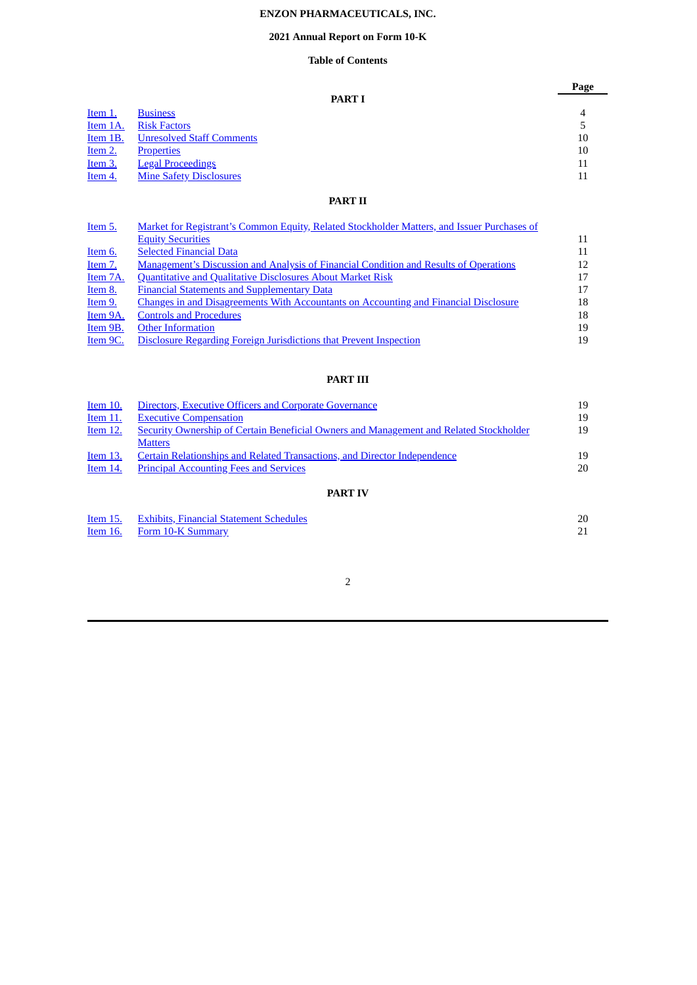# **ENZON PHARMACEUTICALS, INC.**

# **2021 Annual Report on Form 10-K**

# **Table of Contents**

|                                  | Page |
|----------------------------------|------|
| <b>PART I</b>                    |      |
| <b>Business</b>                  | 4    |
| <b>Risk Factors</b>              |      |
| <b>Unresolved Staff Comments</b> | 10   |
| <b>Properties</b>                | 10   |
| <b>Legal Proceedings</b>         | 11   |
| <b>Mine Safety Disclosures</b>   |      |
|                                  |      |

# **PART II**

| Item 5.  | Market for Registrant's Common Equity, Related Stockholder Matters, and Issuer Purchases of |    |
|----------|---------------------------------------------------------------------------------------------|----|
|          | <b>Equity Securities</b>                                                                    | 11 |
| Item 6.  | <b>Selected Financial Data</b>                                                              | 11 |
| Item 7.  | Management's Discussion and Analysis of Financial Condition and Results of Operations       | 12 |
| Item 7A. | <b>Quantitative and Qualitative Disclosures About Market Risk</b>                           | 17 |
| Item 8.  | <b>Financial Statements and Supplementary Data</b>                                          | 17 |
| Item 9.  | <u>Changes in and Disagreements With Accountants on Accounting and Financial Disclosure</u> | 18 |
| Item 9A. | <b>Controls and Procedures</b>                                                              | 18 |
| Item 9B. | <b>Other Information</b>                                                                    | 19 |
| Item 9C. | Disclosure Regarding Foreign Jurisdictions that Prevent Inspection                          | 19 |

# **PART III**

| <u>Item 10.</u> | Directors, Executive Officers and Corporate Governance                                 | 19 |  |
|-----------------|----------------------------------------------------------------------------------------|----|--|
| <u>Item 11.</u> | <b>Executive Compensation</b>                                                          | 19 |  |
| Item 12.        | Security Ownership of Certain Beneficial Owners and Management and Related Stockholder | 19 |  |
|                 | <b>Matters</b>                                                                         |    |  |
| Item $13$ .     | <b>Certain Relationships and Related Transactions, and Director Independence</b>       | 19 |  |
| Item 14.        | <b>Principal Accounting Fees and Services</b>                                          | 20 |  |
| <b>PART IV</b>  |                                                                                        |    |  |
|                 |                                                                                        |    |  |

| Item 15. Exhibits, Financial Statement Schedules | 20 |
|--------------------------------------------------|----|
| <u>Item 16.     Form 10-K Summary</u>            |    |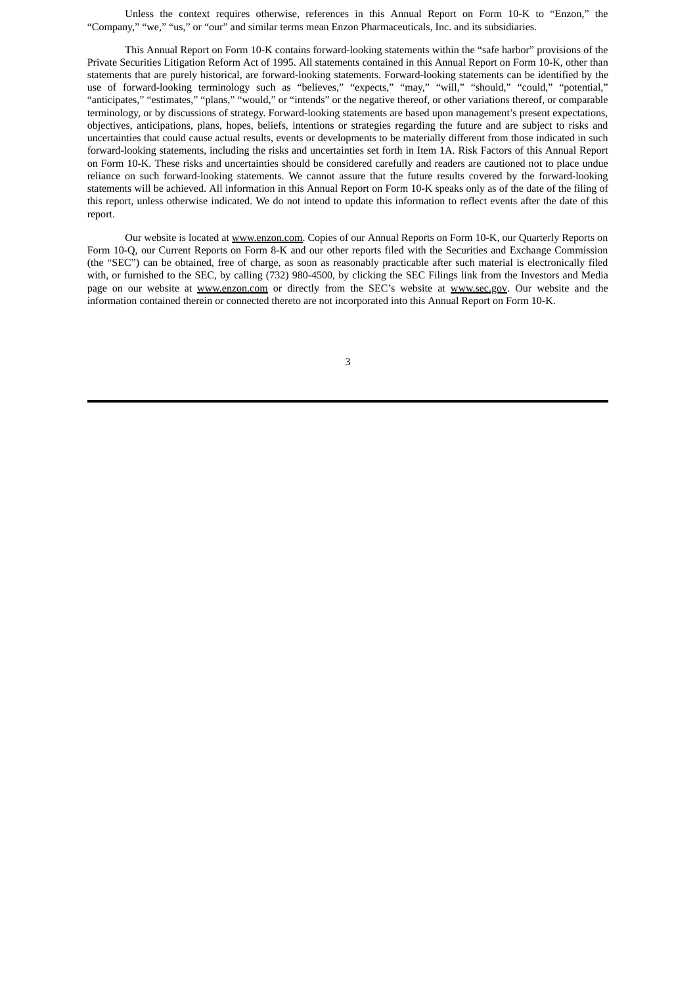Unless the context requires otherwise, references in this Annual Report on Form 10-K to "Enzon," the "Company," "we," "us," or "our" and similar terms mean Enzon Pharmaceuticals, Inc. and its subsidiaries.

This Annual Report on Form 10-K contains forward-looking statements within the "safe harbor" provisions of the Private Securities Litigation Reform Act of 1995. All statements contained in this Annual Report on Form 10-K, other than statements that are purely historical, are forward-looking statements. Forward-looking statements can be identified by the use of forward-looking terminology such as "believes," "expects," "may," "will," "should," "could," "potential," "anticipates," "estimates," "plans," "would," or "intends" or the negative thereof, or other variations thereof, or comparable terminology, or by discussions of strategy. Forward-looking statements are based upon management's present expectations, objectives, anticipations, plans, hopes, beliefs, intentions or strategies regarding the future and are subject to risks and uncertainties that could cause actual results, events or developments to be materially different from those indicated in such forward-looking statements, including the risks and uncertainties set forth in Item 1A. Risk Factors of this Annual Report on Form 10-K. These risks and uncertainties should be considered carefully and readers are cautioned not to place undue reliance on such forward-looking statements. We cannot assure that the future results covered by the forward-looking statements will be achieved. All information in this Annual Report on Form 10-K speaks only as of the date of the filing of this report, unless otherwise indicated. We do not intend to update this information to reflect events after the date of this report.

Our website is located at www.enzon.com. Copies of our Annual Reports on Form 10-K, our Quarterly Reports on Form 10-Q, our Current Reports on Form 8-K and our other reports filed with the Securities and Exchange Commission (the "SEC") can be obtained, free of charge, as soon as reasonably practicable after such material is electronically filed with, or furnished to the SEC, by calling (732) 980-4500, by clicking the SEC Filings link from the Investors and Media page on our website at www.enzon.com or directly from the SEC's website at www.sec.gov. Our website and the information contained therein or connected thereto are not incorporated into this Annual Report on Form 10-K.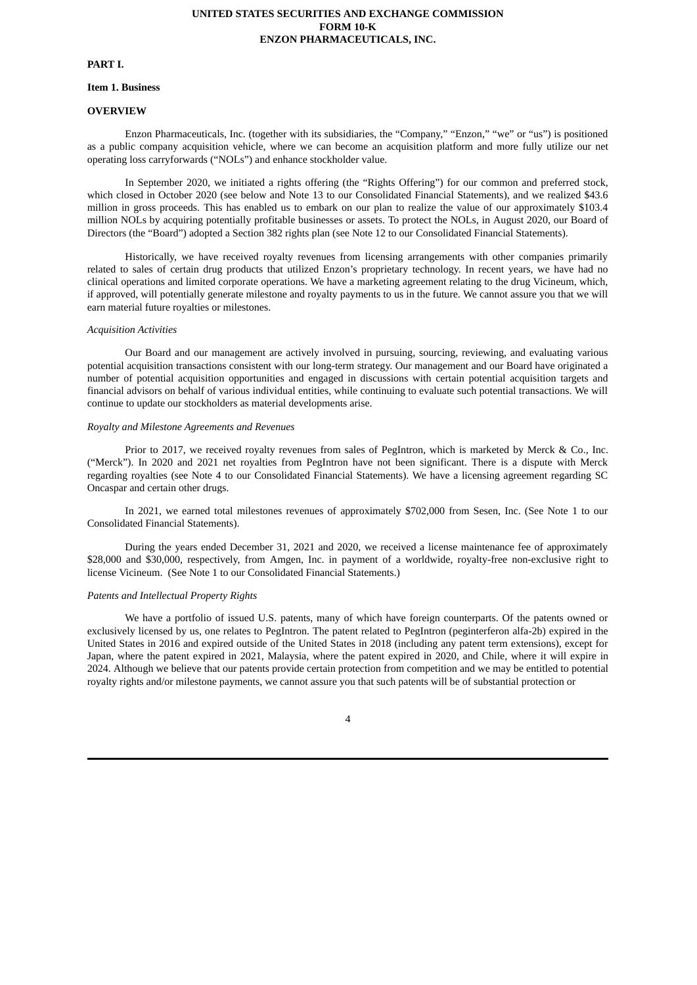## **UNITED STATES SECURITIES AND EXCHANGE COMMISSION FORM 10-K ENZON PHARMACEUTICALS, INC.**

#### **PART I.**

#### <span id="page-3-0"></span>**Item 1. Business**

### **OVERVIEW**

Enzon Pharmaceuticals, Inc. (together with its subsidiaries, the "Company," "Enzon," "we" or "us") is positioned as a public company acquisition vehicle, where we can become an acquisition platform and more fully utilize our net operating loss carryforwards ("NOLs") and enhance stockholder value.

In September 2020, we initiated a rights offering (the "Rights Offering") for our common and preferred stock, which closed in October 2020 (see below and Note 13 to our Consolidated Financial Statements), and we realized \$43.6 million in gross proceeds. This has enabled us to embark on our plan to realize the value of our approximately \$103.4 million NOLs by acquiring potentially profitable businesses or assets. To protect the NOLs, in August 2020, our Board of Directors (the "Board") adopted a Section 382 rights plan (see Note 12 to our Consolidated Financial Statements).

Historically, we have received royalty revenues from licensing arrangements with other companies primarily related to sales of certain drug products that utilized Enzon's proprietary technology. In recent years, we have had no clinical operations and limited corporate operations. We have a marketing agreement relating to the drug Vicineum, which, if approved, will potentially generate milestone and royalty payments to us in the future. We cannot assure you that we will earn material future royalties or milestones.

### *Acquisition Activities*

Our Board and our management are actively involved in pursuing, sourcing, reviewing, and evaluating various potential acquisition transactions consistent with our long-term strategy. Our management and our Board have originated a number of potential acquisition opportunities and engaged in discussions with certain potential acquisition targets and financial advisors on behalf of various individual entities, while continuing to evaluate such potential transactions. We will continue to update our stockholders as material developments arise.

### *Royalty and Milestone Agreements and Revenues*

Prior to 2017, we received royalty revenues from sales of PegIntron, which is marketed by Merck & Co., Inc. ("Merck"). In 2020 and 2021 net royalties from PegIntron have not been significant. There is a dispute with Merck regarding royalties (see Note 4 to our Consolidated Financial Statements). We have a licensing agreement regarding SC Oncaspar and certain other drugs.

In 2021, we earned total milestones revenues of approximately \$702,000 from Sesen, Inc. (See Note 1 to our Consolidated Financial Statements).

During the years ended December 31, 2021 and 2020, we received a license maintenance fee of approximately \$28,000 and \$30,000, respectively, from Amgen, Inc. in payment of a worldwide, royalty-free non-exclusive right to license Vicineum. (See Note 1 to our Consolidated Financial Statements.)

## *Patents and Intellectual Property Rights*

We have a portfolio of issued U.S. patents, many of which have foreign counterparts. Of the patents owned or exclusively licensed by us, one relates to PegIntron. The patent related to PegIntron (peginterferon alfa-2b) expired in the United States in 2016 and expired outside of the United States in 2018 (including any patent term extensions), except for Japan, where the patent expired in 2021, Malaysia, where the patent expired in 2020, and Chile, where it will expire in 2024. Although we believe that our patents provide certain protection from competition and we may be entitled to potential royalty rights and/or milestone payments, we cannot assure you that such patents will be of substantial protection or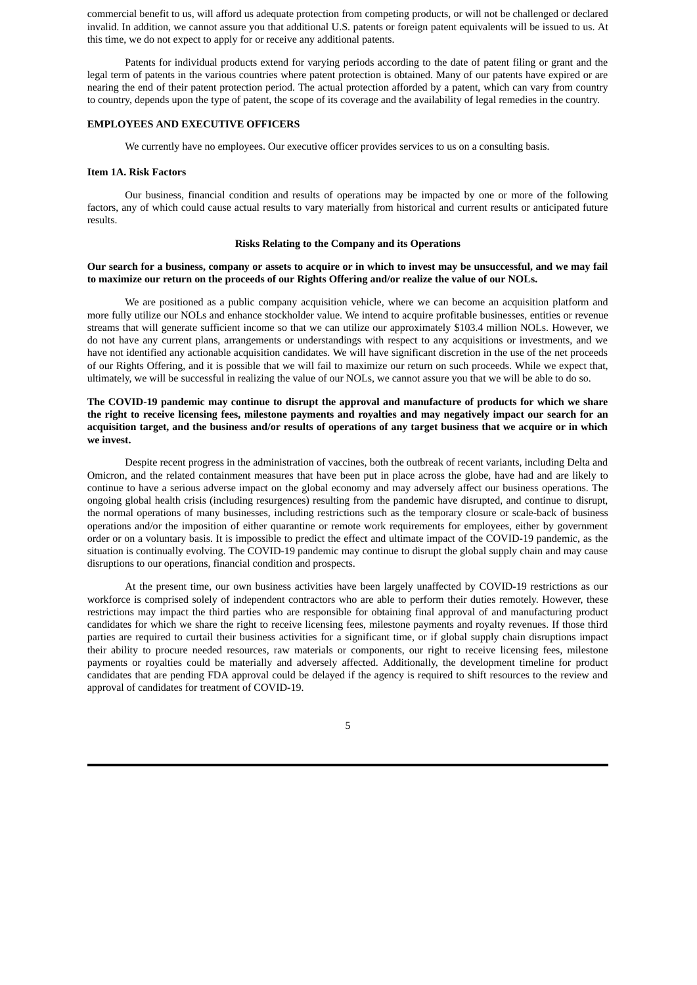commercial benefit to us, will afford us adequate protection from competing products, or will not be challenged or declared invalid. In addition, we cannot assure you that additional U.S. patents or foreign patent equivalents will be issued to us. At this time, we do not expect to apply for or receive any additional patents.

Patents for individual products extend for varying periods according to the date of patent filing or grant and the legal term of patents in the various countries where patent protection is obtained. Many of our patents have expired or are nearing the end of their patent protection period. The actual protection afforded by a patent, which can vary from country to country, depends upon the type of patent, the scope of its coverage and the availability of legal remedies in the country.

#### **EMPLOYEES AND EXECUTIVE OFFICERS**

We currently have no employees. Our executive officer provides services to us on a consulting basis.

#### <span id="page-4-0"></span>**Item 1A. Risk Factors**

Our business, financial condition and results of operations may be impacted by one or more of the following factors, any of which could cause actual results to vary materially from historical and current results or anticipated future results.

### **Risks Relating to the Company and its Operations**

### Our search for a business, company or assets to acquire or in which to invest may be unsuccessful, and we may fail to maximize our return on the proceeds of our Rights Offering and/or realize the value of our NOLs.

We are positioned as a public company acquisition vehicle, where we can become an acquisition platform and more fully utilize our NOLs and enhance stockholder value. We intend to acquire profitable businesses, entities or revenue streams that will generate sufficient income so that we can utilize our approximately \$103.4 million NOLs. However, we do not have any current plans, arrangements or understandings with respect to any acquisitions or investments, and we have not identified any actionable acquisition candidates. We will have significant discretion in the use of the net proceeds of our Rights Offering, and it is possible that we will fail to maximize our return on such proceeds. While we expect that, ultimately, we will be successful in realizing the value of our NOLs, we cannot assure you that we will be able to do so.

## **The COVID-19 pandemic may continue to disrupt the approval and manufacture of products for which we share** the right to receive licensing fees, milestone payments and royalties and may negatively impact our search for an acquisition target, and the business and/or results of operations of any target business that we acquire or in which **we invest.**

Despite recent progress in the administration of vaccines, both the outbreak of recent variants, including Delta and Omicron, and the related containment measures that have been put in place across the globe, have had and are likely to continue to have a serious adverse impact on the global economy and may adversely affect our business operations. The ongoing global health crisis (including resurgences) resulting from the pandemic have disrupted, and continue to disrupt, the normal operations of many businesses, including restrictions such as the temporary closure or scale-back of business operations and/or the imposition of either quarantine or remote work requirements for employees, either by government order or on a voluntary basis. It is impossible to predict the effect and ultimate impact of the COVID-19 pandemic, as the situation is continually evolving. The COVID-19 pandemic may continue to disrupt the global supply chain and may cause disruptions to our operations, financial condition and prospects.

At the present time, our own business activities have been largely unaffected by COVID-19 restrictions as our workforce is comprised solely of independent contractors who are able to perform their duties remotely. However, these restrictions may impact the third parties who are responsible for obtaining final approval of and manufacturing product candidates for which we share the right to receive licensing fees, milestone payments and royalty revenues. If those third parties are required to curtail their business activities for a significant time, or if global supply chain disruptions impact their ability to procure needed resources, raw materials or components, our right to receive licensing fees, milestone payments or royalties could be materially and adversely affected. Additionally, the development timeline for product candidates that are pending FDA approval could be delayed if the agency is required to shift resources to the review and approval of candidates for treatment of COVID-19.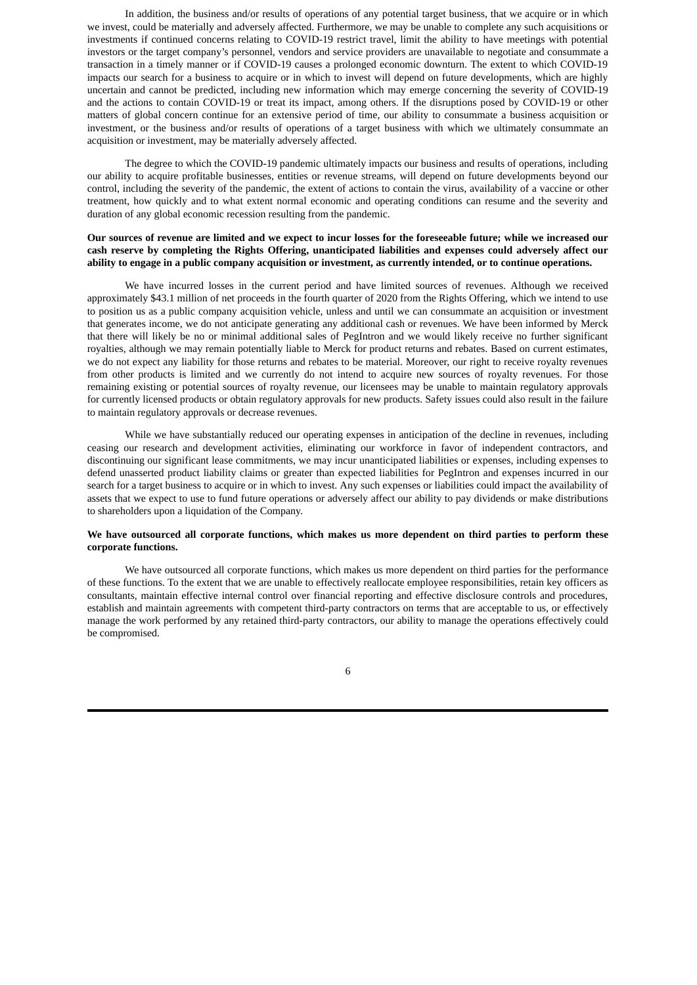In addition, the business and/or results of operations of any potential target business, that we acquire or in which we invest, could be materially and adversely affected. Furthermore, we may be unable to complete any such acquisitions or investments if continued concerns relating to COVID-19 restrict travel, limit the ability to have meetings with potential investors or the target company's personnel, vendors and service providers are unavailable to negotiate and consummate a transaction in a timely manner or if COVID-19 causes a prolonged economic downturn. The extent to which COVID-19 impacts our search for a business to acquire or in which to invest will depend on future developments, which are highly uncertain and cannot be predicted, including new information which may emerge concerning the severity of COVID-19 and the actions to contain COVID-19 or treat its impact, among others. If the disruptions posed by COVID-19 or other matters of global concern continue for an extensive period of time, our ability to consummate a business acquisition or investment, or the business and/or results of operations of a target business with which we ultimately consummate an acquisition or investment, may be materially adversely affected.

The degree to which the COVID-19 pandemic ultimately impacts our business and results of operations, including our ability to acquire profitable businesses, entities or revenue streams, will depend on future developments beyond our control, including the severity of the pandemic, the extent of actions to contain the virus, availability of a vaccine or other treatment, how quickly and to what extent normal economic and operating conditions can resume and the severity and duration of any global economic recession resulting from the pandemic.

### Our sources of revenue are limited and we expect to incur losses for the foreseeable future; while we increased our **cash reserve by completing the Rights Offering, unanticipated liabilities and expenses could adversely affect our** ability to engage in a public company acquisition or investment, as currently intended, or to continue operations.

We have incurred losses in the current period and have limited sources of revenues. Although we received approximately \$43.1 million of net proceeds in the fourth quarter of 2020 from the Rights Offering, which we intend to use to position us as a public company acquisition vehicle, unless and until we can consummate an acquisition or investment that generates income, we do not anticipate generating any additional cash or revenues. We have been informed by Merck that there will likely be no or minimal additional sales of PegIntron and we would likely receive no further significant royalties, although we may remain potentially liable to Merck for product returns and rebates. Based on current estimates, we do not expect any liability for those returns and rebates to be material. Moreover, our right to receive royalty revenues from other products is limited and we currently do not intend to acquire new sources of royalty revenues. For those remaining existing or potential sources of royalty revenue, our licensees may be unable to maintain regulatory approvals for currently licensed products or obtain regulatory approvals for new products. Safety issues could also result in the failure to maintain regulatory approvals or decrease revenues.

While we have substantially reduced our operating expenses in anticipation of the decline in revenues, including ceasing our research and development activities, eliminating our workforce in favor of independent contractors, and discontinuing our significant lease commitments, we may incur unanticipated liabilities or expenses, including expenses to defend unasserted product liability claims or greater than expected liabilities for PegIntron and expenses incurred in our search for a target business to acquire or in which to invest. Any such expenses or liabilities could impact the availability of assets that we expect to use to fund future operations or adversely affect our ability to pay dividends or make distributions to shareholders upon a liquidation of the Company.

### We have outsourced all corporate functions, which makes us more dependent on third parties to perform these **corporate functions.**

We have outsourced all corporate functions, which makes us more dependent on third parties for the performance of these functions. To the extent that we are unable to effectively reallocate employee responsibilities, retain key officers as consultants, maintain effective internal control over financial reporting and effective disclosure controls and procedures, establish and maintain agreements with competent third-party contractors on terms that are acceptable to us, or effectively manage the work performed by any retained third-party contractors, our ability to manage the operations effectively could be compromised.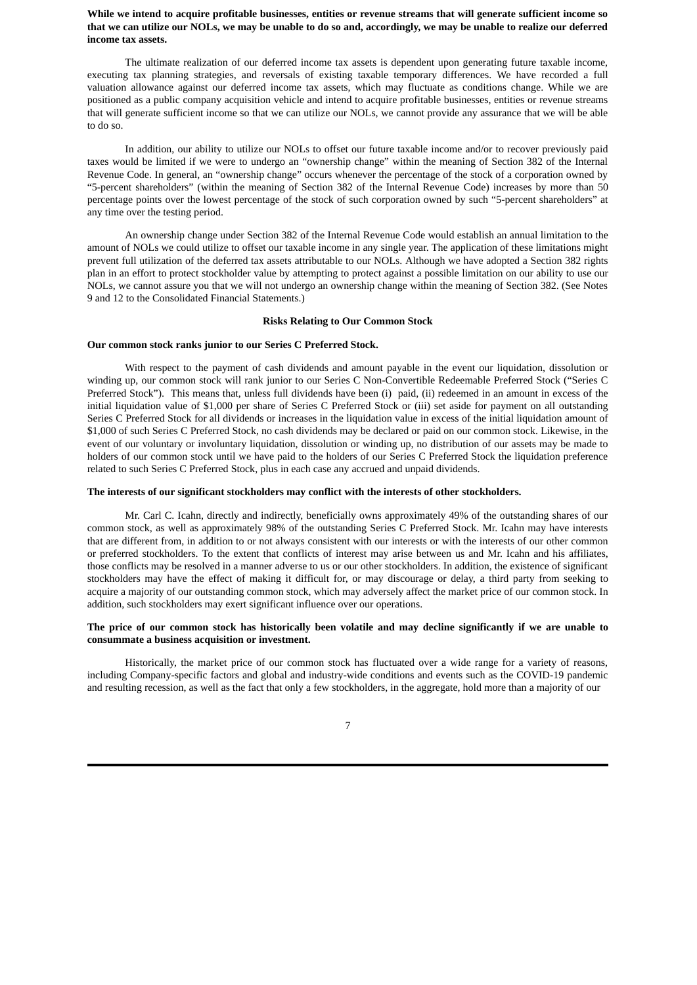### While we intend to acquire profitable businesses, entities or revenue streams that will generate sufficient income so that we can utilize our NOLs, we may be unable to do so and, accordingly, we may be unable to realize our deferred **income tax assets.**

The ultimate realization of our deferred income tax assets is dependent upon generating future taxable income, executing tax planning strategies, and reversals of existing taxable temporary differences. We have recorded a full valuation allowance against our deferred income tax assets, which may fluctuate as conditions change. While we are positioned as a public company acquisition vehicle and intend to acquire profitable businesses, entities or revenue streams that will generate sufficient income so that we can utilize our NOLs, we cannot provide any assurance that we will be able to do so.

In addition, our ability to utilize our NOLs to offset our future taxable income and/or to recover previously paid taxes would be limited if we were to undergo an "ownership change" within the meaning of Section 382 of the Internal Revenue Code. In general, an "ownership change" occurs whenever the percentage of the stock of a corporation owned by "5-percent shareholders" (within the meaning of Section 382 of the Internal Revenue Code) increases by more than 50 percentage points over the lowest percentage of the stock of such corporation owned by such "5-percent shareholders" at any time over the testing period.

An ownership change under Section 382 of the Internal Revenue Code would establish an annual limitation to the amount of NOLs we could utilize to offset our taxable income in any single year. The application of these limitations might prevent full utilization of the deferred tax assets attributable to our NOLs. Although we have adopted a Section 382 rights plan in an effort to protect stockholder value by attempting to protect against a possible limitation on our ability to use our NOLs, we cannot assure you that we will not undergo an ownership change within the meaning of Section 382. (See Notes 9 and 12 to the Consolidated Financial Statements.)

#### **Risks Relating to Our Common Stock**

#### **Our common stock ranks junior to our Series C Preferred Stock.**

With respect to the payment of cash dividends and amount payable in the event our liquidation, dissolution or winding up, our common stock will rank junior to our Series C Non-Convertible Redeemable Preferred Stock ("Series C Preferred Stock"). This means that, unless full dividends have been (i) paid, (ii) redeemed in an amount in excess of the initial liquidation value of \$1,000 per share of Series C Preferred Stock or (iii) set aside for payment on all outstanding Series C Preferred Stock for all dividends or increases in the liquidation value in excess of the initial liquidation amount of \$1,000 of such Series C Preferred Stock, no cash dividends may be declared or paid on our common stock. Likewise, in the event of our voluntary or involuntary liquidation, dissolution or winding up, no distribution of our assets may be made to holders of our common stock until we have paid to the holders of our Series C Preferred Stock the liquidation preference related to such Series C Preferred Stock, plus in each case any accrued and unpaid dividends.

#### **The interests of our significant stockholders may conflict with the interests of other stockholders.**

Mr. Carl C. Icahn, directly and indirectly, beneficially owns approximately 49% of the outstanding shares of our common stock, as well as approximately 98% of the outstanding Series C Preferred Stock. Mr. Icahn may have interests that are different from, in addition to or not always consistent with our interests or with the interests of our other common or preferred stockholders. To the extent that conflicts of interest may arise between us and Mr. Icahn and his affiliates, those conflicts may be resolved in a manner adverse to us or our other stockholders. In addition, the existence of significant stockholders may have the effect of making it difficult for, or may discourage or delay, a third party from seeking to acquire a majority of our outstanding common stock, which may adversely affect the market price of our common stock. In addition, such stockholders may exert significant influence over our operations.

### The price of our common stock has historically been volatile and may decline significantly if we are unable to **consummate a business acquisition or investment.**

Historically, the market price of our common stock has fluctuated over a wide range for a variety of reasons, including Company-specific factors and global and industry-wide conditions and events such as the COVID-19 pandemic and resulting recession, as well as the fact that only a few stockholders, in the aggregate, hold more than a majority of our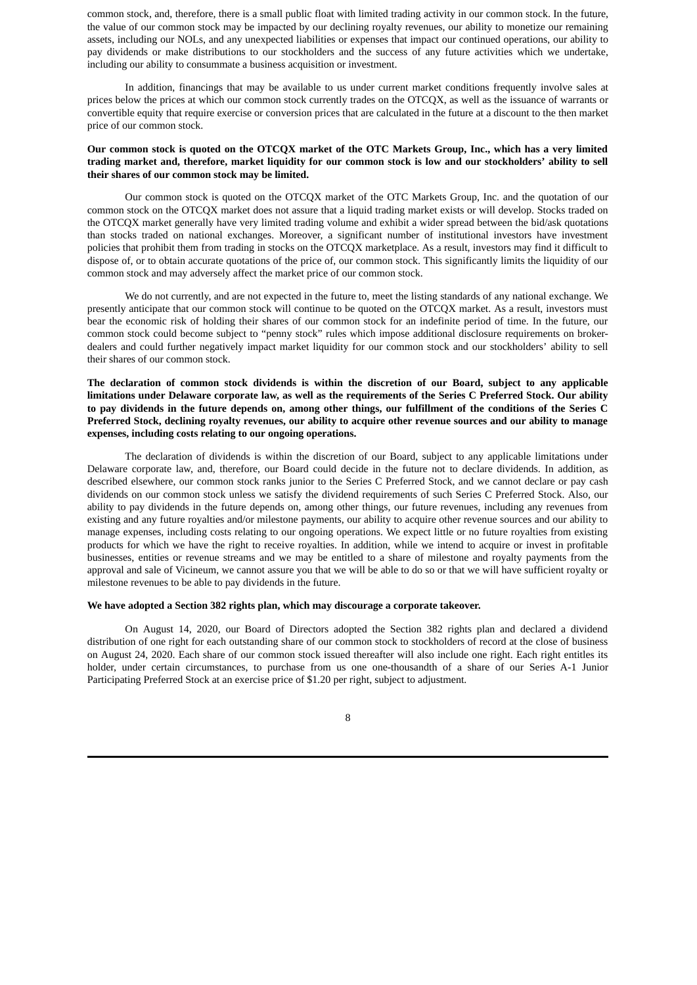common stock, and, therefore, there is a small public float with limited trading activity in our common stock. In the future, the value of our common stock may be impacted by our declining royalty revenues, our ability to monetize our remaining assets, including our NOLs, and any unexpected liabilities or expenses that impact our continued operations, our ability to pay dividends or make distributions to our stockholders and the success of any future activities which we undertake, including our ability to consummate a business acquisition or investment.

In addition, financings that may be available to us under current market conditions frequently involve sales at prices below the prices at which our common stock currently trades on the OTCQX, as well as the issuance of warrants or convertible equity that require exercise or conversion prices that are calculated in the future at a discount to the then market price of our common stock.

## Our common stock is quoted on the OTCQX market of the OTC Markets Group, Inc., which has a very limited trading market and, therefore, market liquidity for our common stock is low and our stockholders' ability to sell **their shares of our common stock may be limited.**

Our common stock is quoted on the OTCQX market of the OTC Markets Group, Inc. and the quotation of our common stock on the OTCQX market does not assure that a liquid trading market exists or will develop. Stocks traded on the OTCQX market generally have very limited trading volume and exhibit a wider spread between the bid/ask quotations than stocks traded on national exchanges. Moreover, a significant number of institutional investors have investment policies that prohibit them from trading in stocks on the OTCQX marketplace. As a result, investors may find it difficult to dispose of, or to obtain accurate quotations of the price of, our common stock. This significantly limits the liquidity of our common stock and may adversely affect the market price of our common stock.

We do not currently, and are not expected in the future to, meet the listing standards of any national exchange. We presently anticipate that our common stock will continue to be quoted on the OTCQX market. As a result, investors must bear the economic risk of holding their shares of our common stock for an indefinite period of time. In the future, our common stock could become subject to "penny stock" rules which impose additional disclosure requirements on brokerdealers and could further negatively impact market liquidity for our common stock and our stockholders' ability to sell their shares of our common stock.

The declaration of common stock dividends is within the discretion of our Board, subject to any applicable limitations under Delaware corporate law, as well as the requirements of the Series C Preferred Stock. Our ability to pay dividends in the future depends on, among other things, our fulfillment of the conditions of the Series C Preferred Stock, declining royalty revenues, our ability to acquire other revenue sources and our ability to manage **expenses, including costs relating to our ongoing operations.**

The declaration of dividends is within the discretion of our Board, subject to any applicable limitations under Delaware corporate law, and, therefore, our Board could decide in the future not to declare dividends. In addition, as described elsewhere, our common stock ranks junior to the Series C Preferred Stock, and we cannot declare or pay cash dividends on our common stock unless we satisfy the dividend requirements of such Series C Preferred Stock. Also, our ability to pay dividends in the future depends on, among other things, our future revenues, including any revenues from existing and any future royalties and/or milestone payments, our ability to acquire other revenue sources and our ability to manage expenses, including costs relating to our ongoing operations. We expect little or no future royalties from existing products for which we have the right to receive royalties. In addition, while we intend to acquire or invest in profitable businesses, entities or revenue streams and we may be entitled to a share of milestone and royalty payments from the approval and sale of Vicineum, we cannot assure you that we will be able to do so or that we will have sufficient royalty or milestone revenues to be able to pay dividends in the future.

### **We have adopted a Section 382 rights plan, which may discourage a corporate takeover.**

On August 14, 2020, our Board of Directors adopted the Section 382 rights plan and declared a dividend distribution of one right for each outstanding share of our common stock to stockholders of record at the close of business on August 24, 2020. Each share of our common stock issued thereafter will also include one right. Each right entitles its holder, under certain circumstances, to purchase from us one one-thousandth of a share of our Series A-1 Junior Participating Preferred Stock at an exercise price of \$1.20 per right, subject to adjustment.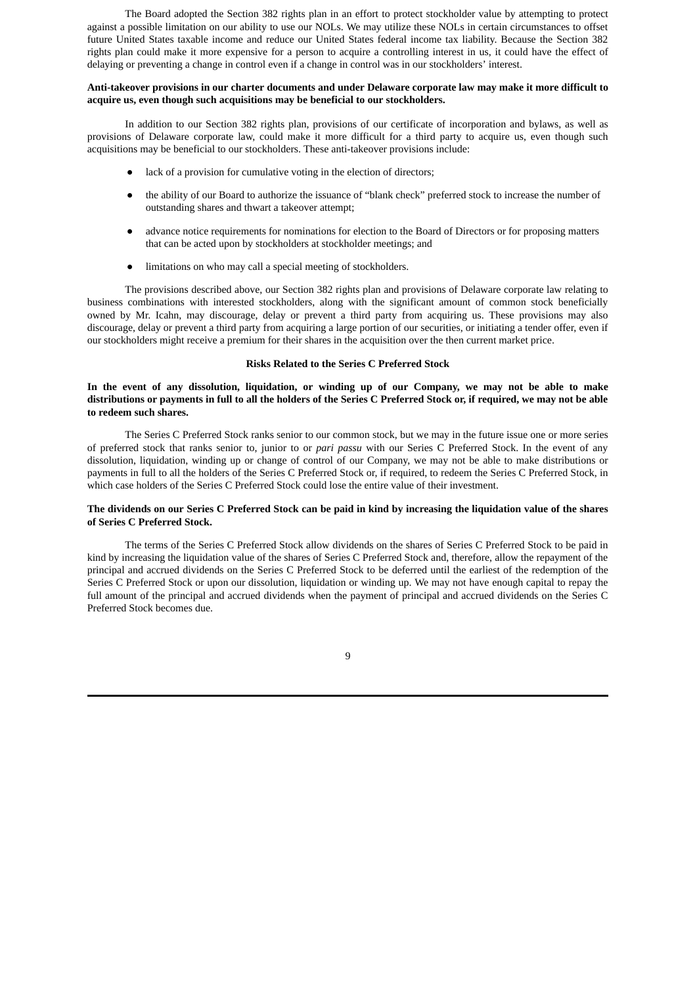The Board adopted the Section 382 rights plan in an effort to protect stockholder value by attempting to protect against a possible limitation on our ability to use our NOLs. We may utilize these NOLs in certain circumstances to offset future United States taxable income and reduce our United States federal income tax liability. Because the Section 382 rights plan could make it more expensive for a person to acquire a controlling interest in us, it could have the effect of delaying or preventing a change in control even if a change in control was in our stockholders' interest.

### Anti-takeover provisions in our charter documents and under Delaware corporate law may make it more difficult to **acquire us, even though such acquisitions may be beneficial to our stockholders.**

In addition to our Section 382 rights plan, provisions of our certificate of incorporation and bylaws, as well as provisions of Delaware corporate law, could make it more difficult for a third party to acquire us, even though such acquisitions may be beneficial to our stockholders. These anti-takeover provisions include:

- lack of a provision for cumulative voting in the election of directors;
- the ability of our Board to authorize the issuance of "blank check" preferred stock to increase the number of outstanding shares and thwart a takeover attempt;
- advance notice requirements for nominations for election to the Board of Directors or for proposing matters that can be acted upon by stockholders at stockholder meetings; and
- limitations on who may call a special meeting of stockholders.

The provisions described above, our Section 382 rights plan and provisions of Delaware corporate law relating to business combinations with interested stockholders, along with the significant amount of common stock beneficially owned by Mr. Icahn, may discourage, delay or prevent a third party from acquiring us. These provisions may also discourage, delay or prevent a third party from acquiring a large portion of our securities, or initiating a tender offer, even if our stockholders might receive a premium for their shares in the acquisition over the then current market price.

#### **Risks Related to the Series C Preferred Stock**

In the event of any dissolution, liquidation, or winding up of our Company, we may not be able to make distributions or payments in full to all the holders of the Series C Preferred Stock or, if required, we may not be able **to redeem such shares.**

The Series C Preferred Stock ranks senior to our common stock, but we may in the future issue one or more series of preferred stock that ranks senior to, junior to or *pari passu* with our Series C Preferred Stock. In the event of any dissolution, liquidation, winding up or change of control of our Company, we may not be able to make distributions or payments in full to all the holders of the Series C Preferred Stock or, if required, to redeem the Series C Preferred Stock, in which case holders of the Series C Preferred Stock could lose the entire value of their investment.

### The dividends on our Series C Preferred Stock can be paid in kind by increasing the liquidation value of the shares **of Series C Preferred Stock.**

The terms of the Series C Preferred Stock allow dividends on the shares of Series C Preferred Stock to be paid in kind by increasing the liquidation value of the shares of Series C Preferred Stock and, therefore, allow the repayment of the principal and accrued dividends on the Series C Preferred Stock to be deferred until the earliest of the redemption of the Series C Preferred Stock or upon our dissolution, liquidation or winding up. We may not have enough capital to repay the full amount of the principal and accrued dividends when the payment of principal and accrued dividends on the Series C Preferred Stock becomes due.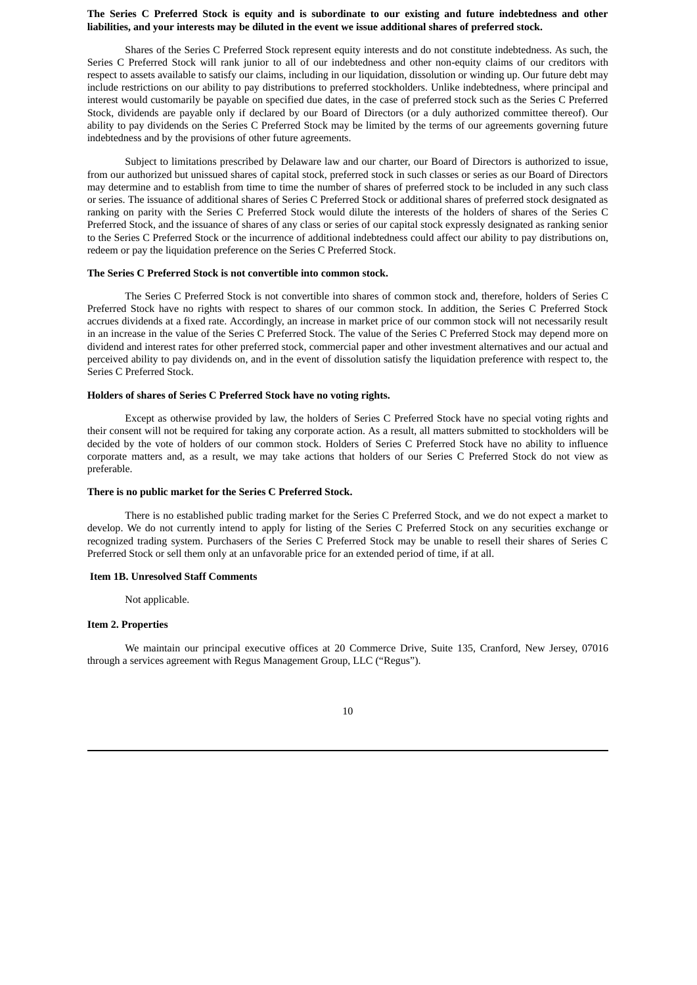## The Series C Preferred Stock is equity and is subordinate to our existing and future indebtedness and other liabilities, and your interests may be diluted in the event we issue additional shares of preferred stock.

Shares of the Series C Preferred Stock represent equity interests and do not constitute indebtedness. As such, the Series C Preferred Stock will rank junior to all of our indebtedness and other non-equity claims of our creditors with respect to assets available to satisfy our claims, including in our liquidation, dissolution or winding up. Our future debt may include restrictions on our ability to pay distributions to preferred stockholders. Unlike indebtedness, where principal and interest would customarily be payable on specified due dates, in the case of preferred stock such as the Series C Preferred Stock, dividends are payable only if declared by our Board of Directors (or a duly authorized committee thereof). Our ability to pay dividends on the Series C Preferred Stock may be limited by the terms of our agreements governing future indebtedness and by the provisions of other future agreements.

Subject to limitations prescribed by Delaware law and our charter, our Board of Directors is authorized to issue, from our authorized but unissued shares of capital stock, preferred stock in such classes or series as our Board of Directors may determine and to establish from time to time the number of shares of preferred stock to be included in any such class or series. The issuance of additional shares of Series C Preferred Stock or additional shares of preferred stock designated as ranking on parity with the Series C Preferred Stock would dilute the interests of the holders of shares of the Series C Preferred Stock, and the issuance of shares of any class or series of our capital stock expressly designated as ranking senior to the Series C Preferred Stock or the incurrence of additional indebtedness could affect our ability to pay distributions on, redeem or pay the liquidation preference on the Series C Preferred Stock.

#### **The Series C Preferred Stock is not convertible into common stock.**

The Series C Preferred Stock is not convertible into shares of common stock and, therefore, holders of Series C Preferred Stock have no rights with respect to shares of our common stock. In addition, the Series C Preferred Stock accrues dividends at a fixed rate. Accordingly, an increase in market price of our common stock will not necessarily result in an increase in the value of the Series C Preferred Stock. The value of the Series C Preferred Stock may depend more on dividend and interest rates for other preferred stock, commercial paper and other investment alternatives and our actual and perceived ability to pay dividends on, and in the event of dissolution satisfy the liquidation preference with respect to, the Series C Preferred Stock.

#### **Holders of shares of Series C Preferred Stock have no voting rights.**

Except as otherwise provided by law, the holders of Series C Preferred Stock have no special voting rights and their consent will not be required for taking any corporate action. As a result, all matters submitted to stockholders will be decided by the vote of holders of our common stock. Holders of Series C Preferred Stock have no ability to influence corporate matters and, as a result, we may take actions that holders of our Series C Preferred Stock do not view as preferable.

### **There is no public market for the Series C Preferred Stock.**

There is no established public trading market for the Series C Preferred Stock, and we do not expect a market to develop. We do not currently intend to apply for listing of the Series C Preferred Stock on any securities exchange or recognized trading system. Purchasers of the Series C Preferred Stock may be unable to resell their shares of Series C Preferred Stock or sell them only at an unfavorable price for an extended period of time, if at all.

## <span id="page-9-0"></span>**Item 1B. Unresolved Staff Comments**

Not applicable.

### <span id="page-9-1"></span>**Item 2. Properties**

We maintain our principal executive offices at 20 Commerce Drive, Suite 135, Cranford, New Jersey, 07016 through a services agreement with Regus Management Group, LLC ("Regus").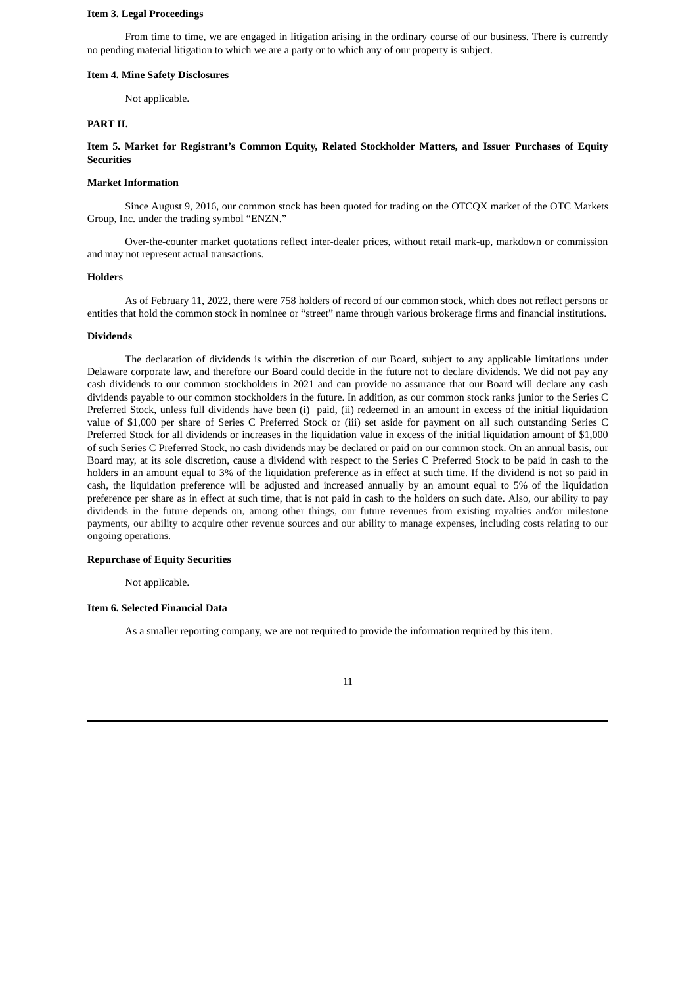#### <span id="page-10-0"></span>**Item 3. Legal Proceedings**

From time to time, we are engaged in litigation arising in the ordinary course of our business. There is currently no pending material litigation to which we are a party or to which any of our property is subject.

#### <span id="page-10-1"></span>**Item 4. Mine Safety Disclosures**

Not applicable.

## **PART II.**

<span id="page-10-2"></span>**Item 5. Market for Registrant's Common Equity, Related Stockholder Matters, and Issuer Purchases of Equity Securities**

#### **Market Information**

Since August 9, 2016, our common stock has been quoted for trading on the OTCQX market of the OTC Markets Group, Inc. under the trading symbol "ENZN."

Over-the-counter market quotations reflect inter-dealer prices, without retail mark-up, markdown or commission and may not represent actual transactions.

### **Holders**

As of February 11, 2022, there were 758 holders of record of our common stock, which does not reflect persons or entities that hold the common stock in nominee or "street" name through various brokerage firms and financial institutions.

#### **Dividends**

The declaration of dividends is within the discretion of our Board, subject to any applicable limitations under Delaware corporate law, and therefore our Board could decide in the future not to declare dividends. We did not pay any cash dividends to our common stockholders in 2021 and can provide no assurance that our Board will declare any cash dividends payable to our common stockholders in the future. In addition, as our common stock ranks junior to the Series C Preferred Stock, unless full dividends have been (i) paid, (ii) redeemed in an amount in excess of the initial liquidation value of \$1,000 per share of Series C Preferred Stock or (iii) set aside for payment on all such outstanding Series C Preferred Stock for all dividends or increases in the liquidation value in excess of the initial liquidation amount of \$1,000 of such Series C Preferred Stock, no cash dividends may be declared or paid on our common stock. On an annual basis, our Board may, at its sole discretion, cause a dividend with respect to the Series C Preferred Stock to be paid in cash to the holders in an amount equal to 3% of the liquidation preference as in effect at such time. If the dividend is not so paid in cash, the liquidation preference will be adjusted and increased annually by an amount equal to 5% of the liquidation preference per share as in effect at such time, that is not paid in cash to the holders on such date. Also, our ability to pay dividends in the future depends on, among other things, our future revenues from existing royalties and/or milestone payments, our ability to acquire other revenue sources and our ability to manage expenses, including costs relating to our ongoing operations.

### **Repurchase of Equity Securities**

Not applicable.

### <span id="page-10-3"></span>**Item 6. Selected Financial Data**

As a smaller reporting company, we are not required to provide the information required by this item.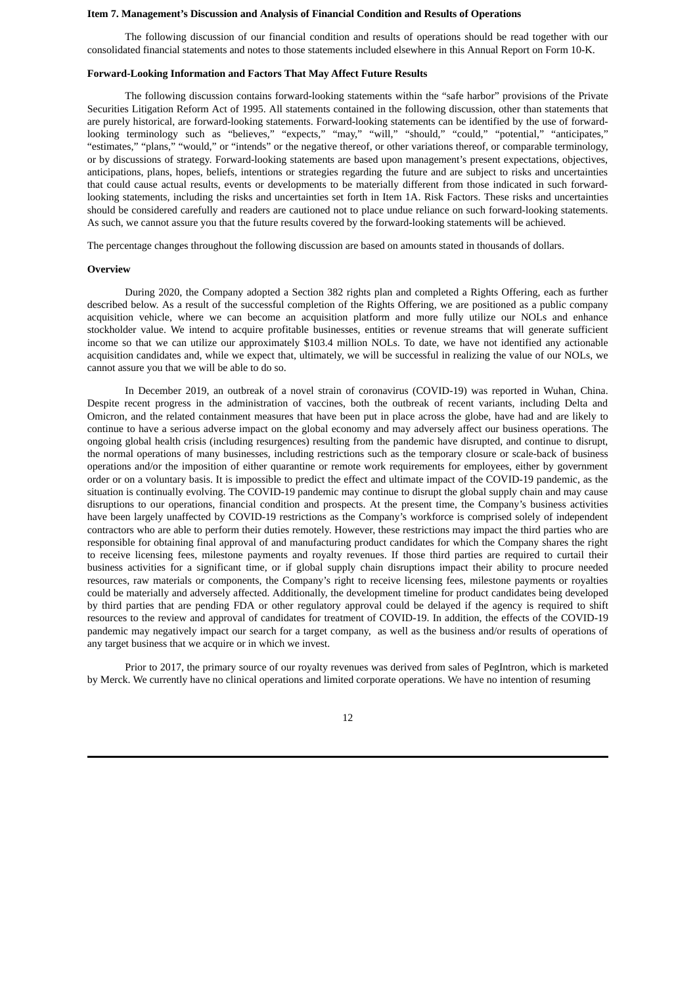#### <span id="page-11-0"></span>**Item 7. Management's Discussion and Analysis of Financial Condition and Results of Operations**

The following discussion of our financial condition and results of operations should be read together with our consolidated financial statements and notes to those statements included elsewhere in this Annual Report on Form 10-K.

### **Forward-Looking Information and Factors That May Affect Future Results**

The following discussion contains forward-looking statements within the "safe harbor" provisions of the Private Securities Litigation Reform Act of 1995. All statements contained in the following discussion, other than statements that are purely historical, are forward-looking statements. Forward-looking statements can be identified by the use of forwardlooking terminology such as "believes," "expects," "may," "will," "should," "could," "potential," "anticipates," "estimates," "plans," "would," or "intends" or the negative thereof, or other variations thereof, or comparable terminology, or by discussions of strategy. Forward-looking statements are based upon management's present expectations, objectives, anticipations, plans, hopes, beliefs, intentions or strategies regarding the future and are subject to risks and uncertainties that could cause actual results, events or developments to be materially different from those indicated in such forwardlooking statements, including the risks and uncertainties set forth in Item 1A. Risk Factors. These risks and uncertainties should be considered carefully and readers are cautioned not to place undue reliance on such forward-looking statements. As such, we cannot assure you that the future results covered by the forward-looking statements will be achieved.

The percentage changes throughout the following discussion are based on amounts stated in thousands of dollars.

#### **Overview**

During 2020, the Company adopted a Section 382 rights plan and completed a Rights Offering, each as further described below. As a result of the successful completion of the Rights Offering, we are positioned as a public company acquisition vehicle, where we can become an acquisition platform and more fully utilize our NOLs and enhance stockholder value. We intend to acquire profitable businesses, entities or revenue streams that will generate sufficient income so that we can utilize our approximately \$103.4 million NOLs. To date, we have not identified any actionable acquisition candidates and, while we expect that, ultimately, we will be successful in realizing the value of our NOLs, we cannot assure you that we will be able to do so.

In December 2019, an outbreak of a novel strain of coronavirus (COVID-19) was reported in Wuhan, China. Despite recent progress in the administration of vaccines, both the outbreak of recent variants, including Delta and Omicron, and the related containment measures that have been put in place across the globe, have had and are likely to continue to have a serious adverse impact on the global economy and may adversely affect our business operations. The ongoing global health crisis (including resurgences) resulting from the pandemic have disrupted, and continue to disrupt, the normal operations of many businesses, including restrictions such as the temporary closure or scale-back of business operations and/or the imposition of either quarantine or remote work requirements for employees, either by government order or on a voluntary basis. It is impossible to predict the effect and ultimate impact of the COVID-19 pandemic, as the situation is continually evolving. The COVID-19 pandemic may continue to disrupt the global supply chain and may cause disruptions to our operations, financial condition and prospects. At the present time, the Company's business activities have been largely unaffected by COVID-19 restrictions as the Company's workforce is comprised solely of independent contractors who are able to perform their duties remotely. However, these restrictions may impact the third parties who are responsible for obtaining final approval of and manufacturing product candidates for which the Company shares the right to receive licensing fees, milestone payments and royalty revenues. If those third parties are required to curtail their business activities for a significant time, or if global supply chain disruptions impact their ability to procure needed resources, raw materials or components, the Company's right to receive licensing fees, milestone payments or royalties could be materially and adversely affected. Additionally, the development timeline for product candidates being developed by third parties that are pending FDA or other regulatory approval could be delayed if the agency is required to shift resources to the review and approval of candidates for treatment of COVID-19. In addition, the effects of the COVID-19 pandemic may negatively impact our search for a target company, as well as the business and/or results of operations of any target business that we acquire or in which we invest.

Prior to 2017, the primary source of our royalty revenues was derived from sales of PegIntron, which is marketed by Merck. We currently have no clinical operations and limited corporate operations. We have no intention of resuming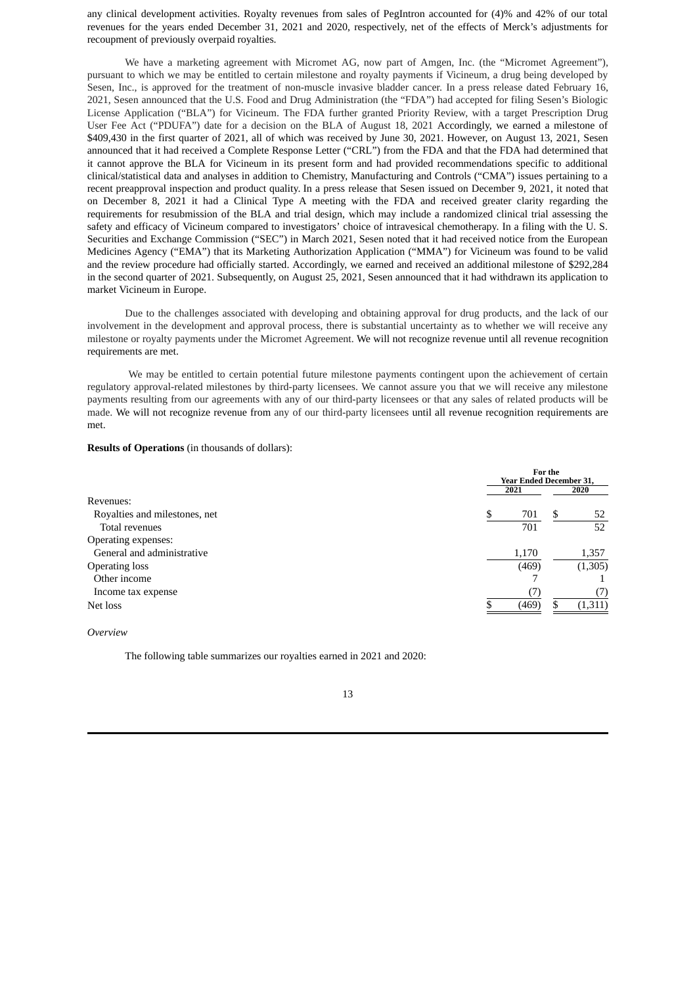any clinical development activities. Royalty revenues from sales of PegIntron accounted for (4)% and 42% of our total revenues for the years ended December 31, 2021 and 2020, respectively, net of the effects of Merck's adjustments for recoupment of previously overpaid royalties.

We have a marketing agreement with Micromet AG, now part of Amgen, Inc. (the "Micromet Agreement"), pursuant to which we may be entitled to certain milestone and royalty payments if Vicineum, a drug being developed by Sesen, Inc., is approved for the treatment of non-muscle invasive bladder cancer. In a press release dated February 16, 2021, Sesen announced that the U.S. Food and Drug Administration (the "FDA") had accepted for filing Sesen's Biologic License Application ("BLA") for Vicineum. The FDA further granted Priority Review, with a target Prescription Drug User Fee Act ("PDUFA") date for a decision on the BLA of August 18, 2021 Accordingly, we earned a milestone of \$409,430 in the first quarter of 2021, all of which was received by June 30, 2021. However, on August 13, 2021, Sesen announced that it had received a Complete Response Letter ("CRL") from the FDA and that the FDA had determined that it cannot approve the BLA for Vicineum in its present form and had provided recommendations specific to additional clinical/statistical data and analyses in addition to Chemistry, Manufacturing and Controls ("CMA") issues pertaining to a recent preapproval inspection and product quality. In a press release that Sesen issued on December 9, 2021, it noted that on December 8, 2021 it had a Clinical Type A meeting with the FDA and received greater clarity regarding the requirements for resubmission of the BLA and trial design, which may include a randomized clinical trial assessing the safety and efficacy of Vicineum compared to investigators' choice of intravesical chemotherapy. In a filing with the U. S. Securities and Exchange Commission ("SEC") in March 2021, Sesen noted that it had received notice from the European Medicines Agency ("EMA") that its Marketing Authorization Application ("MMA") for Vicineum was found to be valid and the review procedure had officially started. Accordingly, we earned and received an additional milestone of \$292,284 in the second quarter of 2021. Subsequently, on August 25, 2021, Sesen announced that it had withdrawn its application to market Vicineum in Europe.

Due to the challenges associated with developing and obtaining approval for drug products, and the lack of our involvement in the development and approval process, there is substantial uncertainty as to whether we will receive any milestone or royalty payments under the Micromet Agreement. We will not recognize revenue until all revenue recognition requirements are met.

We may be entitled to certain potential future milestone payments contingent upon the achievement of certain regulatory approval-related milestones by third-party licensees. We cannot assure you that we will receive any milestone payments resulting from our agreements with any of our third-party licensees or that any sales of related products will be made. We will not recognize revenue from any of our third-party licensees until all revenue recognition requirements are met.

#### **Results of Operations** (in thousands of dollars):

|                               | For the<br><b>Year Ended December 31.</b> |       |   |         |
|-------------------------------|-------------------------------------------|-------|---|---------|
|                               |                                           | 2021  |   | 2020    |
| Revenues:                     |                                           |       |   |         |
| Royalties and milestones, net |                                           | 701   | S | 52      |
| Total revenues                |                                           | 701   |   | 52      |
| Operating expenses:           |                                           |       |   |         |
| General and administrative    |                                           | 1,170 |   | 1,357   |
| <b>Operating loss</b>         |                                           | (469) |   | (1,305) |
| Other income                  |                                           |       |   |         |
| Income tax expense            |                                           |       |   | (7)     |
| Net loss                      |                                           | (469) |   | (1,311) |

*Overview*

The following table summarizes our royalties earned in 2021 and 2020: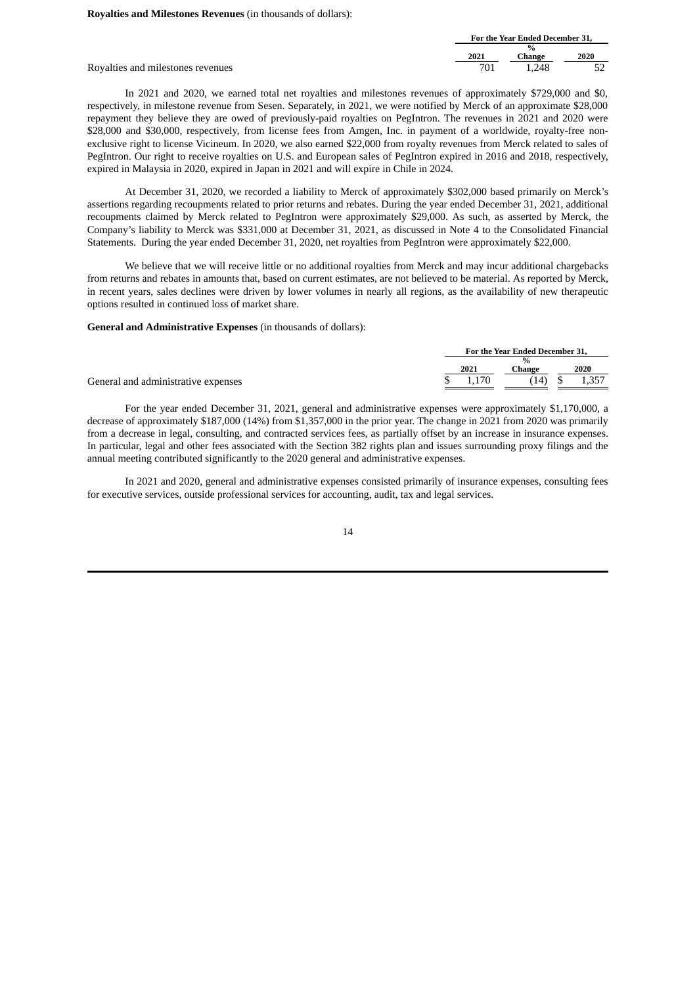#### **Royalties and Milestones Revenues** (in thousands of dollars):

|                                   |      | For the Year Ended December 31. |      |  |
|-----------------------------------|------|---------------------------------|------|--|
|                                   |      |                                 |      |  |
|                                   | 2021 | $^\circ$ hange                  | 2020 |  |
| Royalties and milestones revenues | 701  | 1.248                           | 52   |  |

In 2021 and 2020, we earned total net royalties and milestones revenues of approximately \$729,000 and \$0, respectively, in milestone revenue from Sesen. Separately, in 2021, we were notified by Merck of an approximate \$28,000 repayment they believe they are owed of previously-paid royalties on PegIntron. The revenues in 2021 and 2020 were \$28,000 and \$30,000, respectively, from license fees from Amgen, Inc. in payment of a worldwide, royalty-free nonexclusive right to license Vicineum. In 2020, we also earned \$22,000 from royalty revenues from Merck related to sales of PegIntron. Our right to receive royalties on U.S. and European sales of PegIntron expired in 2016 and 2018, respectively, expired in Malaysia in 2020, expired in Japan in 2021 and will expire in Chile in 2024.

At December 31, 2020, we recorded a liability to Merck of approximately \$302,000 based primarily on Merck's assertions regarding recoupments related to prior returns and rebates. During the year ended December 31, 2021, additional recoupments claimed by Merck related to PegIntron were approximately \$29,000. As such, as asserted by Merck, the Company's liability to Merck was \$331,000 at December 31, 2021, as discussed in Note 4 to the Consolidated Financial Statements. During the year ended December 31, 2020, net royalties from PegIntron were approximately \$22,000.

We believe that we will receive little or no additional royalties from Merck and may incur additional chargebacks from returns and rebates in amounts that, based on current estimates, are not believed to be material. As reported by Merck, in recent years, sales declines were driven by lower volumes in nearly all regions, as the availability of new therapeutic options resulted in continued loss of market share.

### **General and Administrative Expenses** (in thousands of dollars):

| For the Year Ended December 31, |               |  |       |
|---------------------------------|---------------|--|-------|
|                                 | $\frac{0}{0}$ |  |       |
| 2021                            | Change        |  | 2020  |
| 1.170                           | (14)          |  | 1.357 |
|                                 |               |  | - \$  |

For the year ended December 31, 2021, general and administrative expenses were approximately \$1,170,000, a decrease of approximately \$187,000 (14%) from \$1,357,000 in the prior year. The change in 2021 from 2020 was primarily from a decrease in legal, consulting, and contracted services fees, as partially offset by an increase in insurance expenses. In particular, legal and other fees associated with the Section 382 rights plan and issues surrounding proxy filings and the annual meeting contributed significantly to the 2020 general and administrative expenses.

In 2021 and 2020, general and administrative expenses consisted primarily of insurance expenses, consulting fees for executive services, outside professional services for accounting, audit, tax and legal services.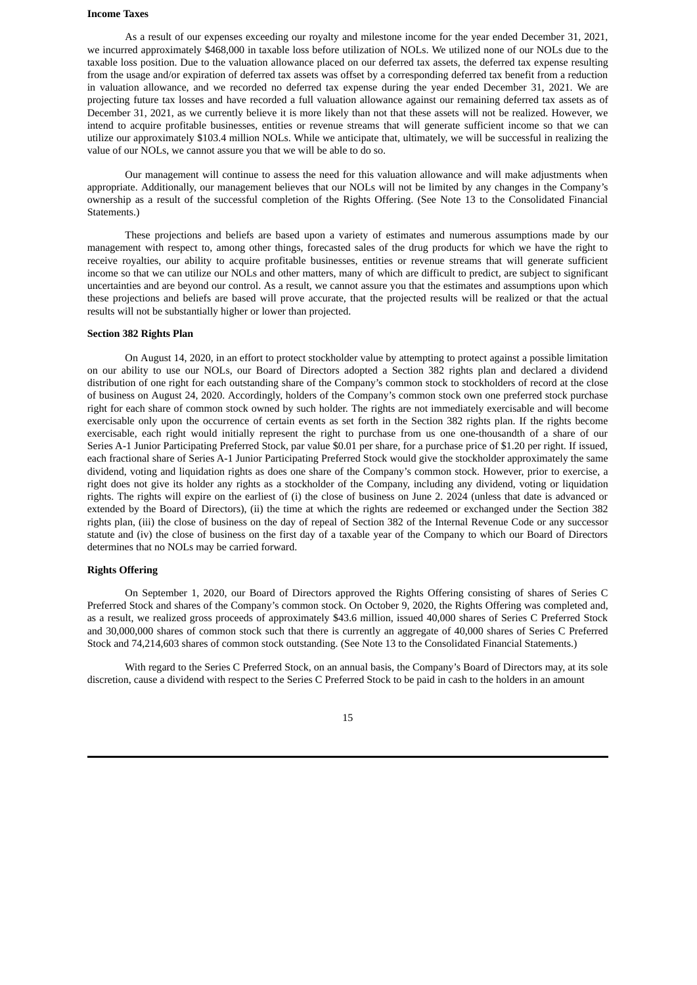#### **Income Taxes**

As a result of our expenses exceeding our royalty and milestone income for the year ended December 31, 2021, we incurred approximately \$468,000 in taxable loss before utilization of NOLs. We utilized none of our NOLs due to the taxable loss position. Due to the valuation allowance placed on our deferred tax assets, the deferred tax expense resulting from the usage and/or expiration of deferred tax assets was offset by a corresponding deferred tax benefit from a reduction in valuation allowance, and we recorded no deferred tax expense during the year ended December 31, 2021. We are projecting future tax losses and have recorded a full valuation allowance against our remaining deferred tax assets as of December 31, 2021, as we currently believe it is more likely than not that these assets will not be realized. However, we intend to acquire profitable businesses, entities or revenue streams that will generate sufficient income so that we can utilize our approximately \$103.4 million NOLs. While we anticipate that, ultimately, we will be successful in realizing the value of our NOLs, we cannot assure you that we will be able to do so.

Our management will continue to assess the need for this valuation allowance and will make adjustments when appropriate. Additionally, our management believes that our NOLs will not be limited by any changes in the Company's ownership as a result of the successful completion of the Rights Offering. (See Note 13 to the Consolidated Financial Statements.)

These projections and beliefs are based upon a variety of estimates and numerous assumptions made by our management with respect to, among other things, forecasted sales of the drug products for which we have the right to receive royalties, our ability to acquire profitable businesses, entities or revenue streams that will generate sufficient income so that we can utilize our NOLs and other matters, many of which are difficult to predict, are subject to significant uncertainties and are beyond our control. As a result, we cannot assure you that the estimates and assumptions upon which these projections and beliefs are based will prove accurate, that the projected results will be realized or that the actual results will not be substantially higher or lower than projected.

#### **Section 382 Rights Plan**

On August 14, 2020, in an effort to protect stockholder value by attempting to protect against a possible limitation on our ability to use our NOLs, our Board of Directors adopted a Section 382 rights plan and declared a dividend distribution of one right for each outstanding share of the Company's common stock to stockholders of record at the close of business on August 24, 2020. Accordingly, holders of the Company's common stock own one preferred stock purchase right for each share of common stock owned by such holder. The rights are not immediately exercisable and will become exercisable only upon the occurrence of certain events as set forth in the Section 382 rights plan. If the rights become exercisable, each right would initially represent the right to purchase from us one one-thousandth of a share of our Series A-1 Junior Participating Preferred Stock, par value \$0.01 per share, for a purchase price of \$1.20 per right. If issued, each fractional share of Series A-1 Junior Participating Preferred Stock would give the stockholder approximately the same dividend, voting and liquidation rights as does one share of the Company's common stock. However, prior to exercise, a right does not give its holder any rights as a stockholder of the Company, including any dividend, voting or liquidation rights. The rights will expire on the earliest of (i) the close of business on June 2. 2024 (unless that date is advanced or extended by the Board of Directors), (ii) the time at which the rights are redeemed or exchanged under the Section 382 rights plan, (iii) the close of business on the day of repeal of Section 382 of the Internal Revenue Code or any successor statute and (iv) the close of business on the first day of a taxable year of the Company to which our Board of Directors determines that no NOLs may be carried forward.

### **Rights Offering**

On September 1, 2020, our Board of Directors approved the Rights Offering consisting of shares of Series C Preferred Stock and shares of the Company's common stock. On October 9, 2020, the Rights Offering was completed and, as a result, we realized gross proceeds of approximately \$43.6 million, issued 40,000 shares of Series C Preferred Stock and 30,000,000 shares of common stock such that there is currently an aggregate of 40,000 shares of Series C Preferred Stock and 74,214,603 shares of common stock outstanding. (See Note 13 to the Consolidated Financial Statements.)

With regard to the Series C Preferred Stock, on an annual basis, the Company's Board of Directors may, at its sole discretion, cause a dividend with respect to the Series C Preferred Stock to be paid in cash to the holders in an amount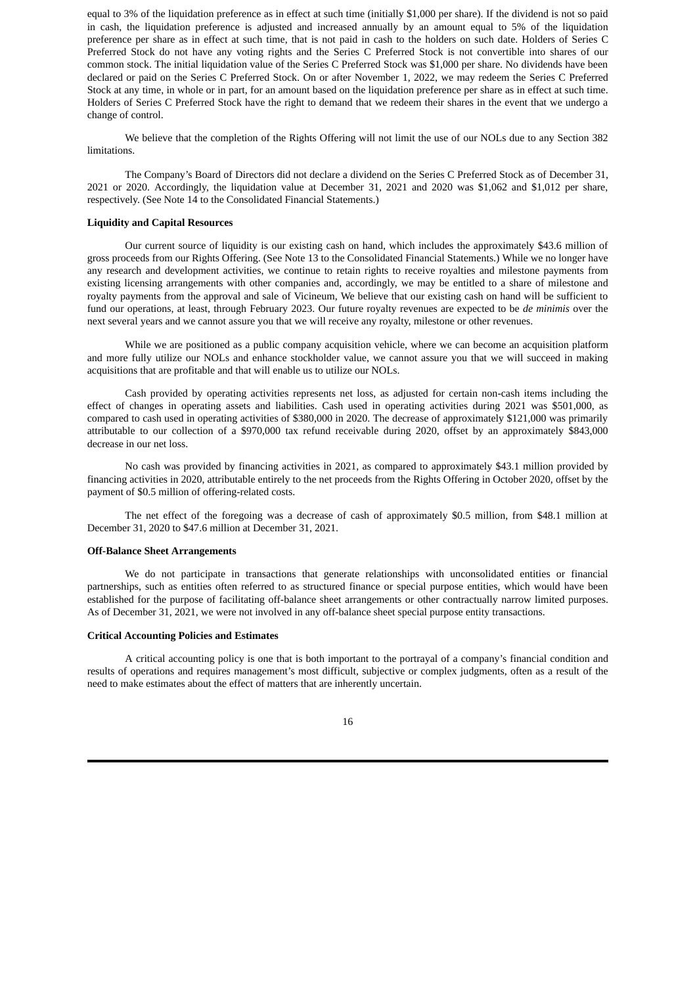equal to 3% of the liquidation preference as in effect at such time (initially \$1,000 per share). If the dividend is not so paid in cash, the liquidation preference is adjusted and increased annually by an amount equal to 5% of the liquidation preference per share as in effect at such time, that is not paid in cash to the holders on such date. Holders of Series C Preferred Stock do not have any voting rights and the Series C Preferred Stock is not convertible into shares of our common stock. The initial liquidation value of the Series C Preferred Stock was \$1,000 per share. No dividends have been declared or paid on the Series C Preferred Stock. On or after November 1, 2022, we may redeem the Series C Preferred Stock at any time, in whole or in part, for an amount based on the liquidation preference per share as in effect at such time. Holders of Series C Preferred Stock have the right to demand that we redeem their shares in the event that we undergo a change of control.

We believe that the completion of the Rights Offering will not limit the use of our NOLs due to any Section 382 limitations.

The Company's Board of Directors did not declare a dividend on the Series C Preferred Stock as of December 31, 2021 or 2020. Accordingly, the liquidation value at December 31, 2021 and 2020 was \$1,062 and \$1,012 per share, respectively. (See Note 14 to the Consolidated Financial Statements.)

### **Liquidity and Capital Resources**

Our current source of liquidity is our existing cash on hand, which includes the approximately \$43.6 million of gross proceeds from our Rights Offering. (See Note 13 to the Consolidated Financial Statements.) While we no longer have any research and development activities, we continue to retain rights to receive royalties and milestone payments from existing licensing arrangements with other companies and, accordingly, we may be entitled to a share of milestone and royalty payments from the approval and sale of Vicineum, We believe that our existing cash on hand will be sufficient to fund our operations, at least, through February 2023. Our future royalty revenues are expected to be *de minimis* over the next several years and we cannot assure you that we will receive any royalty, milestone or other revenues.

While we are positioned as a public company acquisition vehicle, where we can become an acquisition platform and more fully utilize our NOLs and enhance stockholder value, we cannot assure you that we will succeed in making acquisitions that are profitable and that will enable us to utilize our NOLs.

Cash provided by operating activities represents net loss, as adjusted for certain non-cash items including the effect of changes in operating assets and liabilities. Cash used in operating activities during 2021 was \$501,000, as compared to cash used in operating activities of \$380,000 in 2020. The decrease of approximately \$121,000 was primarily attributable to our collection of a \$970,000 tax refund receivable during 2020, offset by an approximately \$843,000 decrease in our net loss.

No cash was provided by financing activities in 2021, as compared to approximately \$43.1 million provided by financing activities in 2020, attributable entirely to the net proceeds from the Rights Offering in October 2020, offset by the payment of \$0.5 million of offering-related costs.

The net effect of the foregoing was a decrease of cash of approximately \$0.5 million, from \$48.1 million at December 31, 2020 to \$47.6 million at December 31, 2021.

#### **Off-Balance Sheet Arrangements**

We do not participate in transactions that generate relationships with unconsolidated entities or financial partnerships, such as entities often referred to as structured finance or special purpose entities, which would have been established for the purpose of facilitating off-balance sheet arrangements or other contractually narrow limited purposes. As of December 31, 2021, we were not involved in any off-balance sheet special purpose entity transactions.

#### **Critical Accounting Policies and Estimates**

A critical accounting policy is one that is both important to the portrayal of a company's financial condition and results of operations and requires management's most difficult, subjective or complex judgments, often as a result of the need to make estimates about the effect of matters that are inherently uncertain.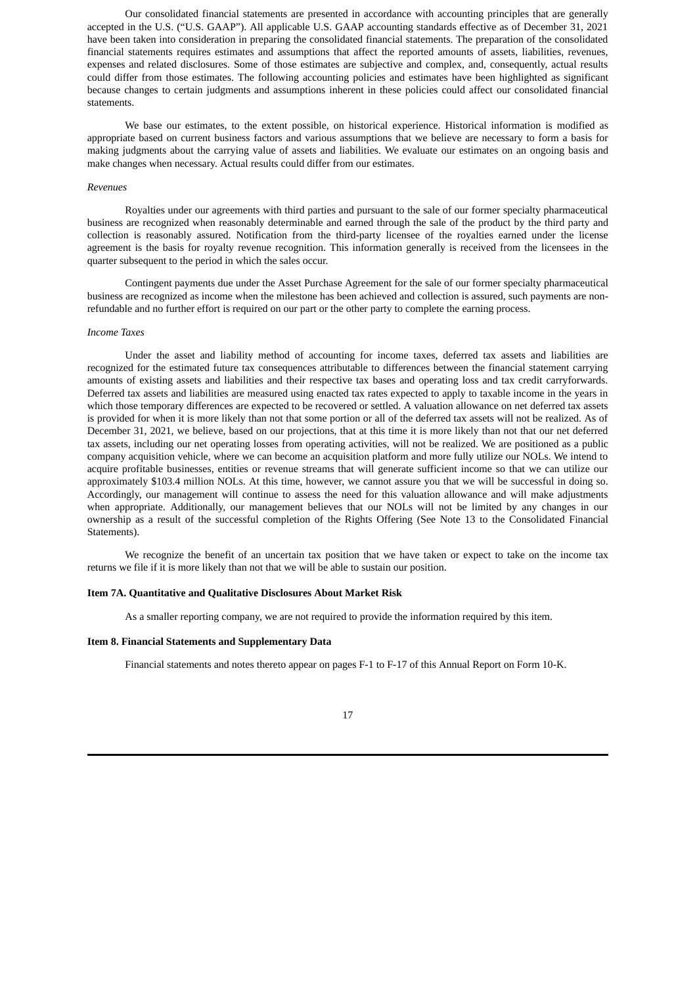Our consolidated financial statements are presented in accordance with accounting principles that are generally accepted in the U.S. ("U.S. GAAP"). All applicable U.S. GAAP accounting standards effective as of December 31, 2021 have been taken into consideration in preparing the consolidated financial statements. The preparation of the consolidated financial statements requires estimates and assumptions that affect the reported amounts of assets, liabilities, revenues, expenses and related disclosures. Some of those estimates are subjective and complex, and, consequently, actual results could differ from those estimates. The following accounting policies and estimates have been highlighted as significant because changes to certain judgments and assumptions inherent in these policies could affect our consolidated financial statements.

We base our estimates, to the extent possible, on historical experience. Historical information is modified as appropriate based on current business factors and various assumptions that we believe are necessary to form a basis for making judgments about the carrying value of assets and liabilities. We evaluate our estimates on an ongoing basis and make changes when necessary. Actual results could differ from our estimates.

### *Revenues*

Royalties under our agreements with third parties and pursuant to the sale of our former specialty pharmaceutical business are recognized when reasonably determinable and earned through the sale of the product by the third party and collection is reasonably assured. Notification from the third-party licensee of the royalties earned under the license agreement is the basis for royalty revenue recognition. This information generally is received from the licensees in the quarter subsequent to the period in which the sales occur.

Contingent payments due under the Asset Purchase Agreement for the sale of our former specialty pharmaceutical business are recognized as income when the milestone has been achieved and collection is assured, such payments are nonrefundable and no further effort is required on our part or the other party to complete the earning process.

### *Income Taxes*

Under the asset and liability method of accounting for income taxes, deferred tax assets and liabilities are recognized for the estimated future tax consequences attributable to differences between the financial statement carrying amounts of existing assets and liabilities and their respective tax bases and operating loss and tax credit carryforwards. Deferred tax assets and liabilities are measured using enacted tax rates expected to apply to taxable income in the years in which those temporary differences are expected to be recovered or settled. A valuation allowance on net deferred tax assets is provided for when it is more likely than not that some portion or all of the deferred tax assets will not be realized. As of December 31, 2021, we believe, based on our projections, that at this time it is more likely than not that our net deferred tax assets, including our net operating losses from operating activities, will not be realized. We are positioned as a public company acquisition vehicle, where we can become an acquisition platform and more fully utilize our NOLs. We intend to acquire profitable businesses, entities or revenue streams that will generate sufficient income so that we can utilize our approximately \$103.4 million NOLs. At this time, however, we cannot assure you that we will be successful in doing so. Accordingly, our management will continue to assess the need for this valuation allowance and will make adjustments when appropriate. Additionally, our management believes that our NOLs will not be limited by any changes in our ownership as a result of the successful completion of the Rights Offering (See Note 13 to the Consolidated Financial Statements).

We recognize the benefit of an uncertain tax position that we have taken or expect to take on the income tax returns we file if it is more likely than not that we will be able to sustain our position.

### <span id="page-16-0"></span>**Item 7A. Quantitative and Qualitative Disclosures About Market Risk**

As a smaller reporting company, we are not required to provide the information required by this item.

#### <span id="page-16-1"></span>**Item 8. Financial Statements and Supplementary Data**

Financial statements and notes thereto appear on pages F-1 to F-17 of this Annual Report on Form 10-K.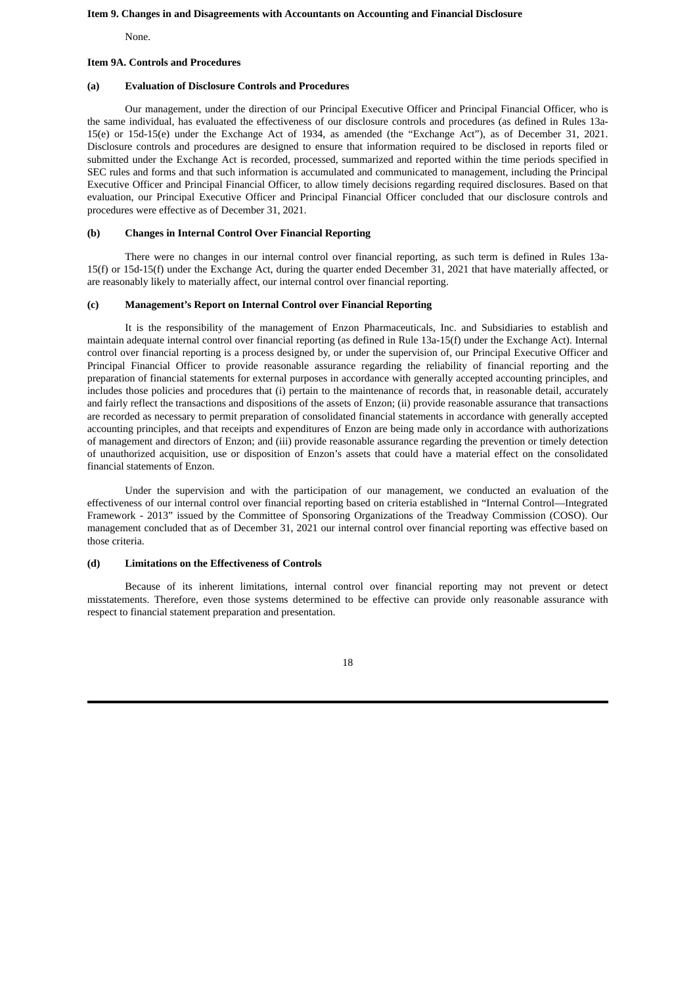#### <span id="page-17-0"></span>**Item 9. Changes in and Disagreements with Accountants on Accounting and Financial Disclosure**

None.

### <span id="page-17-1"></span>**Item 9A. Controls and Procedures**

### **(a) Evaluation of Disclosure Controls and Procedures**

Our management, under the direction of our Principal Executive Officer and Principal Financial Officer, who is the same individual, has evaluated the effectiveness of our disclosure controls and procedures (as defined in Rules 13a-15(e) or 15d-15(e) under the Exchange Act of 1934, as amended (the "Exchange Act"), as of December 31, 2021. Disclosure controls and procedures are designed to ensure that information required to be disclosed in reports filed or submitted under the Exchange Act is recorded, processed, summarized and reported within the time periods specified in SEC rules and forms and that such information is accumulated and communicated to management, including the Principal Executive Officer and Principal Financial Officer, to allow timely decisions regarding required disclosures. Based on that evaluation, our Principal Executive Officer and Principal Financial Officer concluded that our disclosure controls and procedures were effective as of December 31, 2021.

## **(b) Changes in Internal Control Over Financial Reporting**

There were no changes in our internal control over financial reporting, as such term is defined in Rules 13a-15(f) or 15d-15(f) under the Exchange Act, during the quarter ended December 31, 2021 that have materially affected, or are reasonably likely to materially affect, our internal control over financial reporting.

#### **(c) Management's Report on Internal Control over Financial Reporting**

It is the responsibility of the management of Enzon Pharmaceuticals, Inc. and Subsidiaries to establish and maintain adequate internal control over financial reporting (as defined in Rule 13a-15(f) under the Exchange Act). Internal control over financial reporting is a process designed by, or under the supervision of, our Principal Executive Officer and Principal Financial Officer to provide reasonable assurance regarding the reliability of financial reporting and the preparation of financial statements for external purposes in accordance with generally accepted accounting principles, and includes those policies and procedures that (i) pertain to the maintenance of records that, in reasonable detail, accurately and fairly reflect the transactions and dispositions of the assets of Enzon; (ii) provide reasonable assurance that transactions are recorded as necessary to permit preparation of consolidated financial statements in accordance with generally accepted accounting principles, and that receipts and expenditures of Enzon are being made only in accordance with authorizations of management and directors of Enzon; and (iii) provide reasonable assurance regarding the prevention or timely detection of unauthorized acquisition, use or disposition of Enzon's assets that could have a material effect on the consolidated financial statements of Enzon.

Under the supervision and with the participation of our management, we conducted an evaluation of the effectiveness of our internal control over financial reporting based on criteria established in "Internal Control—Integrated Framework - 2013" issued by the Committee of Sponsoring Organizations of the Treadway Commission (COSO). Our management concluded that as of December 31, 2021 our internal control over financial reporting was effective based on those criteria.

#### **(d) Limitations on the Effectiveness of Controls**

Because of its inherent limitations, internal control over financial reporting may not prevent or detect misstatements. Therefore, even those systems determined to be effective can provide only reasonable assurance with respect to financial statement preparation and presentation.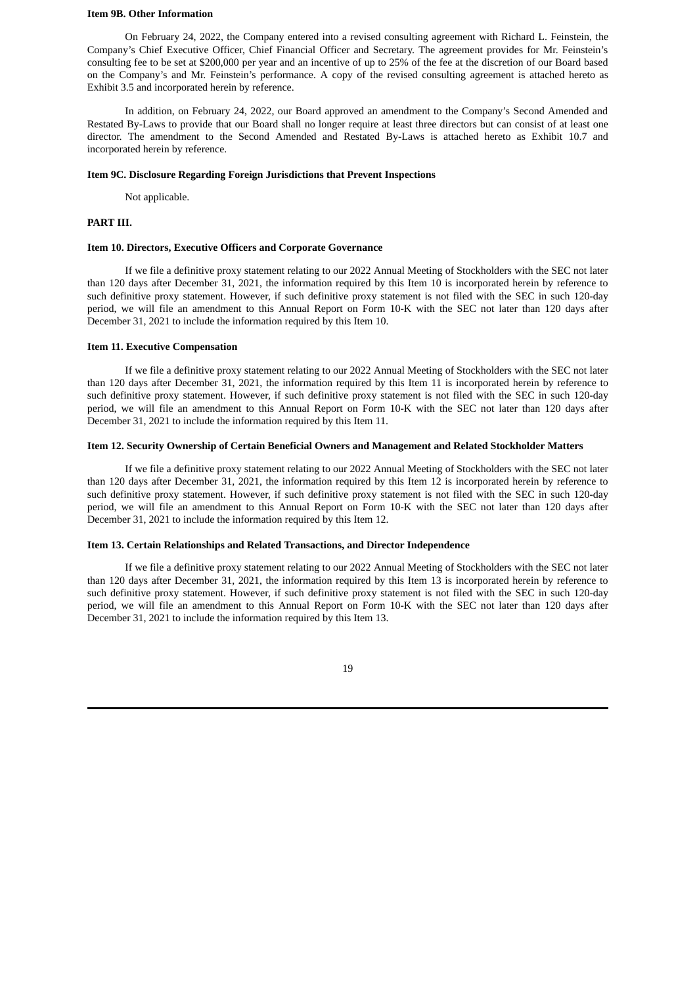### <span id="page-18-0"></span>**Item 9B. Other Information**

On February 24, 2022, the Company entered into a revised consulting agreement with Richard L. Feinstein, the Company's Chief Executive Officer, Chief Financial Officer and Secretary. The agreement provides for Mr. Feinstein's consulting fee to be set at \$200,000 per year and an incentive of up to 25% of the fee at the discretion of our Board based on the Company's and Mr. Feinstein's performance. A copy of the revised consulting agreement is attached hereto as Exhibit 3.5 and incorporated herein by reference.

In addition, on February 24, 2022, our Board approved an amendment to the Company's Second Amended and Restated By-Laws to provide that our Board shall no longer require at least three directors but can consist of at least one director. The amendment to the Second Amended and Restated By-Laws is attached hereto as Exhibit 10.7 and incorporated herein by reference.

#### <span id="page-18-1"></span>**Item 9C. Disclosure Regarding Foreign Jurisdictions that Prevent Inspections**

Not applicable.

### **PART III.**

#### <span id="page-18-2"></span>**Item 10. Directors, Executive Officers and Corporate Governance**

If we file a definitive proxy statement relating to our 2022 Annual Meeting of Stockholders with the SEC not later than 120 days after December 31, 2021, the information required by this Item 10 is incorporated herein by reference to such definitive proxy statement. However, if such definitive proxy statement is not filed with the SEC in such 120-day period, we will file an amendment to this Annual Report on Form 10-K with the SEC not later than 120 days after December 31, 2021 to include the information required by this Item 10.

#### <span id="page-18-3"></span>**Item 11. Executive Compensation**

If we file a definitive proxy statement relating to our 2022 Annual Meeting of Stockholders with the SEC not later than 120 days after December 31, 2021, the information required by this Item 11 is incorporated herein by reference to such definitive proxy statement. However, if such definitive proxy statement is not filed with the SEC in such 120-day period, we will file an amendment to this Annual Report on Form 10-K with the SEC not later than 120 days after December 31, 2021 to include the information required by this Item 11.

### <span id="page-18-4"></span>**Item 12. Security Ownership of Certain Beneficial Owners and Management and Related Stockholder Matters**

If we file a definitive proxy statement relating to our 2022 Annual Meeting of Stockholders with the SEC not later than 120 days after December 31, 2021, the information required by this Item 12 is incorporated herein by reference to such definitive proxy statement. However, if such definitive proxy statement is not filed with the SEC in such 120-day period, we will file an amendment to this Annual Report on Form 10-K with the SEC not later than 120 days after December 31, 2021 to include the information required by this Item 12.

### <span id="page-18-5"></span>**Item 13. Certain Relationships and Related Transactions, and Director Independence**

If we file a definitive proxy statement relating to our 2022 Annual Meeting of Stockholders with the SEC not later than 120 days after December 31, 2021, the information required by this Item 13 is incorporated herein by reference to such definitive proxy statement. However, if such definitive proxy statement is not filed with the SEC in such 120-day period, we will file an amendment to this Annual Report on Form 10-K with the SEC not later than 120 days after December 31, 2021 to include the information required by this Item 13.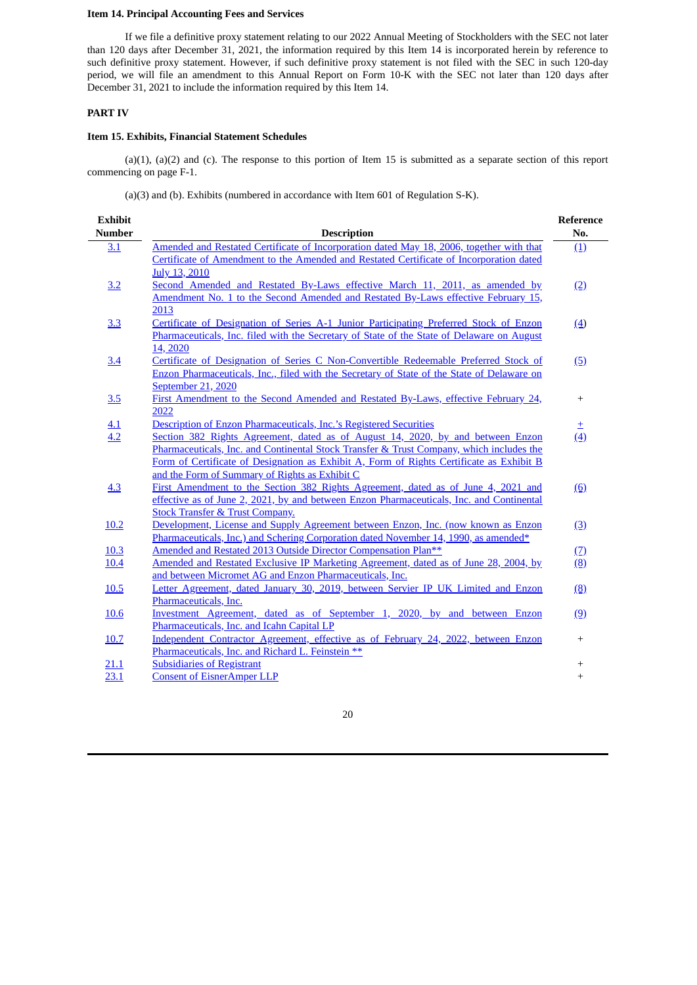### <span id="page-19-0"></span>**Item 14. Principal Accounting Fees and Services**

If we file a definitive proxy statement relating to our 2022 Annual Meeting of Stockholders with the SEC not later than 120 days after December 31, 2021, the information required by this Item 14 is incorporated herein by reference to such definitive proxy statement. However, if such definitive proxy statement is not filed with the SEC in such 120-day period, we will file an amendment to this Annual Report on Form 10-K with the SEC not later than 120 days after December 31, 2021 to include the information required by this Item 14.

## **PART IV**

### <span id="page-19-1"></span>**Item 15. Exhibits, Financial Statement Schedules**

(a)(1), (a)(2) and (c). The response to this portion of Item 15 is submitted as a separate section of this report commencing on page F-1.

(a)(3) and (b). Exhibits (numbered in accordance with Item 601 of Regulation S-K).

| <b>Exhibit</b> |                                                                                            | Reference         |
|----------------|--------------------------------------------------------------------------------------------|-------------------|
| <b>Number</b>  | <b>Description</b>                                                                         | No.               |
| 3.1            | Amended and Restated Certificate of Incorporation dated May 18, 2006, together with that   | (1)               |
|                | Certificate of Amendment to the Amended and Restated Certificate of Incorporation dated    |                   |
|                | July 13, 2010                                                                              |                   |
| 3.2            | Second Amended and Restated By-Laws effective March 11, 2011, as amended by                | (2)               |
|                | Amendment No. 1 to the Second Amended and Restated By-Laws effective February 15,          |                   |
|                | 2013                                                                                       |                   |
| 3.3            | Certificate of Designation of Series A-1 Junior Participating Preferred Stock of Enzon     | $\left( 4\right)$ |
|                | Pharmaceuticals, Inc. filed with the Secretary of State of the State of Delaware on August |                   |
|                | 14, 2020                                                                                   |                   |
| 3.4            | Certificate of Designation of Series C Non-Convertible Redeemable Preferred Stock of       | (5)               |
|                | Enzon Pharmaceuticals, Inc., filed with the Secretary of State of the State of Delaware on |                   |
|                | <b>September 21, 2020</b>                                                                  |                   |
| 3.5            | First Amendment to the Second Amended and Restated By-Laws, effective February 24,         | $^{+}$            |
|                | 2022                                                                                       |                   |
| 4.1            | Description of Enzon Pharmaceuticals, Inc.'s Registered Securities                         | $\pm$             |
| 4.2            | Section 382 Rights Agreement, dated as of August 14, 2020, by and between Enzon            | (4)               |
|                | Pharmaceuticals, Inc. and Continental Stock Transfer & Trust Company, which includes the   |                   |
|                | Form of Certificate of Designation as Exhibit A, Form of Rights Certificate as Exhibit B   |                   |
|                | and the Form of Summary of Rights as Exhibit C                                             |                   |
| 4.3            | First Amendment to the Section 382 Rights Agreement, dated as of June 4, 2021 and          | (6)               |
|                | effective as of June 2, 2021, by and between Enzon Pharmaceuticals, Inc. and Continental   |                   |
|                | <b>Stock Transfer &amp; Trust Company.</b>                                                 |                   |
| 10.2           | Development, License and Supply Agreement between Enzon, Inc. (now known as Enzon          | (3)               |
|                | Pharmaceuticals, Inc.) and Schering Corporation dated November 14, 1990, as amended*       |                   |
| 10.3           | Amended and Restated 2013 Outside Director Compensation Plan**                             | (2)               |
| 10.4           | Amended and Restated Exclusive IP Marketing Agreement, dated as of June 28, 2004, by       | (8)               |
|                | and between Micromet AG and Enzon Pharmaceuticals, Inc.                                    |                   |
| 10.5           | Letter Agreement, dated January 30, 2019, between Servier IP UK Limited and Enzon          | (8)               |
|                | Pharmaceuticals, Inc.                                                                      |                   |
| <b>10.6</b>    | Investment Agreement, dated as of September 1, 2020, by and between Enzon                  | (9)               |
|                | Pharmaceuticals, Inc. and Icahn Capital LP                                                 |                   |
| 10.7           | Independent Contractor Agreement, effective as of February 24, 2022, between Enzon         | $^{+}$            |
|                | Pharmaceuticals, Inc. and Richard L. Feinstein **                                          |                   |
| 21.1           | <b>Subsidiaries of Registrant</b>                                                          | $^{+}$            |
| 23.1           | <b>Consent of EisnerAmper LLP</b>                                                          | $^{+}$            |
|                |                                                                                            |                   |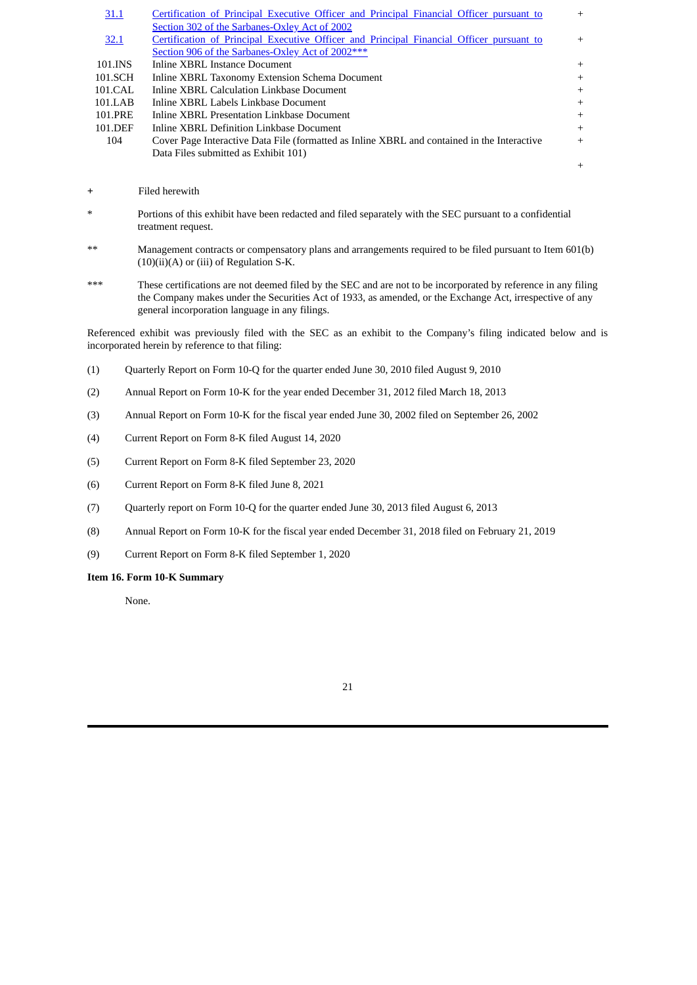| 31.1    | Certification of Principal Executive Officer and Principal Financial Officer pursuant to    | $+$    |
|---------|---------------------------------------------------------------------------------------------|--------|
|         | Section 302 of the Sarbanes-Oxley Act of 2002                                               |        |
| 32.1    | Certification of Principal Executive Officer and Principal Financial Officer pursuant to    | $+$    |
|         | Section 906 of the Sarbanes-Oxley Act of 2002***                                            |        |
| 101.INS | Inline XBRL Instance Document                                                               | $^{+}$ |
| 101.SCH | Inline XBRL Taxonomy Extension Schema Document                                              | $^{+}$ |
| 101.CAL | Inline XBRL Calculation Linkbase Document                                                   | $^{+}$ |
| 101.LAB | Inline XBRL Labels Linkbase Document                                                        | $^{+}$ |
| 101.PRE | Inline XBRL Presentation Linkbase Document                                                  | $^{+}$ |
| 101.DEF | Inline XBRL Definition Linkbase Document                                                    | $+$    |
| 104     | Cover Page Interactive Data File (formatted as Inline XBRL and contained in the Interactive | $+$    |
|         | Data Files submitted as Exhibit 101)                                                        |        |
|         |                                                                                             | $^+$   |

- **+** Filed herewith
- Portions of this exhibit have been redacted and filed separately with the SEC pursuant to a confidential treatment request.
- \*\* Management contracts or compensatory plans and arrangements required to be filed pursuant to Item 601(b)  $(10)(ii)(A)$  or (iii) of Regulation S-K.
- \*\*\* These certifications are not deemed filed by the SEC and are not to be incorporated by reference in any filing the Company makes under the Securities Act of 1933, as amended, or the Exchange Act, irrespective of any general incorporation language in any filings.

Referenced exhibit was previously filed with the SEC as an exhibit to the Company's filing indicated below and is incorporated herein by reference to that filing:

- (1) Quarterly Report on Form 10-Q for the quarter ended June 30, 2010 filed August 9, 2010
- (2) Annual Report on Form 10-K for the year ended December 31, 2012 filed March 18, 2013
- (3) Annual Report on Form 10-K for the fiscal year ended June 30, 2002 filed on September 26, 2002
- (4) Current Report on Form 8-K filed August 14, 2020
- (5) Current Report on Form 8-K filed September 23, 2020
- (6) Current Report on Form 8-K filed June 8, 2021
- (7) Quarterly report on Form 10-Q for the quarter ended June 30, 2013 filed August 6, 2013
- (8) Annual Report on Form 10-K for the fiscal year ended December 31, 2018 filed on February 21, 2019
- (9) Current Report on Form 8-K filed September 1, 2020

## <span id="page-20-0"></span>**Item 16. Form 10-K Summary**

None.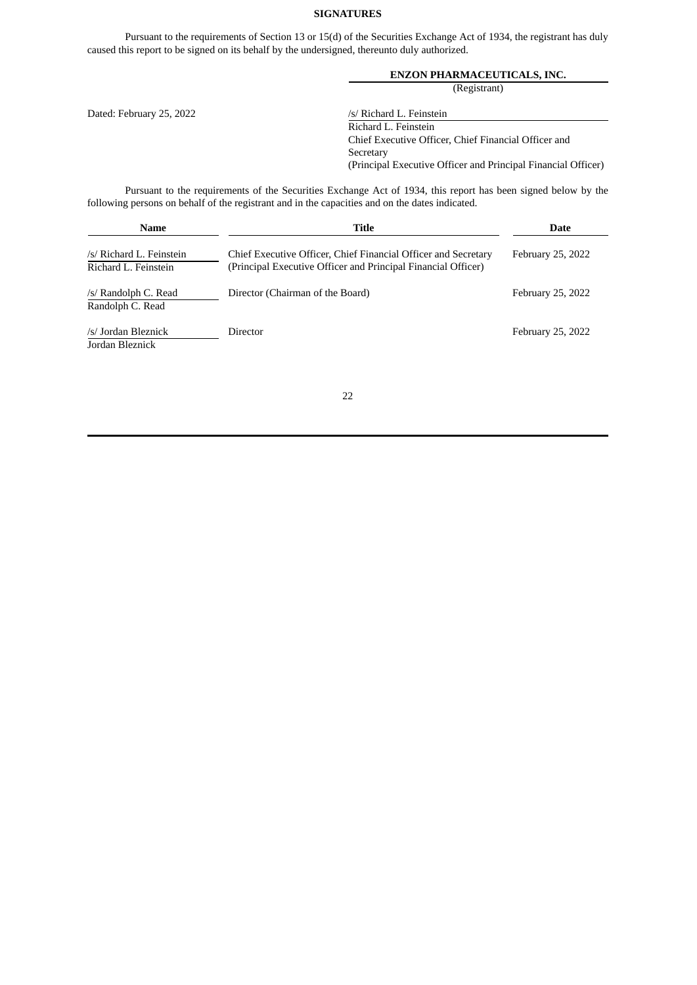## **SIGNATURES**

Pursuant to the requirements of Section 13 or 15(d) of the Securities Exchange Act of 1934, the registrant has duly caused this report to be signed on its behalf by the undersigned, thereunto duly authorized.

## **ENZON PHARMACEUTICALS, INC.**

(Registrant)

Dated: February 25, 2022 /s/ Richard L. Feinstein

Richard L. Feinstein Chief Executive Officer, Chief Financial Officer and Secretary (Principal Executive Officer and Principal Financial Officer)

Pursuant to the requirements of the Securities Exchange Act of 1934, this report has been signed below by the following persons on behalf of the registrant and in the capacities and on the dates indicated.

| Name                                             | Title                                                                                                                           | Date              |
|--------------------------------------------------|---------------------------------------------------------------------------------------------------------------------------------|-------------------|
| /s/ Richard L. Feinstein<br>Richard L. Feinstein | Chief Executive Officer, Chief Financial Officer and Secretary<br>(Principal Executive Officer and Principal Financial Officer) | February 25, 2022 |
| /s/ Randolph C. Read<br>Randolph C. Read         | Director (Chairman of the Board)                                                                                                | February 25, 2022 |
| /s/ Jordan Bleznick<br>Jordan Bleznick           | Director                                                                                                                        | February 25, 2022 |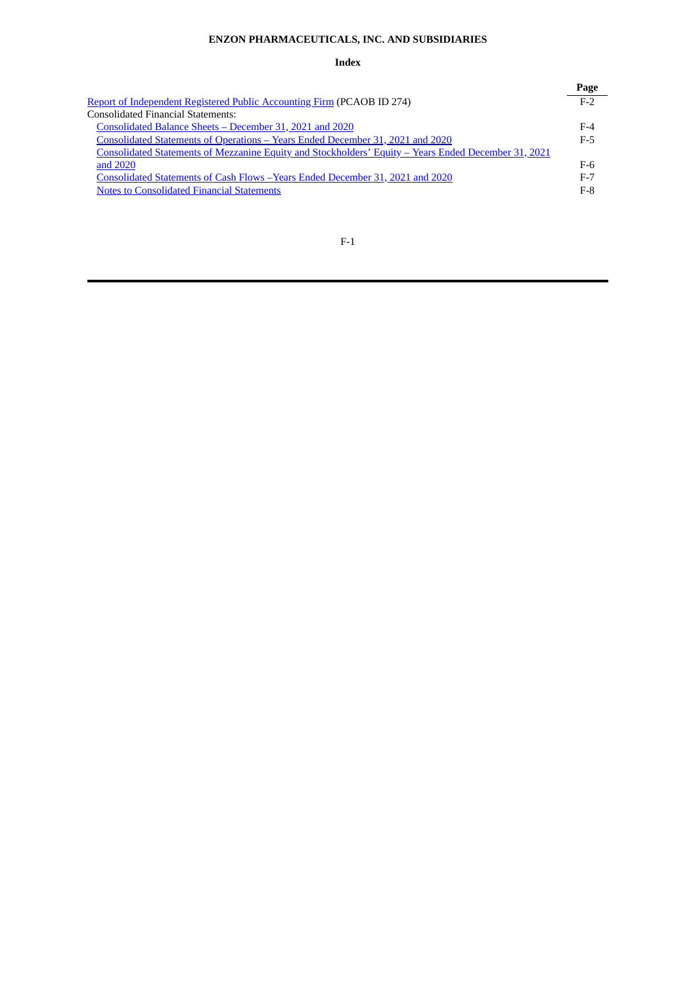# **ENZON PHARMACEUTICALS, INC. AND SUBSIDIARIES**

## **Index**

|                                                                                                      | Page  |
|------------------------------------------------------------------------------------------------------|-------|
| Report of Independent Registered Public Accounting Firm (PCAOB ID 274)                               | $F-2$ |
| Consolidated Financial Statements:                                                                   |       |
| Consolidated Balance Sheets – December 31, 2021 and 2020                                             | $F-4$ |
| Consolidated Statements of Operations - Years Ended December 31, 2021 and 2020                       | $F-5$ |
| Consolidated Statements of Mezzanine Equity and Stockholders' Equity - Years Ended December 31, 2021 |       |
| and 2020                                                                                             | F-6   |
| Consolidated Statements of Cash Flows - Years Ended December 31, 2021 and 2020                       | $F-7$ |
| <b>Notes to Consolidated Financial Statements</b>                                                    | $F-8$ |
|                                                                                                      |       |

# F-1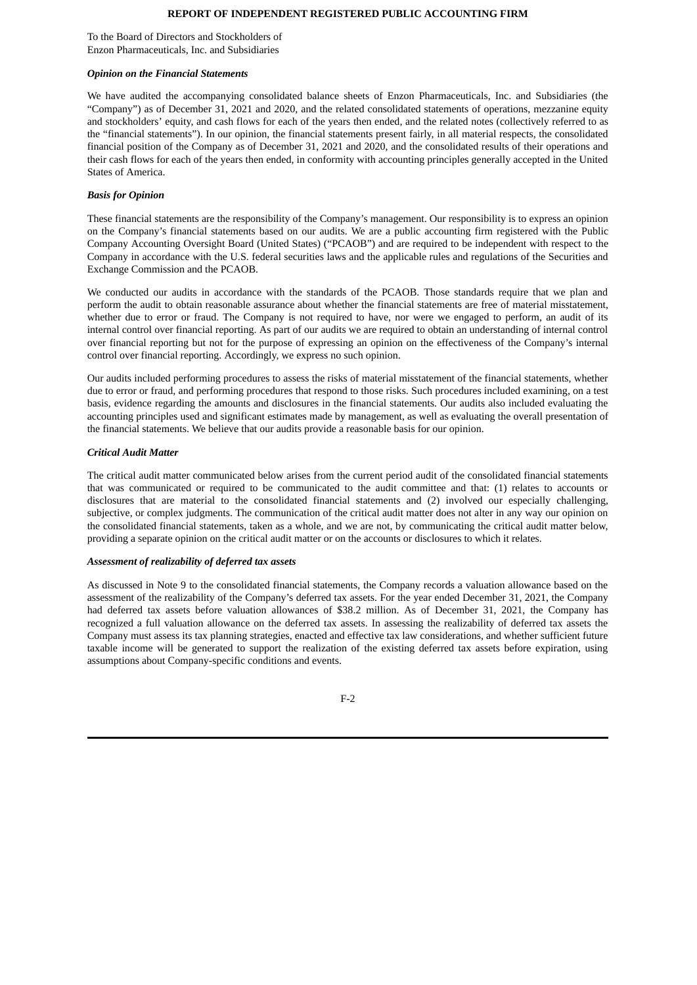### **REPORT OF INDEPENDENT REGISTERED PUBLIC ACCOUNTING FIRM**

<span id="page-23-0"></span>To the Board of Directors and Stockholders of Enzon Pharmaceuticals, Inc. and Subsidiaries

### *Opinion on the Financial Statements*

We have audited the accompanying consolidated balance sheets of Enzon Pharmaceuticals, Inc. and Subsidiaries (the "Company") as of December 31, 2021 and 2020, and the related consolidated statements of operations, mezzanine equity and stockholders' equity, and cash flows for each of the years then ended, and the related notes (collectively referred to as the "financial statements"). In our opinion, the financial statements present fairly, in all material respects, the consolidated financial position of the Company as of December 31, 2021 and 2020, and the consolidated results of their operations and their cash flows for each of the years then ended, in conformity with accounting principles generally accepted in the United States of America.

### *Basis for Opinion*

These financial statements are the responsibility of the Company's management. Our responsibility is to express an opinion on the Company's financial statements based on our audits. We are a public accounting firm registered with the Public Company Accounting Oversight Board (United States) ("PCAOB") and are required to be independent with respect to the Company in accordance with the U.S. federal securities laws and the applicable rules and regulations of the Securities and Exchange Commission and the PCAOB.

We conducted our audits in accordance with the standards of the PCAOB. Those standards require that we plan and perform the audit to obtain reasonable assurance about whether the financial statements are free of material misstatement, whether due to error or fraud. The Company is not required to have, nor were we engaged to perform, an audit of its internal control over financial reporting. As part of our audits we are required to obtain an understanding of internal control over financial reporting but not for the purpose of expressing an opinion on the effectiveness of the Company's internal control over financial reporting. Accordingly, we express no such opinion.

Our audits included performing procedures to assess the risks of material misstatement of the financial statements, whether due to error or fraud, and performing procedures that respond to those risks. Such procedures included examining, on a test basis, evidence regarding the amounts and disclosures in the financial statements. Our audits also included evaluating the accounting principles used and significant estimates made by management, as well as evaluating the overall presentation of the financial statements. We believe that our audits provide a reasonable basis for our opinion.

### *Critical Audit Matter*

The critical audit matter communicated below arises from the current period audit of the consolidated financial statements that was communicated or required to be communicated to the audit committee and that: (1) relates to accounts or disclosures that are material to the consolidated financial statements and (2) involved our especially challenging, subjective, or complex judgments. The communication of the critical audit matter does not alter in any way our opinion on the consolidated financial statements, taken as a whole, and we are not, by communicating the critical audit matter below, providing a separate opinion on the critical audit matter or on the accounts or disclosures to which it relates.

### *Assessment of realizability of deferred tax assets*

As discussed in Note 9 to the consolidated financial statements, the Company records a valuation allowance based on the assessment of the realizability of the Company's deferred tax assets. For the year ended December 31, 2021, the Company had deferred tax assets before valuation allowances of \$38.2 million. As of December 31, 2021, the Company has recognized a full valuation allowance on the deferred tax assets. In assessing the realizability of deferred tax assets the Company must assess its tax planning strategies, enacted and effective tax law considerations, and whether sufficient future taxable income will be generated to support the realization of the existing deferred tax assets before expiration, using assumptions about Company-specific conditions and events.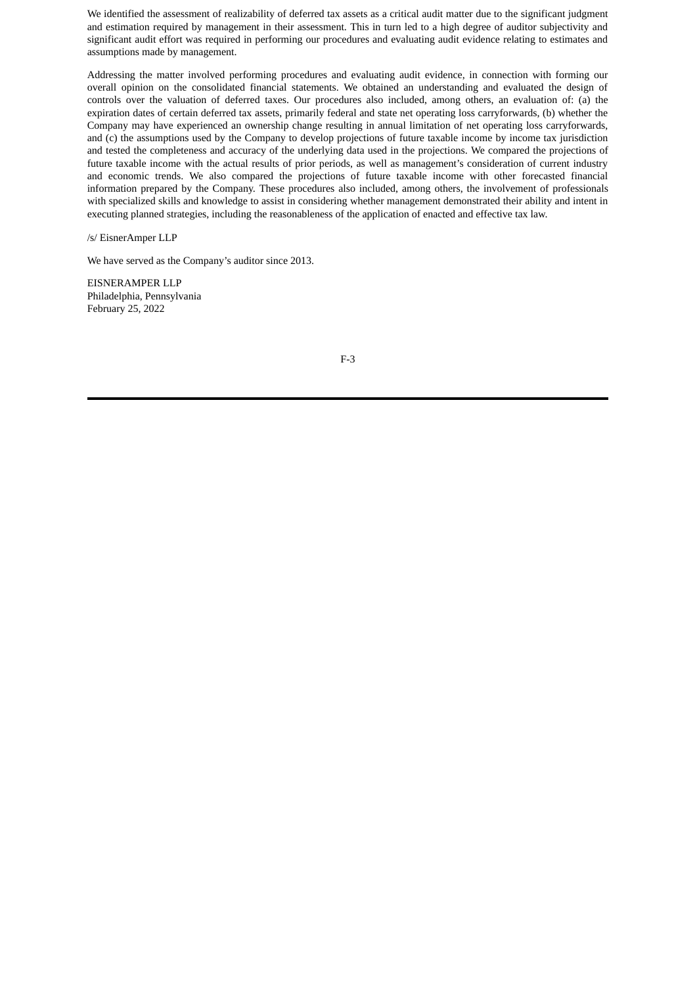We identified the assessment of realizability of deferred tax assets as a critical audit matter due to the significant judgment and estimation required by management in their assessment. This in turn led to a high degree of auditor subjectivity and significant audit effort was required in performing our procedures and evaluating audit evidence relating to estimates and assumptions made by management.

Addressing the matter involved performing procedures and evaluating audit evidence, in connection with forming our overall opinion on the consolidated financial statements. We obtained an understanding and evaluated the design of controls over the valuation of deferred taxes. Our procedures also included, among others, an evaluation of: (a) the expiration dates of certain deferred tax assets, primarily federal and state net operating loss carryforwards, (b) whether the Company may have experienced an ownership change resulting in annual limitation of net operating loss carryforwards, and (c) the assumptions used by the Company to develop projections of future taxable income by income tax jurisdiction and tested the completeness and accuracy of the underlying data used in the projections. We compared the projections of future taxable income with the actual results of prior periods, as well as management's consideration of current industry and economic trends. We also compared the projections of future taxable income with other forecasted financial information prepared by the Company. These procedures also included, among others, the involvement of professionals with specialized skills and knowledge to assist in considering whether management demonstrated their ability and intent in executing planned strategies, including the reasonableness of the application of enacted and effective tax law.

/s/ EisnerAmper LLP

We have served as the Company's auditor since 2013.

EISNERAMPER LLP Philadelphia, Pennsylvania February 25, 2022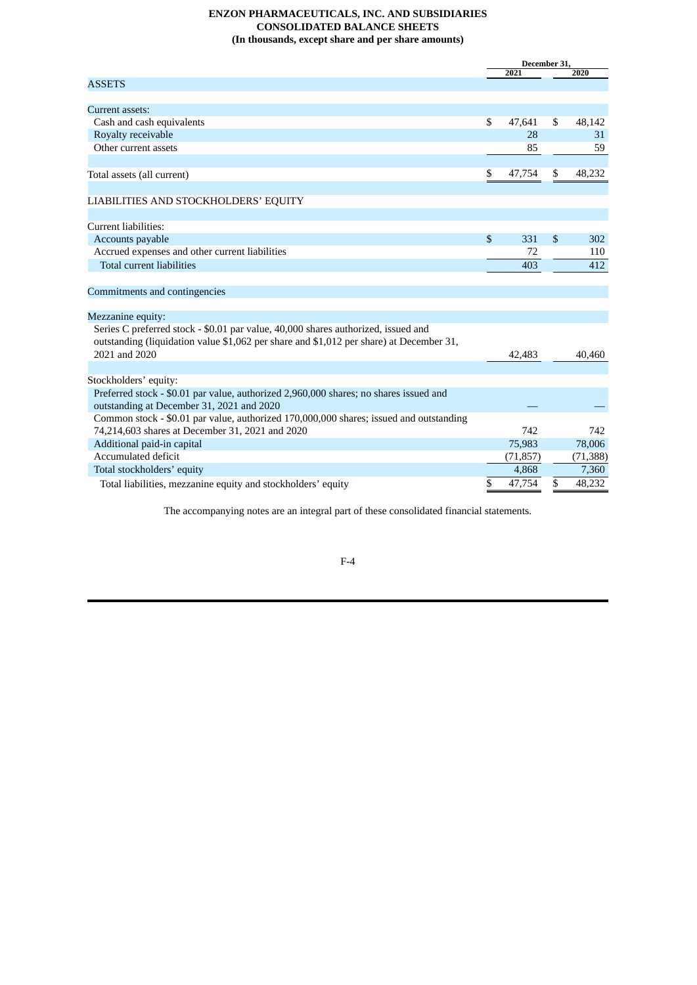## **ENZON PHARMACEUTICALS, INC. AND SUBSIDIARIES CONSOLIDATED BALANCE SHEETS (In thousands, except share and per share amounts)**

<span id="page-25-0"></span>

|                                                                                         | December 31, |           |    |           |
|-----------------------------------------------------------------------------------------|--------------|-----------|----|-----------|
|                                                                                         |              | 2021      |    | 2020      |
| <b>ASSETS</b>                                                                           |              |           |    |           |
| Current assets:                                                                         |              |           |    |           |
| Cash and cash equivalents                                                               | \$           | 47,641    | \$ | 48,142    |
| Royalty receivable                                                                      |              | 28        |    | 31        |
| Other current assets                                                                    |              | 85        |    | 59        |
|                                                                                         |              |           |    |           |
| Total assets (all current)                                                              | \$           | 47,754    | \$ | 48,232    |
| LIABILITIES AND STOCKHOLDERS' EQUITY                                                    |              |           |    |           |
|                                                                                         |              |           |    |           |
| Current liabilities:                                                                    |              |           |    |           |
| Accounts payable                                                                        | \$           | 331       | \$ | 302       |
| Accrued expenses and other current liabilities                                          |              | 72        |    | 110       |
| <b>Total current liabilities</b>                                                        |              | 403       |    | 412       |
|                                                                                         |              |           |    |           |
| Commitments and contingencies                                                           |              |           |    |           |
| Mezzanine equity:                                                                       |              |           |    |           |
| Series C preferred stock - \$0.01 par value, 40,000 shares authorized, issued and       |              |           |    |           |
| outstanding (liquidation value \$1,062 per share and \$1,012 per share) at December 31, |              |           |    |           |
| 2021 and 2020                                                                           |              | 42,483    |    | 40,460    |
|                                                                                         |              |           |    |           |
| Stockholders' equity:                                                                   |              |           |    |           |
| Preferred stock - \$0.01 par value, authorized 2,960,000 shares; no shares issued and   |              |           |    |           |
| outstanding at December 31, 2021 and 2020                                               |              |           |    |           |
| Common stock - \$0.01 par value, authorized 170,000,000 shares; issued and outstanding  |              |           |    |           |
| 74,214,603 shares at December 31, 2021 and 2020                                         |              | 742       |    | 742       |
| Additional paid-in capital                                                              |              | 75,983    |    | 78,006    |
| Accumulated deficit                                                                     |              | (71, 857) |    | (71, 388) |
| Total stockholders' equity                                                              |              | 4,868     |    | 7,360     |
| Total liabilities, mezzanine equity and stockholders' equity                            | \$           | 47,754    | \$ | 48,232    |

The accompanying notes are an integral part of these consolidated financial statements.

## F-4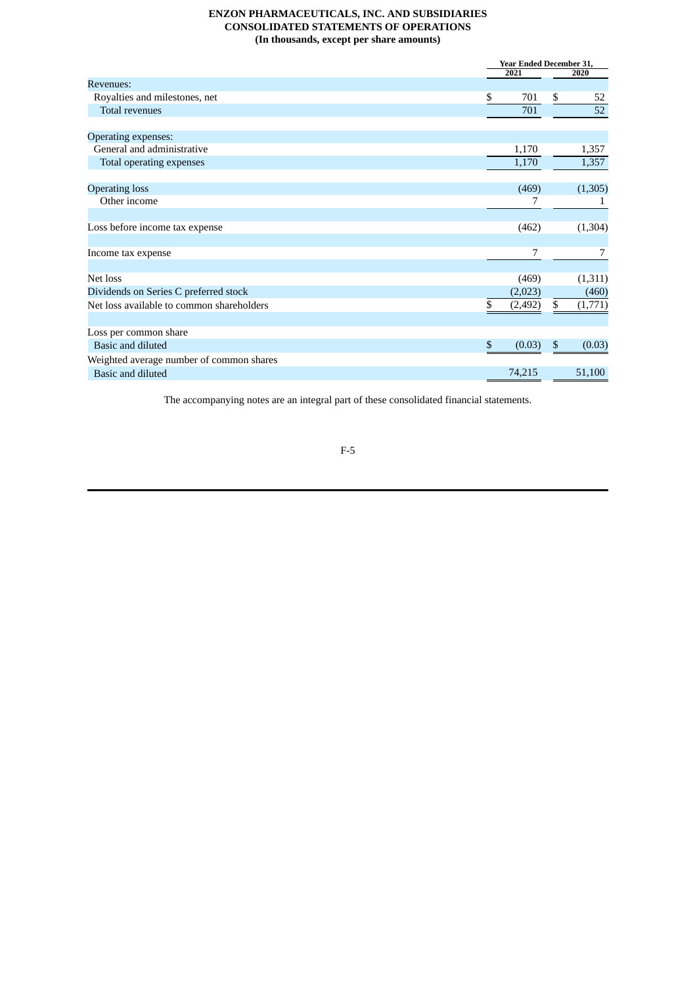## **ENZON PHARMACEUTICALS, INC. AND SUBSIDIARIES CONSOLIDATED STATEMENTS OF OPERATIONS (In thousands, except per share amounts)**

<span id="page-26-0"></span>

|                                           |                | <b>Year Ended December 31,</b> |
|-------------------------------------------|----------------|--------------------------------|
|                                           | 2021           | 2020                           |
| Revenues:                                 |                |                                |
| Royalties and milestones, net             | \$<br>701      | \$<br>52                       |
| <b>Total revenues</b>                     | 701            | 52                             |
| Operating expenses:                       |                |                                |
| General and administrative                | 1,170          | 1,357                          |
| Total operating expenses                  | 1,170          | 1,357                          |
| <b>Operating loss</b>                     | (469)          | (1, 305)                       |
| Other income                              |                |                                |
| Loss before income tax expense            | (462)          | (1, 304)                       |
| Income tax expense                        | 7              | 7                              |
| Net loss                                  | (469)          | (1, 311)                       |
| Dividends on Series C preferred stock     | (2,023)        | (460)                          |
| Net loss available to common shareholders | \$<br>(2, 492) | \$<br>(1,771)                  |
| Loss per common share                     |                |                                |
| <b>Basic and diluted</b>                  | \$<br>(0.03)   | \$<br>(0.03)                   |
| Weighted average number of common shares  |                |                                |
| <b>Basic and diluted</b>                  | 74,215         | 51,100                         |

The accompanying notes are an integral part of these consolidated financial statements.

## F-5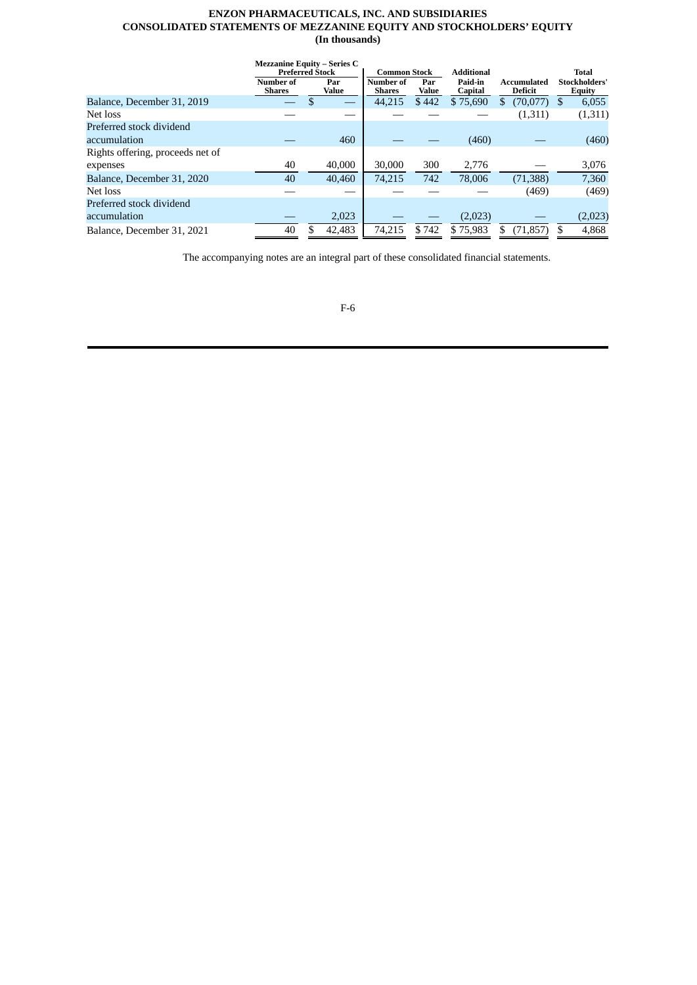## <span id="page-27-0"></span>**ENZON PHARMACEUTICALS, INC. AND SUBSIDIARIES CONSOLIDATED STATEMENTS OF MEZZANINE EQUITY AND STOCKHOLDERS' EQUITY (In thousands)**

|                                  | <b>Mezzanine Equity - Series C</b> |              |                     |       |                   |                |               |
|----------------------------------|------------------------------------|--------------|---------------------|-------|-------------------|----------------|---------------|
|                                  | <b>Preferred Stock</b>             |              | <b>Common Stock</b> |       | <b>Additional</b> |                | Total         |
|                                  | Number of                          | Par          | Number of           | Par   | Paid-in           | Accumulated    | Stockholders' |
|                                  | <b>Shares</b>                      | Value        | <b>Shares</b>       | Value | Capital           | <b>Deficit</b> | Equity        |
| Balance, December 31, 2019       |                                    | \$           | 44,215              | \$442 | \$75,690          | (70,077)       | 6,055         |
| Net loss                         |                                    |              |                     |       |                   | (1,311)        | (1,311)       |
| Preferred stock dividend         |                                    |              |                     |       |                   |                |               |
| accumulation                     |                                    | 460          |                     |       | (460)             |                | (460)         |
| Rights offering, proceeds net of |                                    |              |                     |       |                   |                |               |
| expenses                         | 40                                 | 40,000       | 30,000              | 300   | 2.776             |                | 3,076         |
| Balance, December 31, 2020       | 40                                 | 40,460       | 74.215              | 742   | 78,006            | (71, 388)      | 7,360         |
| Net loss                         |                                    |              |                     |       |                   | (469)          | (469)         |
| Preferred stock dividend         |                                    |              |                     |       |                   |                |               |
| accumulation                     |                                    | 2,023        |                     |       | (2,023)           |                | (2,023)       |
| Balance, December 31, 2021       | 40                                 | \$<br>42,483 | 74,215              | \$742 | \$75,983          | (71, 857)      | 4,868         |

The accompanying notes are an integral part of these consolidated financial statements.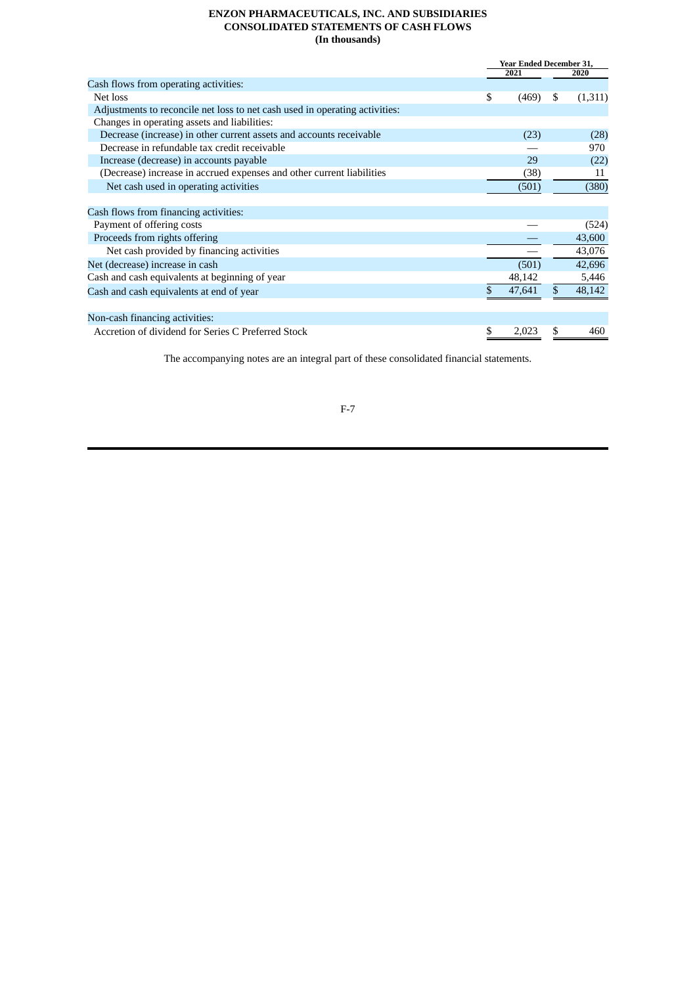## **ENZON PHARMACEUTICALS, INC. AND SUBSIDIARIES CONSOLIDATED STATEMENTS OF CASH FLOWS (In thousands)**

<span id="page-28-0"></span>

|                                                                             | <b>Year Ended December 31,</b> |   |         |
|-----------------------------------------------------------------------------|--------------------------------|---|---------|
|                                                                             | 2021                           |   | 2020    |
| Cash flows from operating activities:                                       |                                |   |         |
| Net loss                                                                    | \$<br>(469)                    | S | (1,311) |
| Adjustments to reconcile net loss to net cash used in operating activities: |                                |   |         |
| Changes in operating assets and liabilities:                                |                                |   |         |
| Decrease (increase) in other current assets and accounts receivable         | (23)                           |   | (28)    |
| Decrease in refundable tax credit receivable                                |                                |   | 970.    |
| Increase (decrease) in accounts payable                                     | 29                             |   | (22)    |
| (Decrease) increase in accrued expenses and other current liabilities       | (38)                           |   | 11      |
| Net cash used in operating activities                                       | (501)                          |   | (380)   |
|                                                                             |                                |   |         |
| Cash flows from financing activities:                                       |                                |   |         |
| Payment of offering costs                                                   |                                |   | (524)   |
| Proceeds from rights offering                                               |                                |   | 43,600  |
| Net cash provided by financing activities                                   |                                |   | 43,076  |
| Net (decrease) increase in cash                                             | (501)                          |   | 42,696  |
| Cash and cash equivalents at beginning of year                              | 48,142                         |   | 5,446   |
| Cash and cash equivalents at end of year                                    | 47,641                         |   | 48,142  |
|                                                                             |                                |   |         |
| Non-cash financing activities:                                              |                                |   |         |
| Accretion of dividend for Series C Preferred Stock                          | 2,023                          |   | 460     |

The accompanying notes are an integral part of these consolidated financial statements.

# F-7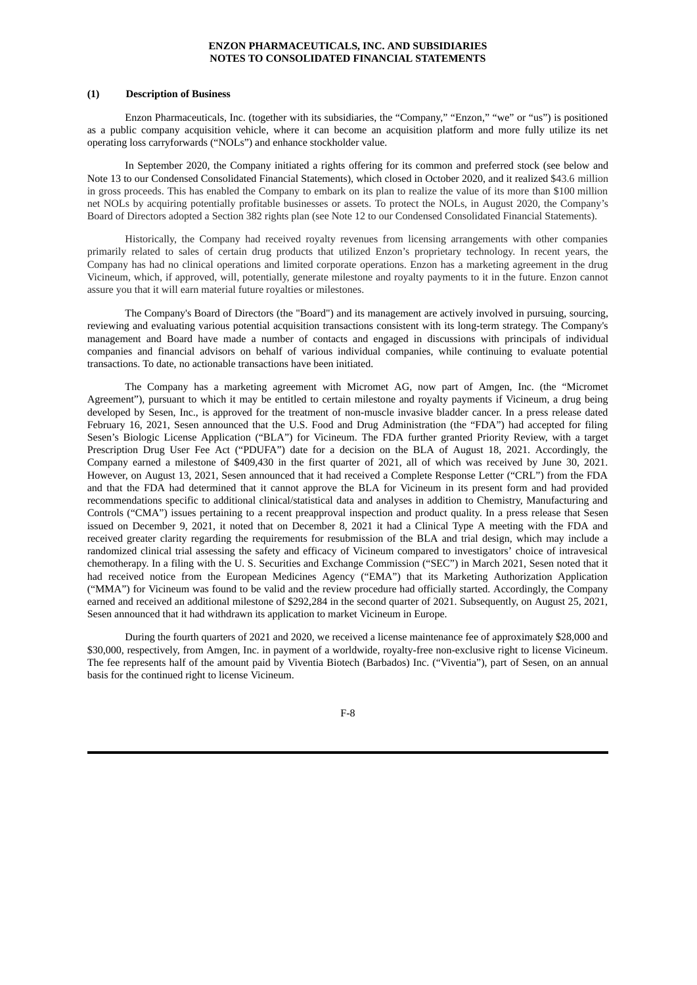#### <span id="page-29-0"></span>**(1) Description of Business**

Enzon Pharmaceuticals, Inc. (together with its subsidiaries, the "Company," "Enzon," "we" or "us") is positioned as a public company acquisition vehicle, where it can become an acquisition platform and more fully utilize its net operating loss carryforwards ("NOLs") and enhance stockholder value.

In September 2020, the Company initiated a rights offering for its common and preferred stock (see below and Note 13 to our Condensed Consolidated Financial Statements), which closed in October 2020, and it realized \$43.6 million in gross proceeds. This has enabled the Company to embark on its plan to realize the value of its more than \$100 million net NOLs by acquiring potentially profitable businesses or assets. To protect the NOLs, in August 2020, the Company's Board of Directors adopted a Section 382 rights plan (see Note 12 to our Condensed Consolidated Financial Statements).

Historically, the Company had received royalty revenues from licensing arrangements with other companies primarily related to sales of certain drug products that utilized Enzon's proprietary technology. In recent years, the Company has had no clinical operations and limited corporate operations. Enzon has a marketing agreement in the drug Vicineum, which, if approved, will, potentially, generate milestone and royalty payments to it in the future. Enzon cannot assure you that it will earn material future royalties or milestones.

The Company's Board of Directors (the "Board") and its management are actively involved in pursuing, sourcing, reviewing and evaluating various potential acquisition transactions consistent with its long-term strategy. The Company's management and Board have made a number of contacts and engaged in discussions with principals of individual companies and financial advisors on behalf of various individual companies, while continuing to evaluate potential transactions. To date, no actionable transactions have been initiated.

The Company has a marketing agreement with Micromet AG, now part of Amgen, Inc. (the "Micromet Agreement"), pursuant to which it may be entitled to certain milestone and royalty payments if Vicineum, a drug being developed by Sesen, Inc., is approved for the treatment of non-muscle invasive bladder cancer. In a press release dated February 16, 2021, Sesen announced that the U.S. Food and Drug Administration (the "FDA") had accepted for filing Sesen's Biologic License Application ("BLA") for Vicineum. The FDA further granted Priority Review, with a target Prescription Drug User Fee Act ("PDUFA") date for a decision on the BLA of August 18, 2021. Accordingly, the Company earned a milestone of \$409,430 in the first quarter of 2021, all of which was received by June 30, 2021. However, on August 13, 2021, Sesen announced that it had received a Complete Response Letter ("CRL") from the FDA and that the FDA had determined that it cannot approve the BLA for Vicineum in its present form and had provided recommendations specific to additional clinical/statistical data and analyses in addition to Chemistry, Manufacturing and Controls ("CMA") issues pertaining to a recent preapproval inspection and product quality. In a press release that Sesen issued on December 9, 2021, it noted that on December 8, 2021 it had a Clinical Type A meeting with the FDA and received greater clarity regarding the requirements for resubmission of the BLA and trial design, which may include a randomized clinical trial assessing the safety and efficacy of Vicineum compared to investigators' choice of intravesical chemotherapy. In a filing with the U. S. Securities and Exchange Commission ("SEC") in March 2021, Sesen noted that it had received notice from the European Medicines Agency ("EMA") that its Marketing Authorization Application ("MMA") for Vicineum was found to be valid and the review procedure had officially started. Accordingly, the Company earned and received an additional milestone of \$292,284 in the second quarter of 2021. Subsequently, on August 25, 2021, Sesen announced that it had withdrawn its application to market Vicineum in Europe.

During the fourth quarters of 2021 and 2020, we received a license maintenance fee of approximately \$28,000 and \$30,000, respectively, from Amgen, Inc. in payment of a worldwide, royalty-free non-exclusive right to license Vicineum. The fee represents half of the amount paid by Viventia Biotech (Barbados) Inc. ("Viventia"), part of Sesen, on an annual basis for the continued right to license Vicineum.

F-8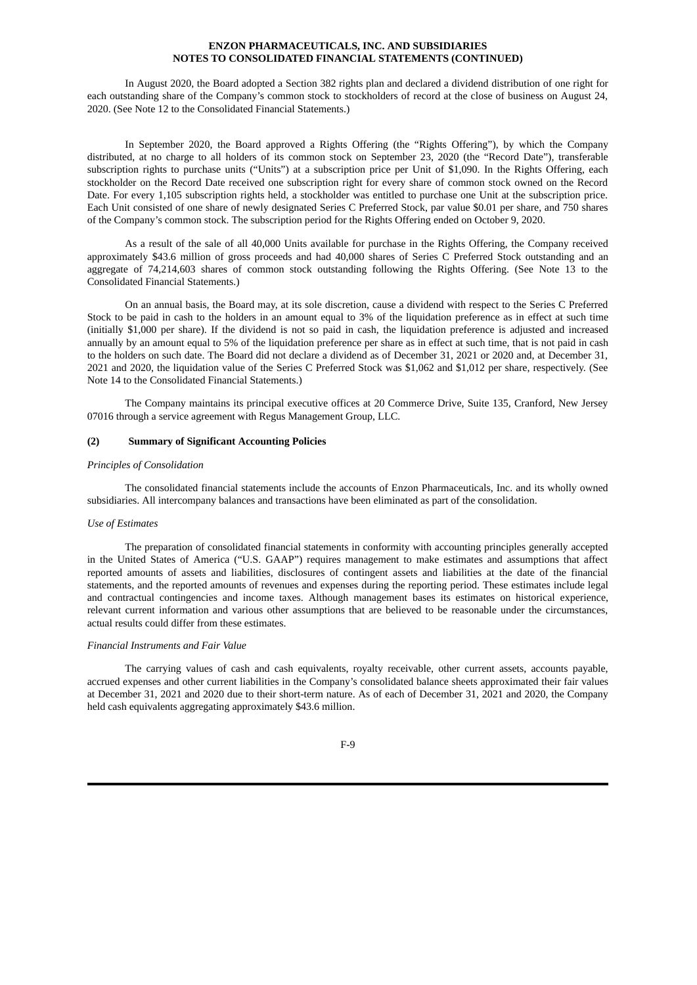In August 2020, the Board adopted a Section 382 rights plan and declared a dividend distribution of one right for each outstanding share of the Company's common stock to stockholders of record at the close of business on August 24, 2020. (See Note 12 to the Consolidated Financial Statements.)

In September 2020, the Board approved a Rights Offering (the "Rights Offering"), by which the Company distributed, at no charge to all holders of its common stock on September 23, 2020 (the "Record Date"), transferable subscription rights to purchase units ("Units") at a subscription price per Unit of \$1,090. In the Rights Offering, each stockholder on the Record Date received one subscription right for every share of common stock owned on the Record Date. For every 1,105 subscription rights held, a stockholder was entitled to purchase one Unit at the subscription price. Each Unit consisted of one share of newly designated Series C Preferred Stock, par value \$0.01 per share, and 750 shares of the Company's common stock. The subscription period for the Rights Offering ended on October 9, 2020.

As a result of the sale of all 40,000 Units available for purchase in the Rights Offering, the Company received approximately \$43.6 million of gross proceeds and had 40,000 shares of Series C Preferred Stock outstanding and an aggregate of 74,214,603 shares of common stock outstanding following the Rights Offering. (See Note 13 to the Consolidated Financial Statements.)

On an annual basis, the Board may, at its sole discretion, cause a dividend with respect to the Series C Preferred Stock to be paid in cash to the holders in an amount equal to 3% of the liquidation preference as in effect at such time (initially \$1,000 per share). If the dividend is not so paid in cash, the liquidation preference is adjusted and increased annually by an amount equal to 5% of the liquidation preference per share as in effect at such time, that is not paid in cash to the holders on such date. The Board did not declare a dividend as of December 31, 2021 or 2020 and, at December 31, 2021 and 2020, the liquidation value of the Series C Preferred Stock was \$1,062 and \$1,012 per share, respectively. (See Note 14 to the Consolidated Financial Statements.)

The Company maintains its principal executive offices at 20 Commerce Drive, Suite 135, Cranford, New Jersey 07016 through a service agreement with Regus Management Group, LLC.

### **(2) Summary of Significant Accounting Policies**

#### *Principles of Consolidation*

The consolidated financial statements include the accounts of Enzon Pharmaceuticals, Inc. and its wholly owned subsidiaries. All intercompany balances and transactions have been eliminated as part of the consolidation.

#### *Use of Estimates*

The preparation of consolidated financial statements in conformity with accounting principles generally accepted in the United States of America ("U.S. GAAP") requires management to make estimates and assumptions that affect reported amounts of assets and liabilities, disclosures of contingent assets and liabilities at the date of the financial statements, and the reported amounts of revenues and expenses during the reporting period. These estimates include legal and contractual contingencies and income taxes. Although management bases its estimates on historical experience, relevant current information and various other assumptions that are believed to be reasonable under the circumstances, actual results could differ from these estimates.

#### *Financial Instruments and Fair Value*

The carrying values of cash and cash equivalents, royalty receivable, other current assets, accounts payable, accrued expenses and other current liabilities in the Company's consolidated balance sheets approximated their fair values at December 31, 2021 and 2020 due to their short-term nature. As of each of December 31, 2021 and 2020, the Company held cash equivalents aggregating approximately \$43.6 million.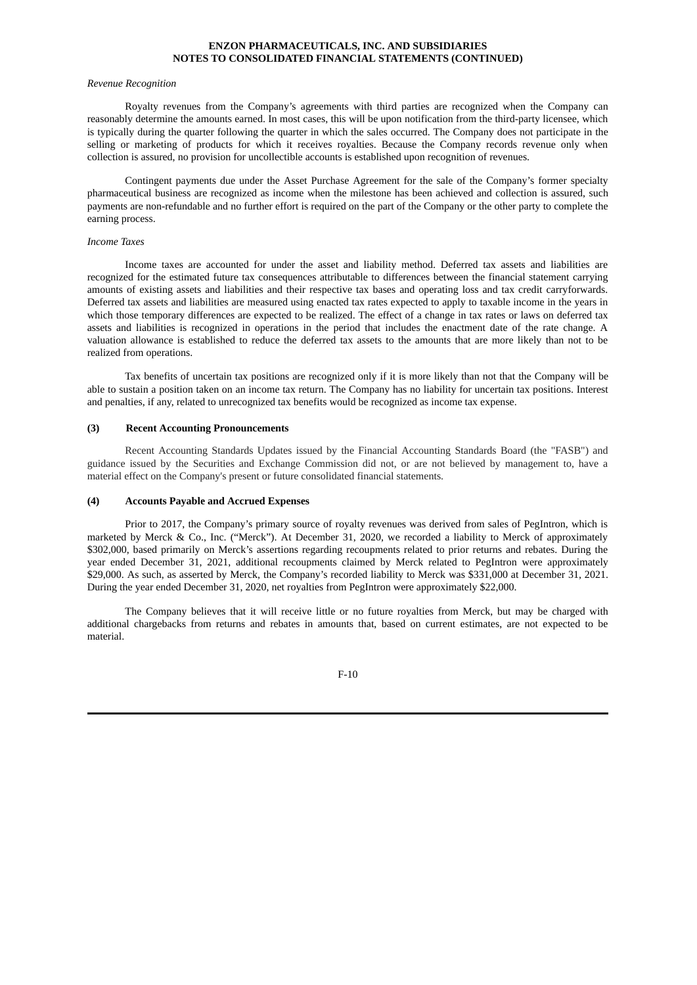## *Revenue Recognition*

Royalty revenues from the Company's agreements with third parties are recognized when the Company can reasonably determine the amounts earned. In most cases, this will be upon notification from the third-party licensee, which is typically during the quarter following the quarter in which the sales occurred. The Company does not participate in the selling or marketing of products for which it receives royalties. Because the Company records revenue only when collection is assured, no provision for uncollectible accounts is established upon recognition of revenues.

Contingent payments due under the Asset Purchase Agreement for the sale of the Company's former specialty pharmaceutical business are recognized as income when the milestone has been achieved and collection is assured, such payments are non-refundable and no further effort is required on the part of the Company or the other party to complete the earning process.

## *Income Taxes*

Income taxes are accounted for under the asset and liability method. Deferred tax assets and liabilities are recognized for the estimated future tax consequences attributable to differences between the financial statement carrying amounts of existing assets and liabilities and their respective tax bases and operating loss and tax credit carryforwards. Deferred tax assets and liabilities are measured using enacted tax rates expected to apply to taxable income in the years in which those temporary differences are expected to be realized. The effect of a change in tax rates or laws on deferred tax assets and liabilities is recognized in operations in the period that includes the enactment date of the rate change. A valuation allowance is established to reduce the deferred tax assets to the amounts that are more likely than not to be realized from operations.

Tax benefits of uncertain tax positions are recognized only if it is more likely than not that the Company will be able to sustain a position taken on an income tax return. The Company has no liability for uncertain tax positions. Interest and penalties, if any, related to unrecognized tax benefits would be recognized as income tax expense.

### **(3) Recent Accounting Pronouncements**

Recent Accounting Standards Updates issued by the Financial Accounting Standards Board (the "FASB") and guidance issued by the Securities and Exchange Commission did not, or are not believed by management to, have a material effect on the Company's present or future consolidated financial statements.

#### **(4) Accounts Payable and Accrued Expenses**

Prior to 2017, the Company's primary source of royalty revenues was derived from sales of PegIntron, which is marketed by Merck & Co., Inc. ("Merck"). At December 31, 2020, we recorded a liability to Merck of approximately \$302,000, based primarily on Merck's assertions regarding recoupments related to prior returns and rebates. During the year ended December 31, 2021, additional recoupments claimed by Merck related to PegIntron were approximately \$29,000. As such, as asserted by Merck, the Company's recorded liability to Merck was \$331,000 at December 31, 2021. During the year ended December 31, 2020, net royalties from PegIntron were approximately \$22,000.

The Company believes that it will receive little or no future royalties from Merck, but may be charged with additional chargebacks from returns and rebates in amounts that, based on current estimates, are not expected to be material.

F-10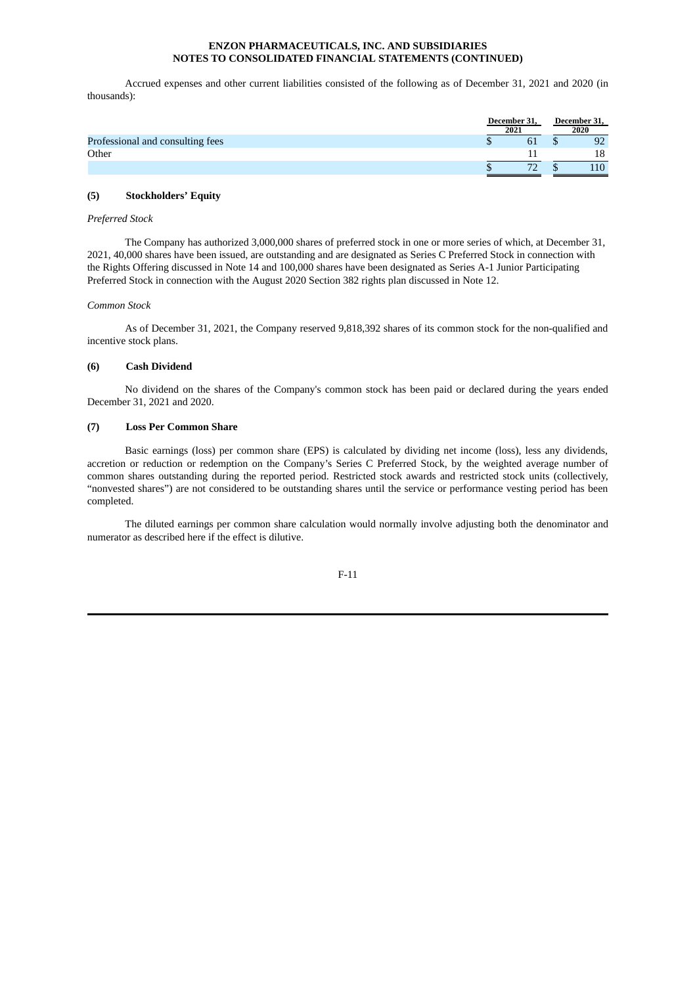Accrued expenses and other current liabilities consisted of the following as of December 31, 2021 and 2020 (in thousands):

|                                  |      | December 31. | December 31,     |  |  |
|----------------------------------|------|--------------|------------------|--|--|
|                                  | 2021 |              | 2020             |  |  |
| Professional and consulting fees |      |              | 92               |  |  |
| Other                            |      |              | 18               |  |  |
|                                  |      |              | .10 <sup>°</sup> |  |  |

### **(5) Stockholders' Equity**

### *Preferred Stock*

The Company has authorized 3,000,000 shares of preferred stock in one or more series of which, at December 31, 2021, 40,000 shares have been issued, are outstanding and are designated as Series C Preferred Stock in connection with the Rights Offering discussed in Note 14 and 100,000 shares have been designated as Series A-1 Junior Participating Preferred Stock in connection with the August 2020 Section 382 rights plan discussed in Note 12.

### *Common Stock*

As of December 31, 2021, the Company reserved 9,818,392 shares of its common stock for the non-qualified and incentive stock plans.

### **(6) Cash Dividend**

No dividend on the shares of the Company's common stock has been paid or declared during the years ended December 31, 2021 and 2020.

### **(7) Loss Per Common Share**

Basic earnings (loss) per common share (EPS) is calculated by dividing net income (loss), less any dividends, accretion or reduction or redemption on the Company's Series C Preferred Stock, by the weighted average number of common shares outstanding during the reported period. Restricted stock awards and restricted stock units (collectively, "nonvested shares") are not considered to be outstanding shares until the service or performance vesting period has been completed.

The diluted earnings per common share calculation would normally involve adjusting both the denominator and numerator as described here if the effect is dilutive.

### F-11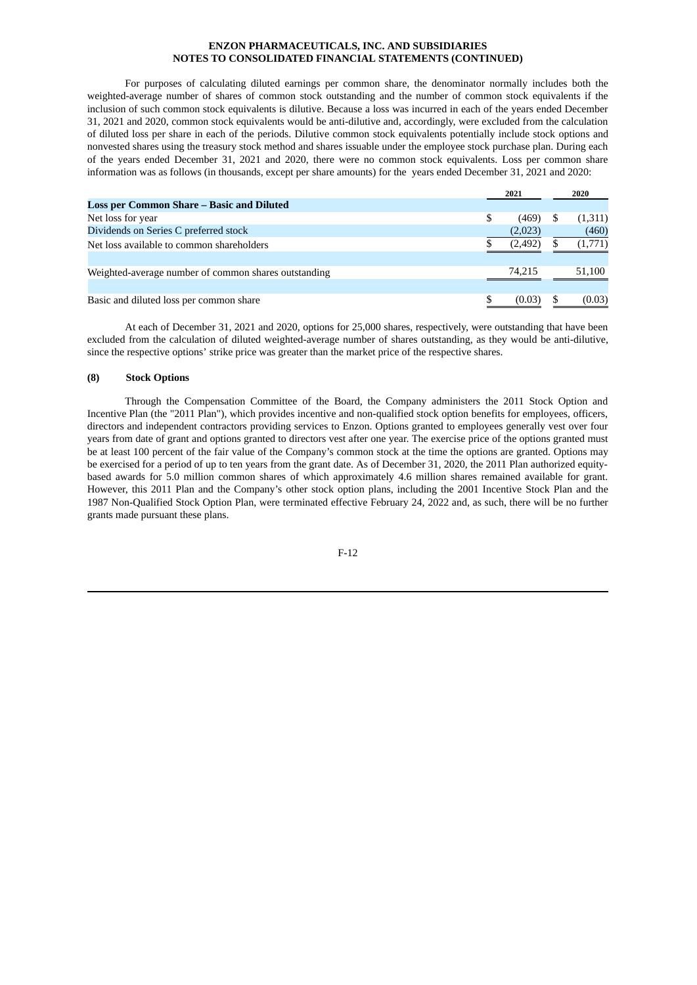For purposes of calculating diluted earnings per common share, the denominator normally includes both the weighted-average number of shares of common stock outstanding and the number of common stock equivalents if the inclusion of such common stock equivalents is dilutive. Because a loss was incurred in each of the years ended December 31, 2021 and 2020, common stock equivalents would be anti-dilutive and, accordingly, were excluded from the calculation of diluted loss per share in each of the periods. Dilutive common stock equivalents potentially include stock options and nonvested shares using the treasury stock method and shares issuable under the employee stock purchase plan. During each of the years ended December 31, 2021 and 2020, there were no common stock equivalents. Loss per common share information was as follows (in thousands, except per share amounts) for the years ended December 31, 2021 and 2020:

|                                                      | 2021        | 2020    |
|------------------------------------------------------|-------------|---------|
| Loss per Common Share – Basic and Diluted            |             |         |
| Net loss for year                                    | \$<br>(469) | (1,311) |
| Dividends on Series C preferred stock                | (2,023)     | (460)   |
| Net loss available to common shareholders            | (2, 492)    | (1,771) |
|                                                      |             |         |
| Weighted-average number of common shares outstanding | 74.215      | 51,100  |
|                                                      |             |         |
| Basic and diluted loss per common share              | (0.03)      | (0.03)  |

At each of December 31, 2021 and 2020, options for 25,000 shares, respectively, were outstanding that have been excluded from the calculation of diluted weighted-average number of shares outstanding, as they would be anti-dilutive, since the respective options' strike price was greater than the market price of the respective shares.

## **(8) Stock Options**

Through the Compensation Committee of the Board, the Company administers the 2011 Stock Option and Incentive Plan (the "2011 Plan"), which provides incentive and non-qualified stock option benefits for employees, officers, directors and independent contractors providing services to Enzon. Options granted to employees generally vest over four years from date of grant and options granted to directors vest after one year. The exercise price of the options granted must be at least 100 percent of the fair value of the Company's common stock at the time the options are granted. Options may be exercised for a period of up to ten years from the grant date. As of December 31, 2020, the 2011 Plan authorized equitybased awards for 5.0 million common shares of which approximately 4.6 million shares remained available for grant. However, this 2011 Plan and the Company's other stock option plans, including the 2001 Incentive Stock Plan and the 1987 Non-Qualified Stock Option Plan, were terminated effective February 24, 2022 and, as such, there will be no further grants made pursuant these plans.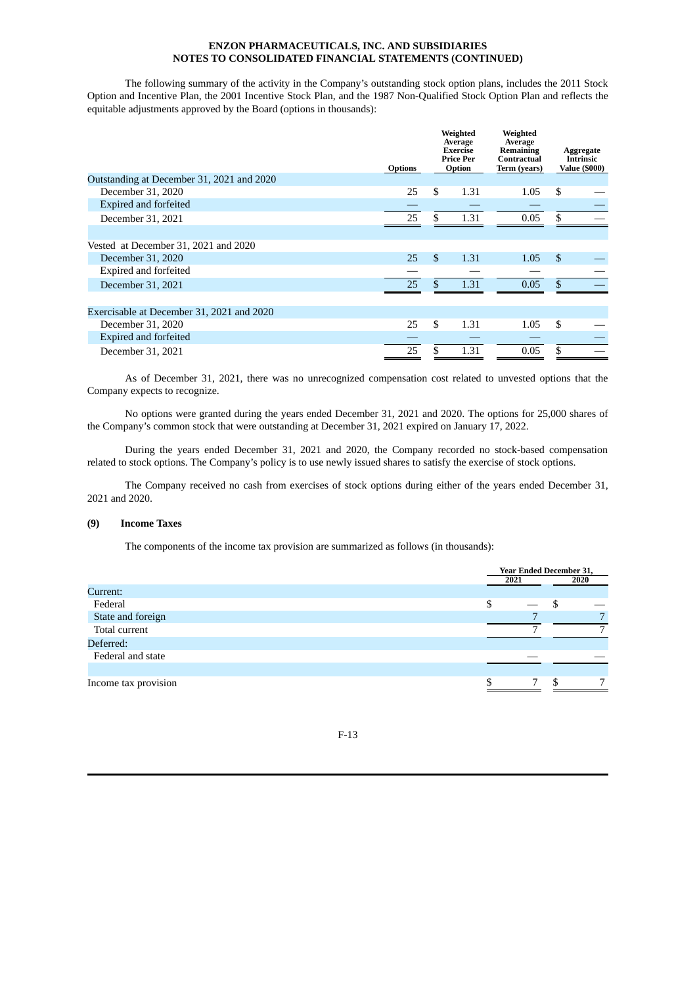The following summary of the activity in the Company's outstanding stock option plans, includes the 2011 Stock Option and Incentive Plan, the 2001 Incentive Stock Plan, and the 1987 Non-Qualified Stock Option Plan and reflects the equitable adjustments approved by the Board (options in thousands):

|                                           | <b>Options</b> |              | Weighted<br>Average<br>Exercise<br><b>Price Per</b><br>Option | Weighted<br>Average<br>Remaining<br>Contractual<br>Term (years) | Aggregate<br><b>Intrinsic</b><br><b>Value (\$000)</b> |
|-------------------------------------------|----------------|--------------|---------------------------------------------------------------|-----------------------------------------------------------------|-------------------------------------------------------|
| Outstanding at December 31, 2021 and 2020 |                |              |                                                               |                                                                 |                                                       |
| December 31, 2020                         | 25             | \$           | 1.31                                                          | 1.05                                                            | \$                                                    |
| <b>Expired and forfeited</b>              |                |              |                                                               |                                                                 |                                                       |
| December 31, 2021                         | 25             | \$           | 1.31                                                          | 0.05                                                            | \$                                                    |
|                                           |                |              |                                                               |                                                                 |                                                       |
| Vested at December 31, 2021 and 2020      |                |              |                                                               |                                                                 |                                                       |
| December 31, 2020                         | 25             | \$           | 1.31                                                          | 1.05                                                            | \$                                                    |
| Expired and forfeited                     |                |              |                                                               |                                                                 |                                                       |
| December 31, 2021                         | 25             | $\mathbb{S}$ | 1.31                                                          | 0.05                                                            | \$                                                    |
|                                           |                |              |                                                               |                                                                 |                                                       |
| Exercisable at December 31, 2021 and 2020 |                |              |                                                               |                                                                 |                                                       |
| December 31, 2020                         | 25             | \$           | 1.31                                                          | 1.05                                                            | \$                                                    |
| <b>Expired and forfeited</b>              |                |              |                                                               |                                                                 |                                                       |
| December 31, 2021                         | 25             | \$           | 1.31                                                          | 0.05                                                            | \$                                                    |
|                                           |                |              |                                                               |                                                                 |                                                       |

As of December 31, 2021, there was no unrecognized compensation cost related to unvested options that the Company expects to recognize.

No options were granted during the years ended December 31, 2021 and 2020. The options for 25,000 shares of the Company's common stock that were outstanding at December 31, 2021 expired on January 17, 2022.

During the years ended December 31, 2021 and 2020, the Company recorded no stock-based compensation related to stock options. The Company's policy is to use newly issued shares to satisfy the exercise of stock options.

The Company received no cash from exercises of stock options during either of the years ended December 31, 2021 and 2020.

#### **(9) Income Taxes**

The components of the income tax provision are summarized as follows (in thousands):

|                      | <b>Year Ended December 31,</b> |  |      |  |  |
|----------------------|--------------------------------|--|------|--|--|
|                      | 2021                           |  | 2020 |  |  |
| Current:             |                                |  |      |  |  |
| Federal              |                                |  |      |  |  |
| State and foreign    |                                |  | 7    |  |  |
| Total current        |                                |  |      |  |  |
| Deferred:            |                                |  |      |  |  |
| Federal and state    |                                |  |      |  |  |
|                      |                                |  |      |  |  |
| Income tax provision |                                |  | ⇁    |  |  |
|                      |                                |  |      |  |  |

F-13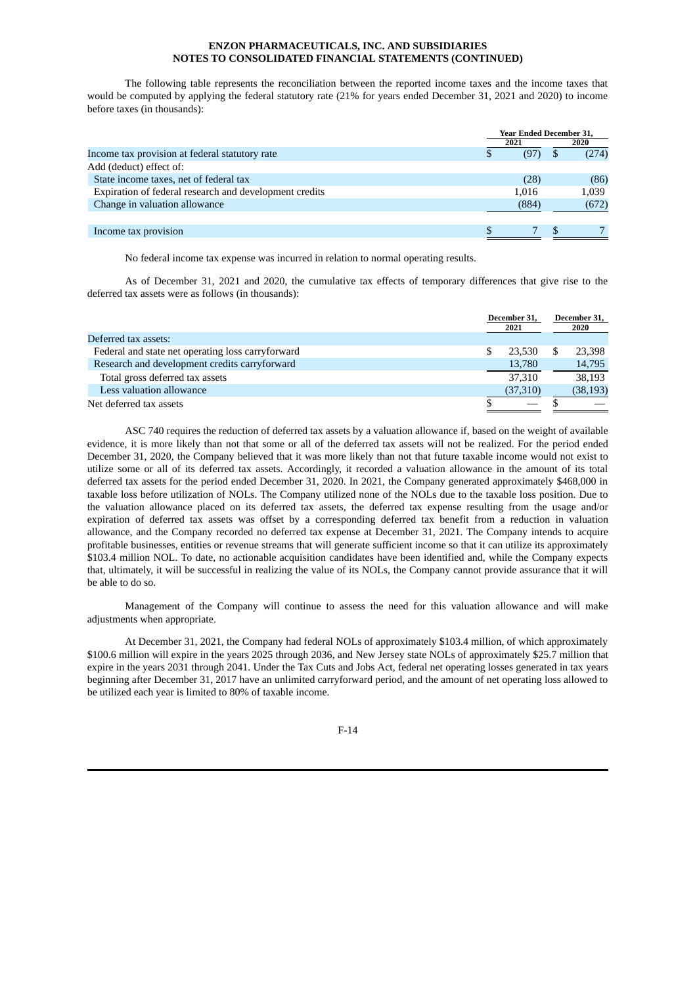The following table represents the reconciliation between the reported income taxes and the income taxes that would be computed by applying the federal statutory rate (21% for years ended December 31, 2021 and 2020) to income before taxes (in thousands):

|                                                        |  | <b>Year Ended December 31,</b> |  |       |
|--------------------------------------------------------|--|--------------------------------|--|-------|
|                                                        |  | 2021                           |  | 2020  |
| Income tax provision at federal statutory rate         |  | (97)                           |  | (274) |
| Add (deduct) effect of:                                |  |                                |  |       |
| State income taxes, net of federal tax                 |  | (28)                           |  | (86)  |
| Expiration of federal research and development credits |  | 1.016                          |  | 1.039 |
| Change in valuation allowance                          |  | (884)                          |  | (672) |
|                                                        |  |                                |  |       |
| Income tax provision                                   |  |                                |  |       |

No federal income tax expense was incurred in relation to normal operating results.

As of December 31, 2021 and 2020, the cumulative tax effects of temporary differences that give rise to the deferred tax assets were as follows (in thousands):

|                                                   | December 31,<br>2021 | December 31,<br>2020 |
|---------------------------------------------------|----------------------|----------------------|
| Deferred tax assets:                              |                      |                      |
| Federal and state net operating loss carryforward | 23.530               | 23,398               |
| Research and development credits carryforward     | 13,780               | 14,795               |
| Total gross deferred tax assets                   | 37,310               | 38,193               |
| Less valuation allowance                          | (37,310)             | (38, 193)            |
| Net deferred tax assets                           |                      |                      |
|                                                   |                      |                      |

ASC 740 requires the reduction of deferred tax assets by a valuation allowance if, based on the weight of available evidence, it is more likely than not that some or all of the deferred tax assets will not be realized. For the period ended December 31, 2020, the Company believed that it was more likely than not that future taxable income would not exist to utilize some or all of its deferred tax assets. Accordingly, it recorded a valuation allowance in the amount of its total deferred tax assets for the period ended December 31, 2020. In 2021, the Company generated approximately \$468,000 in taxable loss before utilization of NOLs. The Company utilized none of the NOLs due to the taxable loss position. Due to the valuation allowance placed on its deferred tax assets, the deferred tax expense resulting from the usage and/or expiration of deferred tax assets was offset by a corresponding deferred tax benefit from a reduction in valuation allowance, and the Company recorded no deferred tax expense at December 31, 2021. The Company intends to acquire profitable businesses, entities or revenue streams that will generate sufficient income so that it can utilize its approximately \$103.4 million NOL. To date, no actionable acquisition candidates have been identified and, while the Company expects that, ultimately, it will be successful in realizing the value of its NOLs, the Company cannot provide assurance that it will be able to do so.

Management of the Company will continue to assess the need for this valuation allowance and will make adjustments when appropriate.

At December 31, 2021, the Company had federal NOLs of approximately \$103.4 million, of which approximately \$100.6 million will expire in the years 2025 through 2036, and New Jersey state NOLs of approximately \$25.7 million that expire in the years 2031 through 2041. Under the Tax Cuts and Jobs Act, federal net operating losses generated in tax years beginning after December 31, 2017 have an unlimited carryforward period, and the amount of net operating loss allowed to be utilized each year is limited to 80% of taxable income.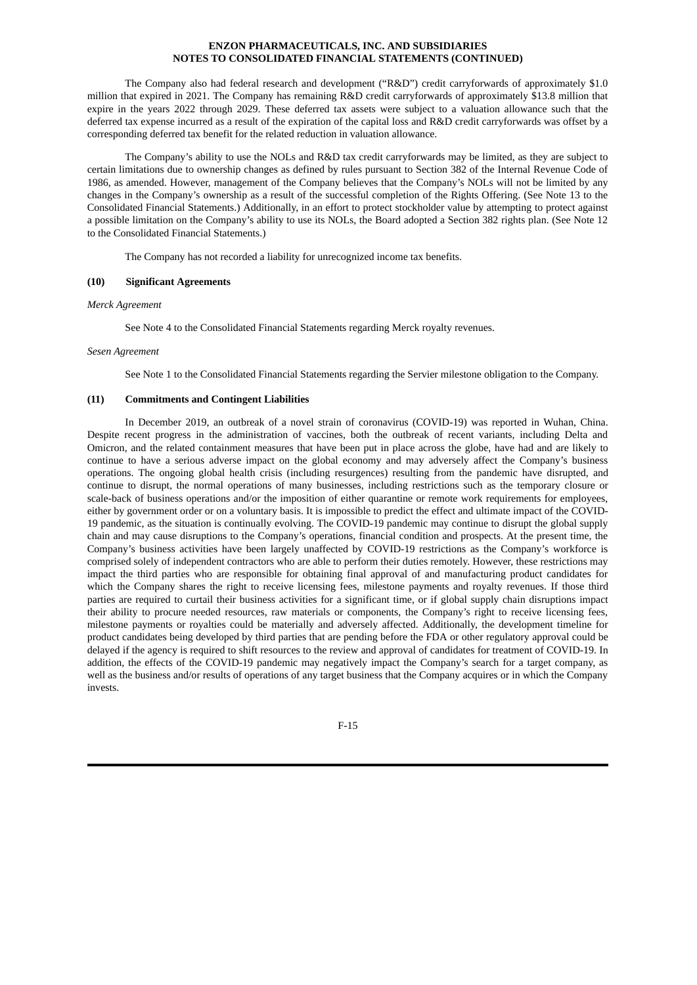The Company also had federal research and development ("R&D") credit carryforwards of approximately \$1.0 million that expired in 2021. The Company has remaining R&D credit carryforwards of approximately \$13.8 million that expire in the years 2022 through 2029. These deferred tax assets were subject to a valuation allowance such that the deferred tax expense incurred as a result of the expiration of the capital loss and R&D credit carryforwards was offset by a corresponding deferred tax benefit for the related reduction in valuation allowance.

The Company's ability to use the NOLs and R&D tax credit carryforwards may be limited, as they are subject to certain limitations due to ownership changes as defined by rules pursuant to Section 382 of the Internal Revenue Code of 1986, as amended. However, management of the Company believes that the Company's NOLs will not be limited by any changes in the Company's ownership as a result of the successful completion of the Rights Offering. (See Note 13 to the Consolidated Financial Statements.) Additionally, in an effort to protect stockholder value by attempting to protect against a possible limitation on the Company's ability to use its NOLs, the Board adopted a Section 382 rights plan. (See Note 12 to the Consolidated Financial Statements.)

The Company has not recorded a liability for unrecognized income tax benefits.

### **(10) Significant Agreements**

#### *Merck Agreement*

See Note 4 to the Consolidated Financial Statements regarding Merck royalty revenues.

#### *Sesen Agreement*

See Note 1 to the Consolidated Financial Statements regarding the Servier milestone obligation to the Company.

### **(11) Commitments and Contingent Liabilities**

In December 2019, an outbreak of a novel strain of coronavirus (COVID-19) was reported in Wuhan, China. Despite recent progress in the administration of vaccines, both the outbreak of recent variants, including Delta and Omicron, and the related containment measures that have been put in place across the globe, have had and are likely to continue to have a serious adverse impact on the global economy and may adversely affect the Company's business operations. The ongoing global health crisis (including resurgences) resulting from the pandemic have disrupted, and continue to disrupt, the normal operations of many businesses, including restrictions such as the temporary closure or scale-back of business operations and/or the imposition of either quarantine or remote work requirements for employees, either by government order or on a voluntary basis. It is impossible to predict the effect and ultimate impact of the COVID-19 pandemic, as the situation is continually evolving. The COVID-19 pandemic may continue to disrupt the global supply chain and may cause disruptions to the Company's operations, financial condition and prospects. At the present time, the Company's business activities have been largely unaffected by COVID-19 restrictions as the Company's workforce is comprised solely of independent contractors who are able to perform their duties remotely. However, these restrictions may impact the third parties who are responsible for obtaining final approval of and manufacturing product candidates for which the Company shares the right to receive licensing fees, milestone payments and royalty revenues. If those third parties are required to curtail their business activities for a significant time, or if global supply chain disruptions impact their ability to procure needed resources, raw materials or components, the Company's right to receive licensing fees, milestone payments or royalties could be materially and adversely affected. Additionally, the development timeline for product candidates being developed by third parties that are pending before the FDA or other regulatory approval could be delayed if the agency is required to shift resources to the review and approval of candidates for treatment of COVID-19. In addition, the effects of the COVID-19 pandemic may negatively impact the Company's search for a target company, as well as the business and/or results of operations of any target business that the Company acquires or in which the Company invests.

### F-15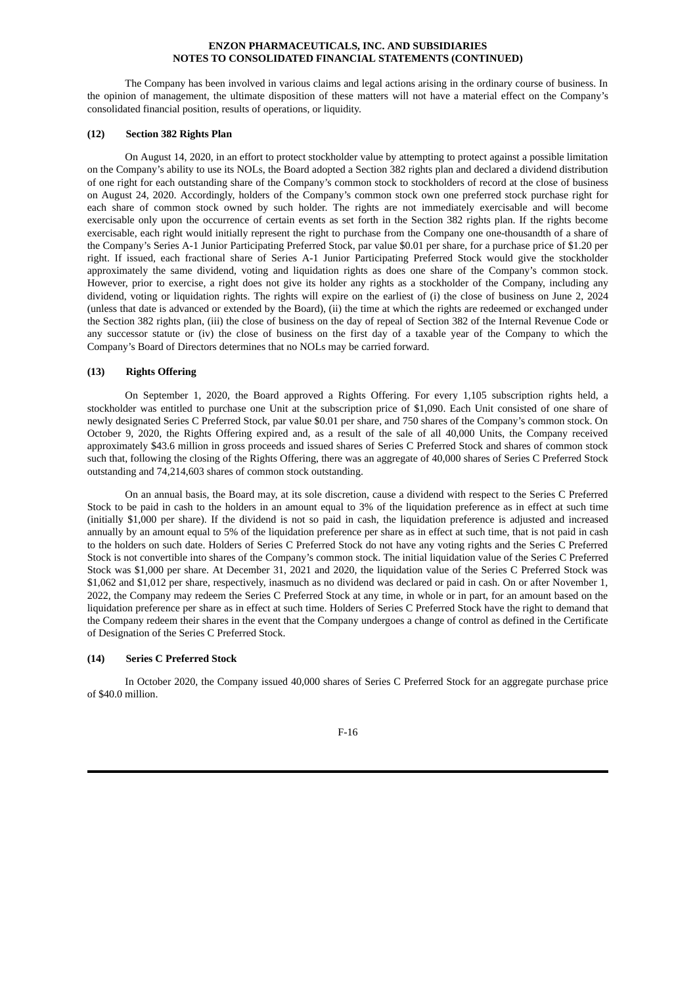The Company has been involved in various claims and legal actions arising in the ordinary course of business. In the opinion of management, the ultimate disposition of these matters will not have a material effect on the Company's consolidated financial position, results of operations, or liquidity.

### **(12) Section 382 Rights Plan**

On August 14, 2020, in an effort to protect stockholder value by attempting to protect against a possible limitation on the Company's ability to use its NOLs, the Board adopted a Section 382 rights plan and declared a dividend distribution of one right for each outstanding share of the Company's common stock to stockholders of record at the close of business on August 24, 2020. Accordingly, holders of the Company's common stock own one preferred stock purchase right for each share of common stock owned by such holder. The rights are not immediately exercisable and will become exercisable only upon the occurrence of certain events as set forth in the Section 382 rights plan. If the rights become exercisable, each right would initially represent the right to purchase from the Company one one-thousandth of a share of the Company's Series A-1 Junior Participating Preferred Stock, par value \$0.01 per share, for a purchase price of \$1.20 per right. If issued, each fractional share of Series A-1 Junior Participating Preferred Stock would give the stockholder approximately the same dividend, voting and liquidation rights as does one share of the Company's common stock. However, prior to exercise, a right does not give its holder any rights as a stockholder of the Company, including any dividend, voting or liquidation rights. The rights will expire on the earliest of (i) the close of business on June 2, 2024 (unless that date is advanced or extended by the Board), (ii) the time at which the rights are redeemed or exchanged under the Section 382 rights plan, (iii) the close of business on the day of repeal of Section 382 of the Internal Revenue Code or any successor statute or (iv) the close of business on the first day of a taxable year of the Company to which the Company's Board of Directors determines that no NOLs may be carried forward.

## **(13) Rights Offering**

On September 1, 2020, the Board approved a Rights Offering. For every 1,105 subscription rights held, a stockholder was entitled to purchase one Unit at the subscription price of \$1,090. Each Unit consisted of one share of newly designated Series C Preferred Stock, par value \$0.01 per share, and 750 shares of the Company's common stock. On October 9, 2020, the Rights Offering expired and, as a result of the sale of all 40,000 Units, the Company received approximately \$43.6 million in gross proceeds and issued shares of Series C Preferred Stock and shares of common stock such that, following the closing of the Rights Offering, there was an aggregate of 40,000 shares of Series C Preferred Stock outstanding and 74,214,603 shares of common stock outstanding.

On an annual basis, the Board may, at its sole discretion, cause a dividend with respect to the Series C Preferred Stock to be paid in cash to the holders in an amount equal to 3% of the liquidation preference as in effect at such time (initially \$1,000 per share). If the dividend is not so paid in cash, the liquidation preference is adjusted and increased annually by an amount equal to 5% of the liquidation preference per share as in effect at such time, that is not paid in cash to the holders on such date. Holders of Series C Preferred Stock do not have any voting rights and the Series C Preferred Stock is not convertible into shares of the Company's common stock. The initial liquidation value of the Series C Preferred Stock was \$1,000 per share. At December 31, 2021 and 2020, the liquidation value of the Series C Preferred Stock was \$1,062 and \$1,012 per share, respectively, inasmuch as no dividend was declared or paid in cash. On or after November 1, 2022, the Company may redeem the Series C Preferred Stock at any time, in whole or in part, for an amount based on the liquidation preference per share as in effect at such time. Holders of Series C Preferred Stock have the right to demand that the Company redeem their shares in the event that the Company undergoes a change of control as defined in the Certificate of Designation of the Series C Preferred Stock.

#### **(14) Series C Preferred Stock**

In October 2020, the Company issued 40,000 shares of Series C Preferred Stock for an aggregate purchase price of \$40.0 million.

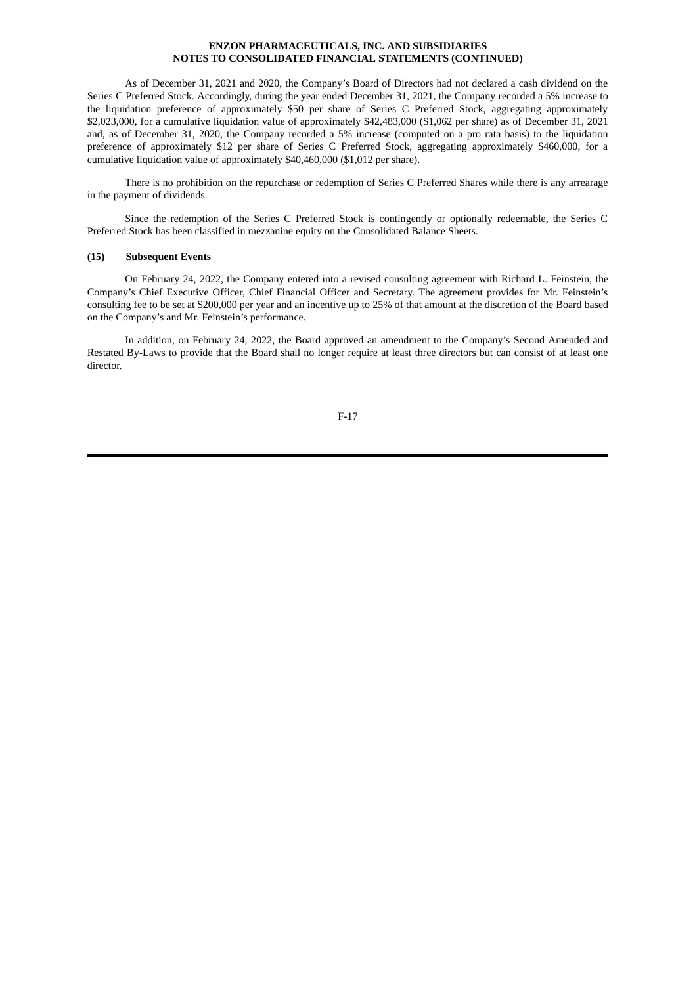As of December 31, 2021 and 2020, the Company's Board of Directors had not declared a cash dividend on the Series C Preferred Stock. Accordingly, during the year ended December 31, 2021, the Company recorded a 5% increase to the liquidation preference of approximately \$50 per share of Series C Preferred Stock, aggregating approximately \$2,023,000, for a cumulative liquidation value of approximately \$42,483,000 (\$1,062 per share) as of December 31, 2021 and, as of December 31, 2020, the Company recorded a 5% increase (computed on a pro rata basis) to the liquidation preference of approximately \$12 per share of Series C Preferred Stock, aggregating approximately \$460,000, for a cumulative liquidation value of approximately \$40,460,000 (\$1,012 per share).

There is no prohibition on the repurchase or redemption of Series C Preferred Shares while there is any arrearage in the payment of dividends.

Since the redemption of the Series C Preferred Stock is contingently or optionally redeemable, the Series C Preferred Stock has been classified in mezzanine equity on the Consolidated Balance Sheets.

### **(15) Subsequent Events**

On February 24, 2022, the Company entered into a revised consulting agreement with Richard L. Feinstein, the Company's Chief Executive Officer, Chief Financial Officer and Secretary. The agreement provides for Mr. Feinstein's consulting fee to be set at \$200,000 per year and an incentive up to 25% of that amount at the discretion of the Board based on the Company's and Mr. Feinstein's performance.

In addition, on February 24, 2022, the Board approved an amendment to the Company's Second Amended and Restated By-Laws to provide that the Board shall no longer require at least three directors but can consist of at least one director.

## F-17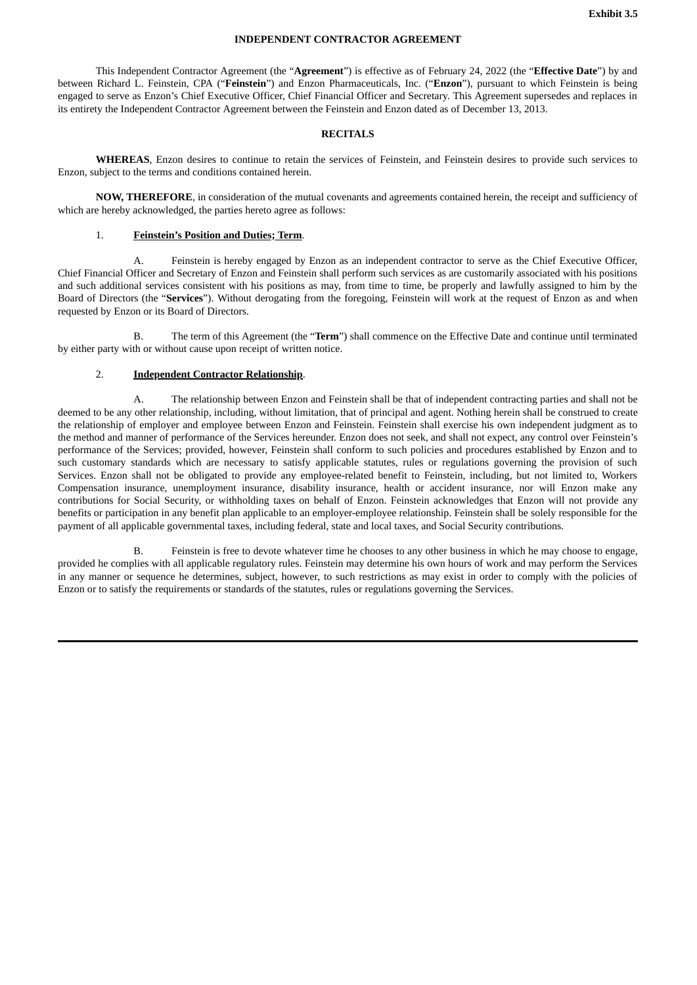### **INDEPENDENT CONTRACTOR AGREEMENT**

<span id="page-39-0"></span>This Independent Contractor Agreement (the "**Agreement**") is effective as of February 24, 2022 (the "**Effective Date**") by and between Richard L. Feinstein, CPA ("**Feinstein**") and Enzon Pharmaceuticals, Inc. ("**Enzon**"), pursuant to which Feinstein is being engaged to serve as Enzon's Chief Executive Officer, Chief Financial Officer and Secretary. This Agreement supersedes and replaces in its entirety the Independent Contractor Agreement between the Feinstein and Enzon dated as of December 13, 2013.

### **RECITALS**

**WHEREAS**, Enzon desires to continue to retain the services of Feinstein, and Feinstein desires to provide such services to Enzon, subject to the terms and conditions contained herein.

**NOW, THEREFORE**, in consideration of the mutual covenants and agreements contained herein, the receipt and sufficiency of which are hereby acknowledged, the parties hereto agree as follows:

### 1. **Feinstein's Position and Duties; Term**.

A. Feinstein is hereby engaged by Enzon as an independent contractor to serve as the Chief Executive Officer, Chief Financial Officer and Secretary of Enzon and Feinstein shall perform such services as are customarily associated with his positions and such additional services consistent with his positions as may, from time to time, be properly and lawfully assigned to him by the Board of Directors (the "**Services**"). Without derogating from the foregoing, Feinstein will work at the request of Enzon as and when requested by Enzon or its Board of Directors.

B. The term of this Agreement (the "**Term**") shall commence on the Effective Date and continue until terminated by either party with or without cause upon receipt of written notice.

### 2. **Independent Contractor Relationship**.

A. The relationship between Enzon and Feinstein shall be that of independent contracting parties and shall not be deemed to be any other relationship, including, without limitation, that of principal and agent. Nothing herein shall be construed to create the relationship of employer and employee between Enzon and Feinstein. Feinstein shall exercise his own independent judgment as to the method and manner of performance of the Services hereunder. Enzon does not seek, and shall not expect, any control over Feinstein's performance of the Services; provided, however, Feinstein shall conform to such policies and procedures established by Enzon and to such customary standards which are necessary to satisfy applicable statutes, rules or regulations governing the provision of such Services. Enzon shall not be obligated to provide any employee-related benefit to Feinstein, including, but not limited to, Workers Compensation insurance, unemployment insurance, disability insurance, health or accident insurance, nor will Enzon make any contributions for Social Security, or withholding taxes on behalf of Enzon. Feinstein acknowledges that Enzon will not provide any benefits or participation in any benefit plan applicable to an employer-employee relationship. Feinstein shall be solely responsible for the payment of all applicable governmental taxes, including federal, state and local taxes, and Social Security contributions.

Feinstein is free to devote whatever time he chooses to any other business in which he may choose to engage, provided he complies with all applicable regulatory rules. Feinstein may determine his own hours of work and may perform the Services in any manner or sequence he determines, subject, however, to such restrictions as may exist in order to comply with the policies of Enzon or to satisfy the requirements or standards of the statutes, rules or regulations governing the Services.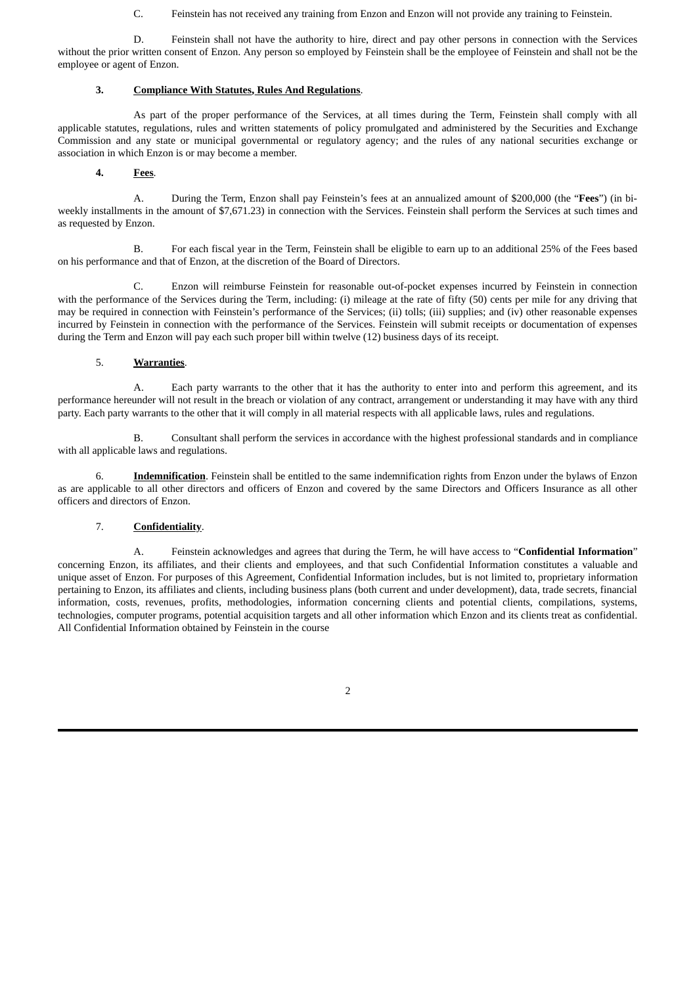C. Feinstein has not received any training from Enzon and Enzon will not provide any training to Feinstein.

D. Feinstein shall not have the authority to hire, direct and pay other persons in connection with the Services without the prior written consent of Enzon. Any person so employed by Feinstein shall be the employee of Feinstein and shall not be the employee or agent of Enzon.

## **3. Compliance With Statutes, Rules And Regulations**.

As part of the proper performance of the Services, at all times during the Term, Feinstein shall comply with all applicable statutes, regulations, rules and written statements of policy promulgated and administered by the Securities and Exchange Commission and any state or municipal governmental or regulatory agency; and the rules of any national securities exchange or association in which Enzon is or may become a member.

**4. Fees**.

A. During the Term, Enzon shall pay Feinstein's fees at an annualized amount of \$200,000 (the "**Fees**") (in biweekly installments in the amount of \$7,671.23) in connection with the Services. Feinstein shall perform the Services at such times and as requested by Enzon.

B. For each fiscal year in the Term, Feinstein shall be eligible to earn up to an additional 25% of the Fees based on his performance and that of Enzon, at the discretion of the Board of Directors.

C. Enzon will reimburse Feinstein for reasonable out-of-pocket expenses incurred by Feinstein in connection with the performance of the Services during the Term, including: (i) mileage at the rate of fifty (50) cents per mile for any driving that may be required in connection with Feinstein's performance of the Services; (ii) tolls; (iii) supplies; and (iv) other reasonable expenses incurred by Feinstein in connection with the performance of the Services. Feinstein will submit receipts or documentation of expenses during the Term and Enzon will pay each such proper bill within twelve (12) business days of its receipt.

## 5. **Warranties**.

A. Each party warrants to the other that it has the authority to enter into and perform this agreement, and its performance hereunder will not result in the breach or violation of any contract, arrangement or understanding it may have with any third party. Each party warrants to the other that it will comply in all material respects with all applicable laws, rules and regulations.

B. Consultant shall perform the services in accordance with the highest professional standards and in compliance with all applicable laws and regulations.

6. **Indemnification**. Feinstein shall be entitled to the same indemnification rights from Enzon under the bylaws of Enzon as are applicable to all other directors and officers of Enzon and covered by the same Directors and Officers Insurance as all other officers and directors of Enzon.

## 7. **Confidentiality**.

A. Feinstein acknowledges and agrees that during the Term, he will have access to "**Confidential Information**" concerning Enzon, its affiliates, and their clients and employees, and that such Confidential Information constitutes a valuable and unique asset of Enzon. For purposes of this Agreement, Confidential Information includes, but is not limited to, proprietary information pertaining to Enzon, its affiliates and clients, including business plans (both current and under development), data, trade secrets, financial information, costs, revenues, profits, methodologies, information concerning clients and potential clients, compilations, systems, technologies, computer programs, potential acquisition targets and all other information which Enzon and its clients treat as confidential. All Confidential Information obtained by Feinstein in the course

<sup>2</sup>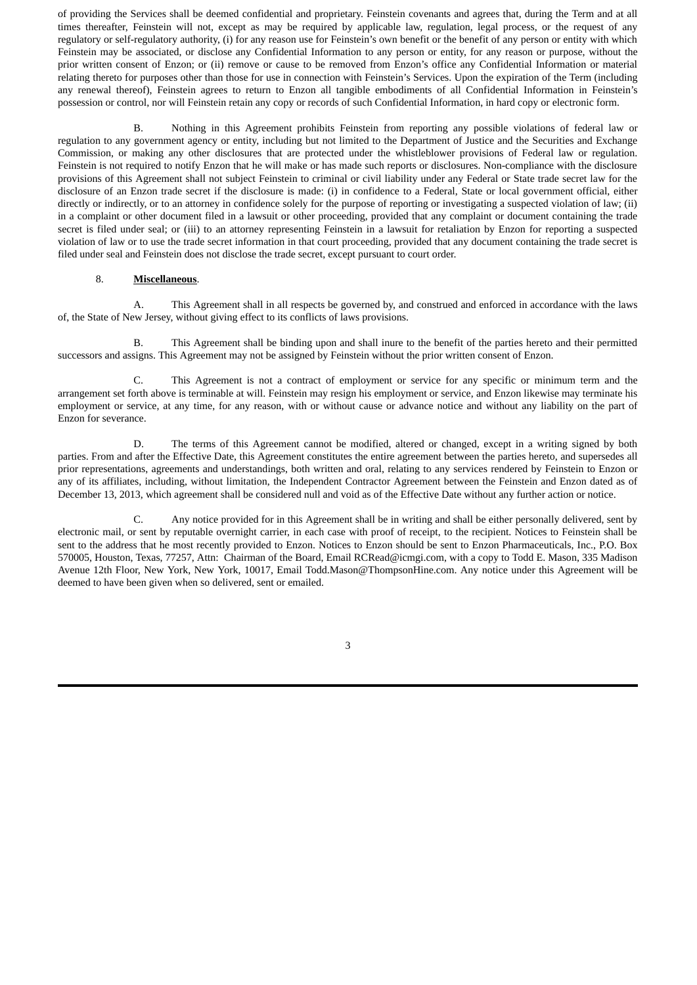of providing the Services shall be deemed confidential and proprietary. Feinstein covenants and agrees that, during the Term and at all times thereafter, Feinstein will not, except as may be required by applicable law, regulation, legal process, or the request of any regulatory or self-regulatory authority, (i) for any reason use for Feinstein's own benefit or the benefit of any person or entity with which Feinstein may be associated, or disclose any Confidential Information to any person or entity, for any reason or purpose, without the prior written consent of Enzon; or (ii) remove or cause to be removed from Enzon's office any Confidential Information or material relating thereto for purposes other than those for use in connection with Feinstein's Services. Upon the expiration of the Term (including any renewal thereof), Feinstein agrees to return to Enzon all tangible embodiments of all Confidential Information in Feinstein's possession or control, nor will Feinstein retain any copy or records of such Confidential Information, in hard copy or electronic form.

B. Nothing in this Agreement prohibits Feinstein from reporting any possible violations of federal law or regulation to any government agency or entity, including but not limited to the Department of Justice and the Securities and Exchange Commission, or making any other disclosures that are protected under the whistleblower provisions of Federal law or regulation. Feinstein is not required to notify Enzon that he will make or has made such reports or disclosures. Non-compliance with the disclosure provisions of this Agreement shall not subject Feinstein to criminal or civil liability under any Federal or State trade secret law for the disclosure of an Enzon trade secret if the disclosure is made: (i) in confidence to a Federal, State or local government official, either directly or indirectly, or to an attorney in confidence solely for the purpose of reporting or investigating a suspected violation of law; (ii) in a complaint or other document filed in a lawsuit or other proceeding, provided that any complaint or document containing the trade secret is filed under seal; or (iii) to an attorney representing Feinstein in a lawsuit for retaliation by Enzon for reporting a suspected violation of law or to use the trade secret information in that court proceeding, provided that any document containing the trade secret is filed under seal and Feinstein does not disclose the trade secret, except pursuant to court order.

## 8. **Miscellaneous**.

A. This Agreement shall in all respects be governed by, and construed and enforced in accordance with the laws of, the State of New Jersey, without giving effect to its conflicts of laws provisions.

B. This Agreement shall be binding upon and shall inure to the benefit of the parties hereto and their permitted successors and assigns. This Agreement may not be assigned by Feinstein without the prior written consent of Enzon.

C. This Agreement is not a contract of employment or service for any specific or minimum term and the arrangement set forth above is terminable at will. Feinstein may resign his employment or service, and Enzon likewise may terminate his employment or service, at any time, for any reason, with or without cause or advance notice and without any liability on the part of Enzon for severance.

D. The terms of this Agreement cannot be modified, altered or changed, except in a writing signed by both parties. From and after the Effective Date, this Agreement constitutes the entire agreement between the parties hereto, and supersedes all prior representations, agreements and understandings, both written and oral, relating to any services rendered by Feinstein to Enzon or any of its affiliates, including, without limitation, the Independent Contractor Agreement between the Feinstein and Enzon dated as of December 13, 2013, which agreement shall be considered null and void as of the Effective Date without any further action or notice.

C. Any notice provided for in this Agreement shall be in writing and shall be either personally delivered, sent by electronic mail, or sent by reputable overnight carrier, in each case with proof of receipt, to the recipient. Notices to Feinstein shall be sent to the address that he most recently provided to Enzon. Notices to Enzon should be sent to Enzon Pharmaceuticals, Inc., P.O. Box 570005, Houston, Texas, 77257, Attn: Chairman of the Board, Email RCRead@icmgi.com, with a copy to Todd E. Mason, 335 Madison Avenue 12th Floor, New York, New York, 10017, Email Todd.Mason@ThompsonHine.com. Any notice under this Agreement will be deemed to have been given when so delivered, sent or emailed.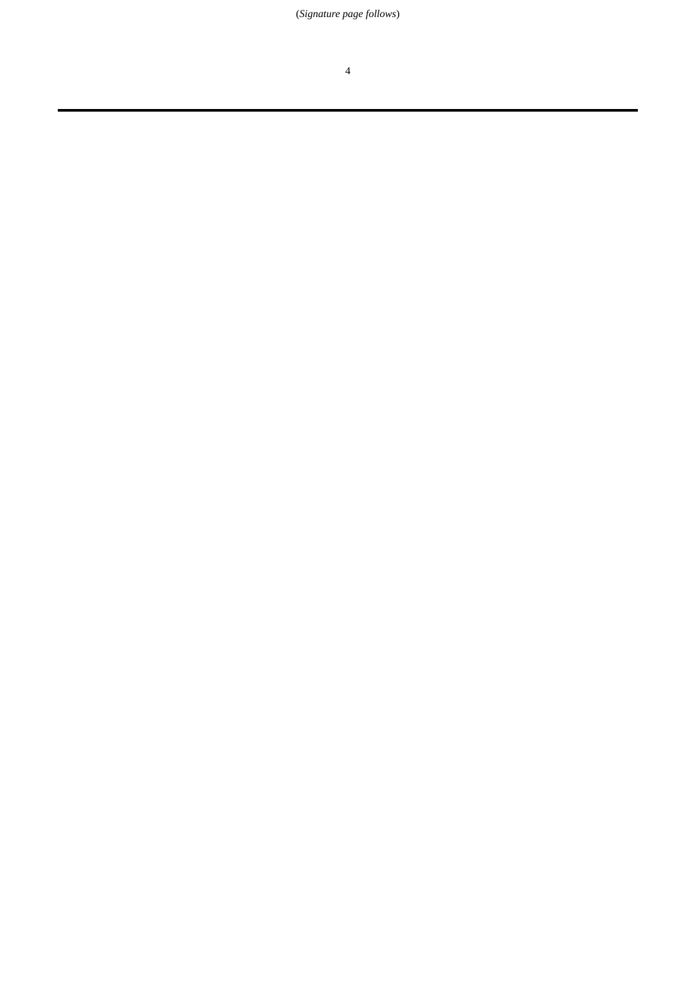(*Signature page follows*)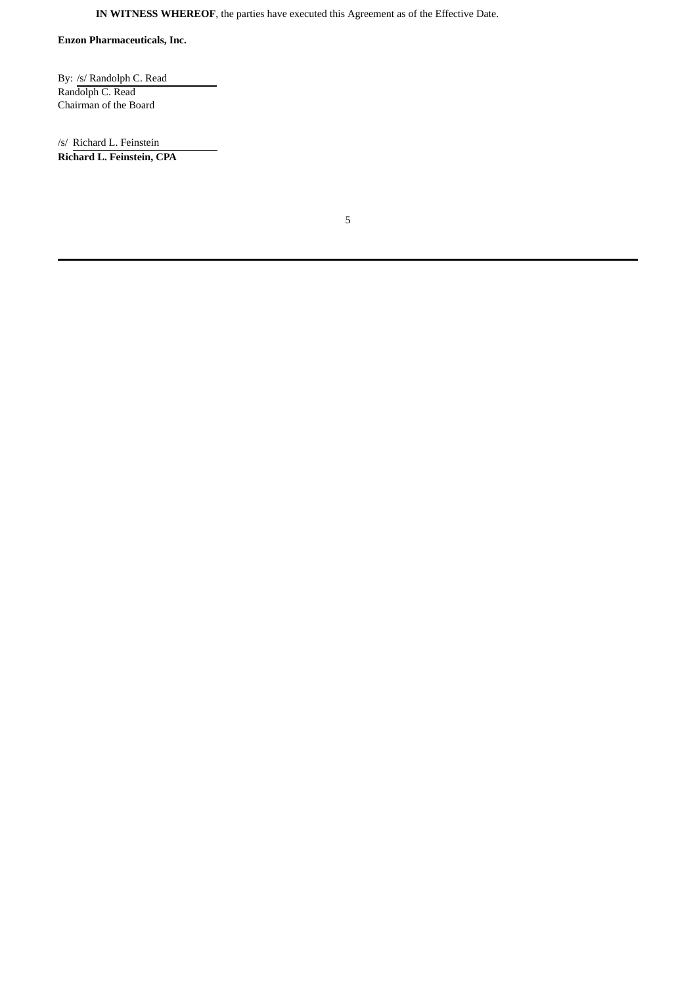**IN WITNESS WHEREOF**, the parties have executed this Agreement as of the Effective Date.

**Enzon Pharmaceuticals, Inc.**

By: /s/ Randolph C. Read Randolph C. Read Chairman of the Board

/s/ Richard L. Feinstein **Richard L. Feinstein, CPA**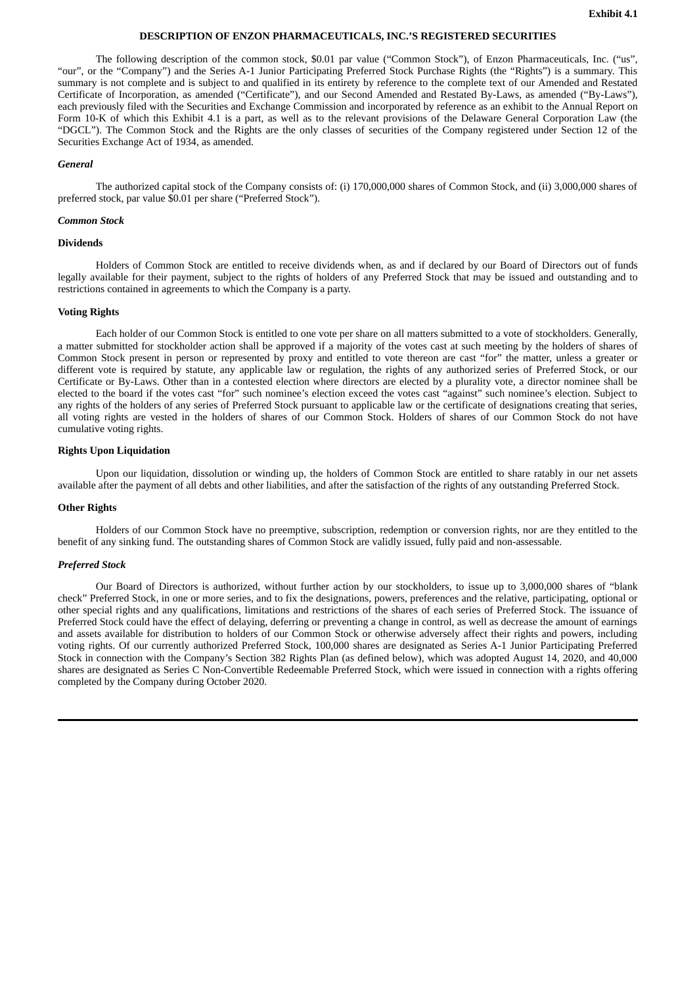### **DESCRIPTION OF ENZON PHARMACEUTICALS, INC.'S REGISTERED SECURITIES**

<span id="page-44-0"></span>The following description of the common stock, \$0.01 par value ("Common Stock"), of Enzon Pharmaceuticals, Inc. ("us", "our", or the "Company") and the Series A-1 Junior Participating Preferred Stock Purchase Rights (the "Rights") is a summary. This summary is not complete and is subject to and qualified in its entirety by reference to the complete text of our Amended and Restated Certificate of Incorporation, as amended ("Certificate"), and our Second Amended and Restated By-Laws, as amended ("By-Laws"), each previously filed with the Securities and Exchange Commission and incorporated by reference as an exhibit to the Annual Report on Form 10-K of which this Exhibit 4.1 is a part, as well as to the relevant provisions of the Delaware General Corporation Law (the "DGCL"). The Common Stock and the Rights are the only classes of securities of the Company registered under Section 12 of the Securities Exchange Act of 1934, as amended.

### *General*

The authorized capital stock of the Company consists of: (i) 170,000,000 shares of Common Stock, and (ii) 3,000,000 shares of preferred stock, par value \$0.01 per share ("Preferred Stock").

### *Common Stock*

### **Dividends**

Holders of Common Stock are entitled to receive dividends when, as and if declared by our Board of Directors out of funds legally available for their payment, subject to the rights of holders of any Preferred Stock that may be issued and outstanding and to restrictions contained in agreements to which the Company is a party.

### **Voting Rights**

Each holder of our Common Stock is entitled to one vote per share on all matters submitted to a vote of stockholders. Generally, a matter submitted for stockholder action shall be approved if a majority of the votes cast at such meeting by the holders of shares of Common Stock present in person or represented by proxy and entitled to vote thereon are cast "for" the matter, unless a greater or different vote is required by statute, any applicable law or regulation, the rights of any authorized series of Preferred Stock, or our Certificate or By-Laws. Other than in a contested election where directors are elected by a plurality vote, a director nominee shall be elected to the board if the votes cast "for" such nominee's election exceed the votes cast "against" such nominee's election. Subject to any rights of the holders of any series of Preferred Stock pursuant to applicable law or the certificate of designations creating that series, all voting rights are vested in the holders of shares of our Common Stock. Holders of shares of our Common Stock do not have cumulative voting rights.

#### **Rights Upon Liquidation**

Upon our liquidation, dissolution or winding up, the holders of Common Stock are entitled to share ratably in our net assets available after the payment of all debts and other liabilities, and after the satisfaction of the rights of any outstanding Preferred Stock.

#### **Other Rights**

Holders of our Common Stock have no preemptive, subscription, redemption or conversion rights, nor are they entitled to the benefit of any sinking fund. The outstanding shares of Common Stock are validly issued, fully paid and non-assessable.

#### *Preferred Stock*

Our Board of Directors is authorized, without further action by our stockholders, to issue up to 3,000,000 shares of "blank check" Preferred Stock, in one or more series, and to fix the designations, powers, preferences and the relative, participating, optional or other special rights and any qualifications, limitations and restrictions of the shares of each series of Preferred Stock. The issuance of Preferred Stock could have the effect of delaying, deferring or preventing a change in control, as well as decrease the amount of earnings and assets available for distribution to holders of our Common Stock or otherwise adversely affect their rights and powers, including voting rights. Of our currently authorized Preferred Stock, 100,000 shares are designated as Series A-1 Junior Participating Preferred Stock in connection with the Company's Section 382 Rights Plan (as defined below), which was adopted August 14, 2020, and 40,000 shares are designated as Series C Non-Convertible Redeemable Preferred Stock, which were issued in connection with a rights offering completed by the Company during October 2020.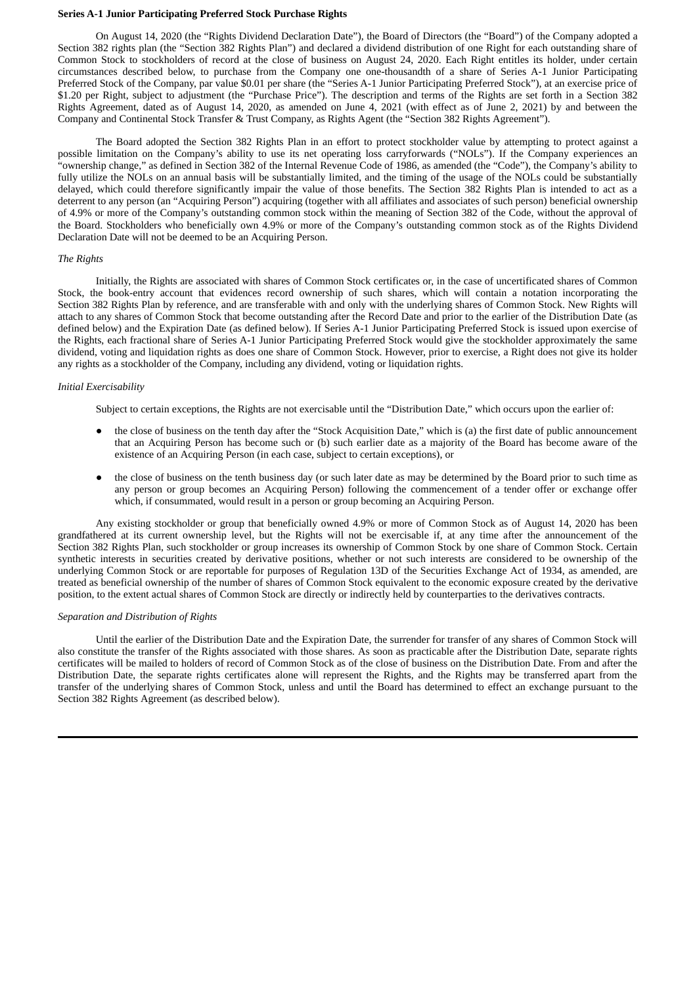#### **Series A-1 Junior Participating Preferred Stock Purchase Rights**

On August 14, 2020 (the "Rights Dividend Declaration Date"), the Board of Directors (the "Board") of the Company adopted a Section 382 rights plan (the "Section 382 Rights Plan") and declared a dividend distribution of one Right for each outstanding share of Common Stock to stockholders of record at the close of business on August 24, 2020. Each Right entitles its holder, under certain circumstances described below, to purchase from the Company one one-thousandth of a share of Series A-1 Junior Participating Preferred Stock of the Company, par value \$0.01 per share (the "Series A-1 Junior Participating Preferred Stock"), at an exercise price of \$1.20 per Right, subject to adjustment (the "Purchase Price"). The description and terms of the Rights are set forth in a Section 382 Rights Agreement, dated as of August 14, 2020, as amended on June 4, 2021 (with effect as of June 2, 2021) by and between the Company and Continental Stock Transfer & Trust Company, as Rights Agent (the "Section 382 Rights Agreement").

The Board adopted the Section 382 Rights Plan in an effort to protect stockholder value by attempting to protect against a possible limitation on the Company's ability to use its net operating loss carryforwards ("NOLs"). If the Company experiences an "ownership change," as defined in Section 382 of the Internal Revenue Code of 1986, as amended (the "Code"), the Company's ability to fully utilize the NOLs on an annual basis will be substantially limited, and the timing of the usage of the NOLs could be substantially delayed, which could therefore significantly impair the value of those benefits. The Section 382 Rights Plan is intended to act as a deterrent to any person (an "Acquiring Person") acquiring (together with all affiliates and associates of such person) beneficial ownership of 4.9% or more of the Company's outstanding common stock within the meaning of Section 382 of the Code, without the approval of the Board. Stockholders who beneficially own 4.9% or more of the Company's outstanding common stock as of the Rights Dividend Declaration Date will not be deemed to be an Acquiring Person.

#### *The Rights*

Initially, the Rights are associated with shares of Common Stock certificates or, in the case of uncertificated shares of Common Stock, the book-entry account that evidences record ownership of such shares, which will contain a notation incorporating the Section 382 Rights Plan by reference, and are transferable with and only with the underlying shares of Common Stock. New Rights will attach to any shares of Common Stock that become outstanding after the Record Date and prior to the earlier of the Distribution Date (as defined below) and the Expiration Date (as defined below). If Series A-1 Junior Participating Preferred Stock is issued upon exercise of the Rights, each fractional share of Series A-1 Junior Participating Preferred Stock would give the stockholder approximately the same dividend, voting and liquidation rights as does one share of Common Stock. However, prior to exercise, a Right does not give its holder any rights as a stockholder of the Company, including any dividend, voting or liquidation rights.

#### *Initial Exercisability*

Subject to certain exceptions, the Rights are not exercisable until the "Distribution Date," which occurs upon the earlier of:

- the close of business on the tenth day after the "Stock Acquisition Date," which is (a) the first date of public announcement that an Acquiring Person has become such or (b) such earlier date as a majority of the Board has become aware of the existence of an Acquiring Person (in each case, subject to certain exceptions), or
- the close of business on the tenth business day (or such later date as may be determined by the Board prior to such time as any person or group becomes an Acquiring Person) following the commencement of a tender offer or exchange offer which, if consummated, would result in a person or group becoming an Acquiring Person.

Any existing stockholder or group that beneficially owned 4.9% or more of Common Stock as of August 14, 2020 has been grandfathered at its current ownership level, but the Rights will not be exercisable if, at any time after the announcement of the Section 382 Rights Plan, such stockholder or group increases its ownership of Common Stock by one share of Common Stock. Certain synthetic interests in securities created by derivative positions, whether or not such interests are considered to be ownership of the underlying Common Stock or are reportable for purposes of Regulation 13D of the Securities Exchange Act of 1934, as amended, are treated as beneficial ownership of the number of shares of Common Stock equivalent to the economic exposure created by the derivative position, to the extent actual shares of Common Stock are directly or indirectly held by counterparties to the derivatives contracts.

#### *Separation and Distribution of Rights*

Until the earlier of the Distribution Date and the Expiration Date, the surrender for transfer of any shares of Common Stock will also constitute the transfer of the Rights associated with those shares. As soon as practicable after the Distribution Date, separate rights certificates will be mailed to holders of record of Common Stock as of the close of business on the Distribution Date. From and after the Distribution Date, the separate rights certificates alone will represent the Rights, and the Rights may be transferred apart from the transfer of the underlying shares of Common Stock, unless and until the Board has determined to effect an exchange pursuant to the Section 382 Rights Agreement (as described below).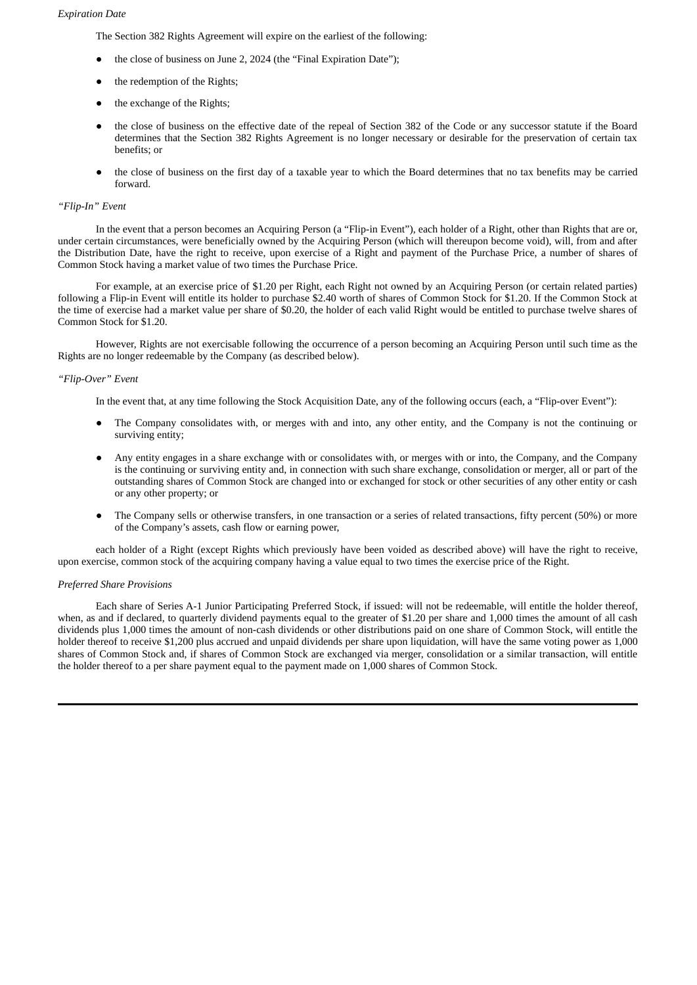#### *Expiration Date*

The Section 382 Rights Agreement will expire on the earliest of the following:

- the close of business on June 2, 2024 (the "Final Expiration Date");
- the redemption of the Rights;
- the exchange of the Rights;
- the close of business on the effective date of the repeal of Section 382 of the Code or any successor statute if the Board determines that the Section 382 Rights Agreement is no longer necessary or desirable for the preservation of certain tax benefits; or
- the close of business on the first day of a taxable year to which the Board determines that no tax benefits may be carried forward.

#### *"Flip-In" Event*

In the event that a person becomes an Acquiring Person (a "Flip-in Event"), each holder of a Right, other than Rights that are or, under certain circumstances, were beneficially owned by the Acquiring Person (which will thereupon become void), will, from and after the Distribution Date, have the right to receive, upon exercise of a Right and payment of the Purchase Price, a number of shares of Common Stock having a market value of two times the Purchase Price.

For example, at an exercise price of \$1.20 per Right, each Right not owned by an Acquiring Person (or certain related parties) following a Flip-in Event will entitle its holder to purchase \$2.40 worth of shares of Common Stock for \$1.20. If the Common Stock at the time of exercise had a market value per share of \$0.20, the holder of each valid Right would be entitled to purchase twelve shares of Common Stock for \$1.20.

However, Rights are not exercisable following the occurrence of a person becoming an Acquiring Person until such time as the Rights are no longer redeemable by the Company (as described below).

### *"Flip-Over" Event*

In the event that, at any time following the Stock Acquisition Date, any of the following occurs (each, a "Flip-over Event"):

- The Company consolidates with, or merges with and into, any other entity, and the Company is not the continuing or surviving entity;
- Any entity engages in a share exchange with or consolidates with, or merges with or into, the Company, and the Company is the continuing or surviving entity and, in connection with such share exchange, consolidation or merger, all or part of the outstanding shares of Common Stock are changed into or exchanged for stock or other securities of any other entity or cash or any other property; or
- The Company sells or otherwise transfers, in one transaction or a series of related transactions, fifty percent (50%) or more of the Company's assets, cash flow or earning power,

each holder of a Right (except Rights which previously have been voided as described above) will have the right to receive, upon exercise, common stock of the acquiring company having a value equal to two times the exercise price of the Right.

#### *Preferred Share Provisions*

Each share of Series A-1 Junior Participating Preferred Stock, if issued: will not be redeemable, will entitle the holder thereof, when, as and if declared, to quarterly dividend payments equal to the greater of \$1.20 per share and 1,000 times the amount of all cash dividends plus 1,000 times the amount of non-cash dividends or other distributions paid on one share of Common Stock, will entitle the holder thereof to receive \$1,200 plus accrued and unpaid dividends per share upon liquidation, will have the same voting power as 1,000 shares of Common Stock and, if shares of Common Stock are exchanged via merger, consolidation or a similar transaction, will entitle the holder thereof to a per share payment equal to the payment made on 1,000 shares of Common Stock.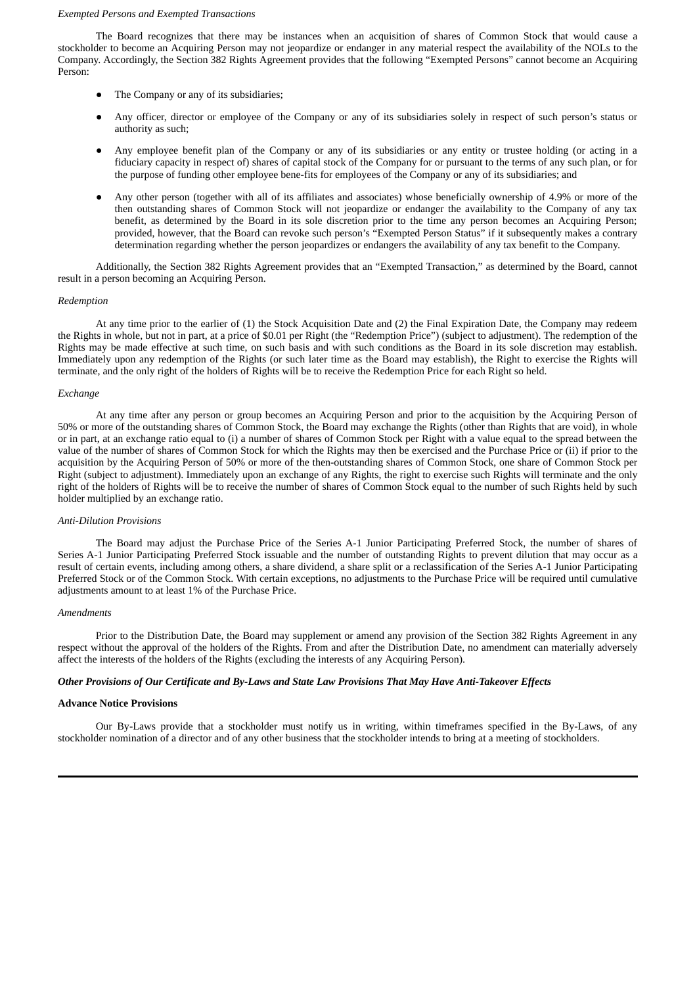#### *Exempted Persons and Exempted Transactions*

The Board recognizes that there may be instances when an acquisition of shares of Common Stock that would cause a stockholder to become an Acquiring Person may not jeopardize or endanger in any material respect the availability of the NOLs to the Company. Accordingly, the Section 382 Rights Agreement provides that the following "Exempted Persons" cannot become an Acquiring Person:

- The Company or any of its subsidiaries;
- Any officer, director or employee of the Company or any of its subsidiaries solely in respect of such person's status or authority as such;
- Any employee benefit plan of the Company or any of its subsidiaries or any entity or trustee holding (or acting in a fiduciary capacity in respect of) shares of capital stock of the Company for or pursuant to the terms of any such plan, or for the purpose of funding other employee bene-fits for employees of the Company or any of its subsidiaries; and
- Any other person (together with all of its affiliates and associates) whose beneficially ownership of 4.9% or more of the then outstanding shares of Common Stock will not jeopardize or endanger the availability to the Company of any tax benefit, as determined by the Board in its sole discretion prior to the time any person becomes an Acquiring Person; provided, however, that the Board can revoke such person's "Exempted Person Status" if it subsequently makes a contrary determination regarding whether the person jeopardizes or endangers the availability of any tax benefit to the Company.

Additionally, the Section 382 Rights Agreement provides that an "Exempted Transaction," as determined by the Board, cannot result in a person becoming an Acquiring Person.

#### *Redemption*

At any time prior to the earlier of (1) the Stock Acquisition Date and (2) the Final Expiration Date, the Company may redeem the Rights in whole, but not in part, at a price of \$0.01 per Right (the "Redemption Price") (subject to adjustment). The redemption of the Rights may be made effective at such time, on such basis and with such conditions as the Board in its sole discretion may establish. Immediately upon any redemption of the Rights (or such later time as the Board may establish), the Right to exercise the Rights will terminate, and the only right of the holders of Rights will be to receive the Redemption Price for each Right so held.

#### *Exchange*

At any time after any person or group becomes an Acquiring Person and prior to the acquisition by the Acquiring Person of 50% or more of the outstanding shares of Common Stock, the Board may exchange the Rights (other than Rights that are void), in whole or in part, at an exchange ratio equal to (i) a number of shares of Common Stock per Right with a value equal to the spread between the value of the number of shares of Common Stock for which the Rights may then be exercised and the Purchase Price or (ii) if prior to the acquisition by the Acquiring Person of 50% or more of the then-outstanding shares of Common Stock, one share of Common Stock per Right (subject to adjustment). Immediately upon an exchange of any Rights, the right to exercise such Rights will terminate and the only right of the holders of Rights will be to receive the number of shares of Common Stock equal to the number of such Rights held by such holder multiplied by an exchange ratio.

#### *Anti-Dilution Provisions*

The Board may adjust the Purchase Price of the Series A-1 Junior Participating Preferred Stock, the number of shares of Series A-1 Junior Participating Preferred Stock issuable and the number of outstanding Rights to prevent dilution that may occur as a result of certain events, including among others, a share dividend, a share split or a reclassification of the Series A-1 Junior Participating Preferred Stock or of the Common Stock. With certain exceptions, no adjustments to the Purchase Price will be required until cumulative adjustments amount to at least 1% of the Purchase Price.

#### *Amendments*

Prior to the Distribution Date, the Board may supplement or amend any provision of the Section 382 Rights Agreement in any respect without the approval of the holders of the Rights. From and after the Distribution Date, no amendment can materially adversely affect the interests of the holders of the Rights (excluding the interests of any Acquiring Person).

#### *Other Provisions of Our Certificate and By-Laws and State Law Provisions That May Have Anti-Takeover Effects*

#### **Advance Notice Provisions**

Our By-Laws provide that a stockholder must notify us in writing, within timeframes specified in the By-Laws, of any stockholder nomination of a director and of any other business that the stockholder intends to bring at a meeting of stockholders.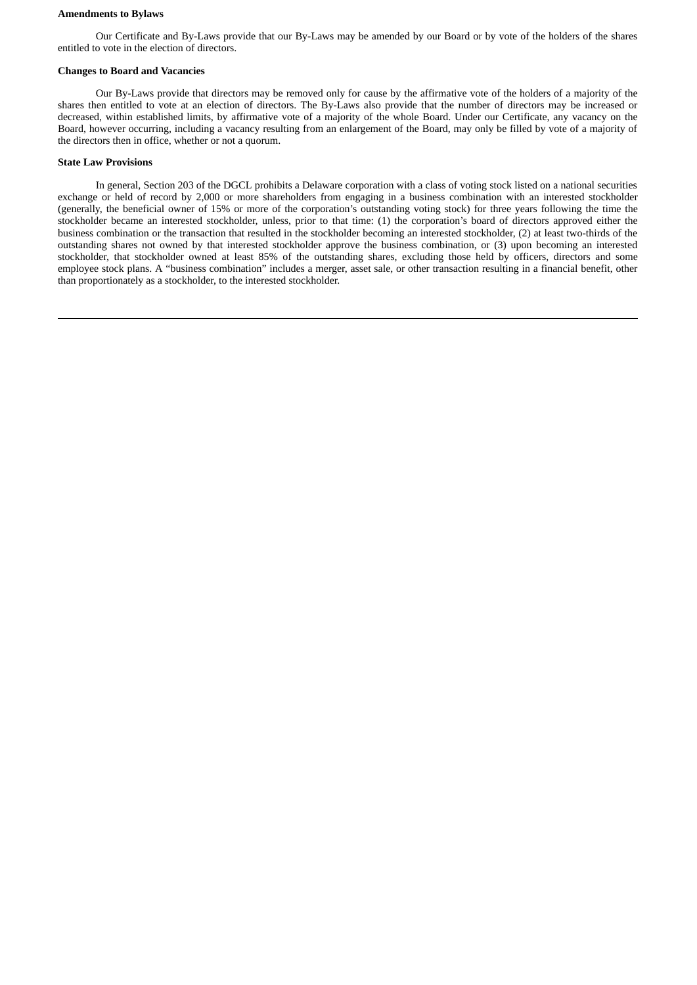#### **Amendments to Bylaws**

Our Certificate and By-Laws provide that our By-Laws may be amended by our Board or by vote of the holders of the shares entitled to vote in the election of directors.

### **Changes to Board and Vacancies**

Our By-Laws provide that directors may be removed only for cause by the affirmative vote of the holders of a majority of the shares then entitled to vote at an election of directors. The By-Laws also provide that the number of directors may be increased or decreased, within established limits, by affirmative vote of a majority of the whole Board. Under our Certificate, any vacancy on the Board, however occurring, including a vacancy resulting from an enlargement of the Board, may only be filled by vote of a majority of the directors then in office, whether or not a quorum.

#### **State Law Provisions**

In general, Section 203 of the DGCL prohibits a Delaware corporation with a class of voting stock listed on a national securities exchange or held of record by 2,000 or more shareholders from engaging in a business combination with an interested stockholder (generally, the beneficial owner of 15% or more of the corporation's outstanding voting stock) for three years following the time the stockholder became an interested stockholder, unless, prior to that time: (1) the corporation's board of directors approved either the business combination or the transaction that resulted in the stockholder becoming an interested stockholder, (2) at least two-thirds of the outstanding shares not owned by that interested stockholder approve the business combination, or (3) upon becoming an interested stockholder, that stockholder owned at least 85% of the outstanding shares, excluding those held by officers, directors and some employee stock plans. A "business combination" includes a merger, asset sale, or other transaction resulting in a financial benefit, other than proportionately as a stockholder, to the interested stockholder.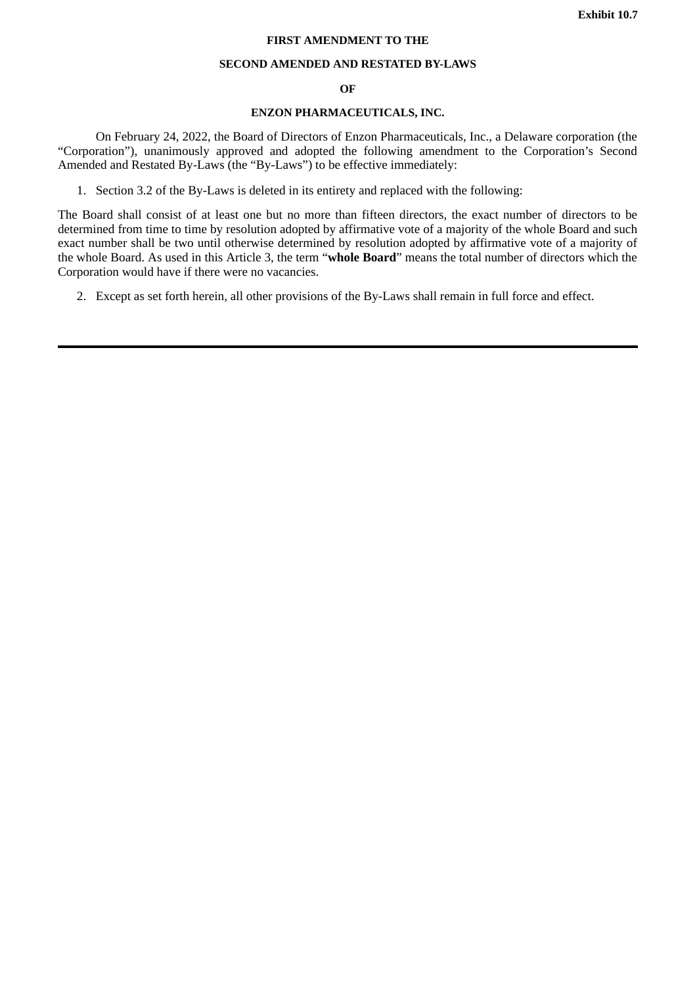## **FIRST AMENDMENT TO THE**

# **SECOND AMENDED AND RESTATED BY-LAWS**

## **OF**

# **ENZON PHARMACEUTICALS, INC.**

<span id="page-49-0"></span>On February 24, 2022, the Board of Directors of Enzon Pharmaceuticals, Inc., a Delaware corporation (the "Corporation"), unanimously approved and adopted the following amendment to the Corporation's Second Amended and Restated By-Laws (the "By-Laws") to be effective immediately:

1. Section 3.2 of the By-Laws is deleted in its entirety and replaced with the following:

The Board shall consist of at least one but no more than fifteen directors, the exact number of directors to be determined from time to time by resolution adopted by affirmative vote of a majority of the whole Board and such exact number shall be two until otherwise determined by resolution adopted by affirmative vote of a majority of the whole Board. As used in this Article 3, the term "**whole Board**" means the total number of directors which the Corporation would have if there were no vacancies.

2. Except as set forth herein, all other provisions of the By-Laws shall remain in full force and effect.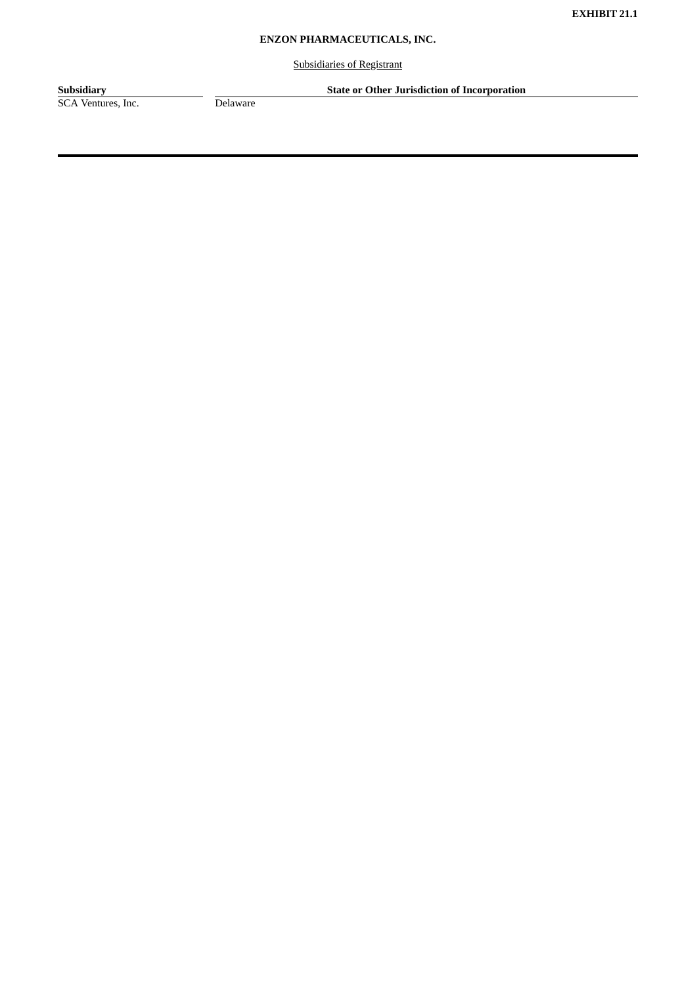# **ENZON PHARMACEUTICALS, INC.**

Subsidiaries of Registrant

SCA Ventures, Inc.

<span id="page-50-0"></span>**Subsidiary State or Other Jurisdiction of Incorporation**<br> **SCA** Ventures, Inc. Delaware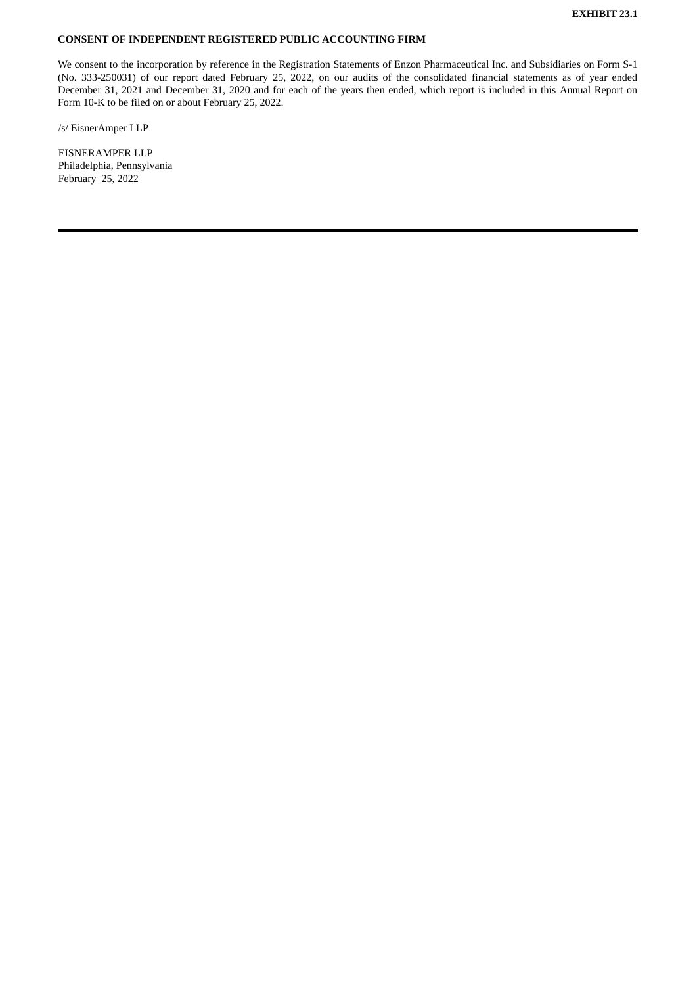## <span id="page-51-0"></span>**CONSENT OF INDEPENDENT REGISTERED PUBLIC ACCOUNTING FIRM**

We consent to the incorporation by reference in the Registration Statements of Enzon Pharmaceutical Inc. and Subsidiaries on Form S-1 (No. 333-250031) of our report dated February 25, 2022, on our audits of the consolidated financial statements as of year ended December 31, 2021 and December 31, 2020 and for each of the years then ended, which report is included in this Annual Report on Form 10-K to be filed on or about February 25, 2022.

/s/ EisnerAmper LLP

EISNERAMPER LLP Philadelphia, Pennsylvania February 25, 2022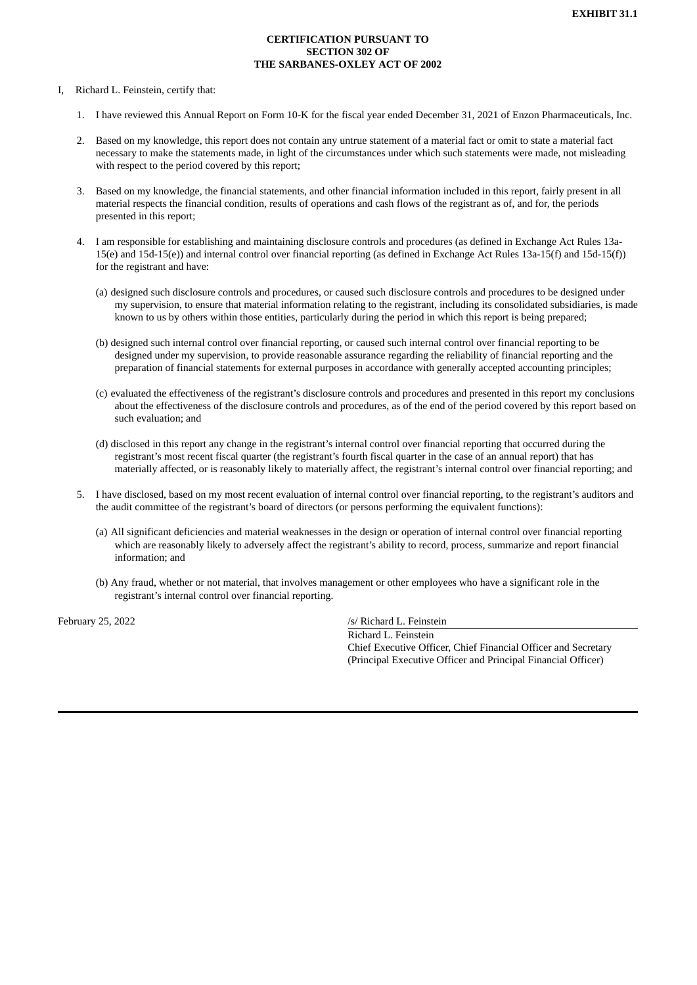## **CERTIFICATION PURSUANT TO SECTION 302 OF THE SARBANES-OXLEY ACT OF 2002**

- <span id="page-52-0"></span>I, Richard L. Feinstein, certify that:
	- 1. I have reviewed this Annual Report on Form 10-K for the fiscal year ended December 31, 2021 of Enzon Pharmaceuticals, Inc.
	- 2. Based on my knowledge, this report does not contain any untrue statement of a material fact or omit to state a material fact necessary to make the statements made, in light of the circumstances under which such statements were made, not misleading with respect to the period covered by this report;
	- 3. Based on my knowledge, the financial statements, and other financial information included in this report, fairly present in all material respects the financial condition, results of operations and cash flows of the registrant as of, and for, the periods presented in this report;
	- 4. I am responsible for establishing and maintaining disclosure controls and procedures (as defined in Exchange Act Rules 13a-15(e) and 15d-15(e)) and internal control over financial reporting (as defined in Exchange Act Rules 13a-15(f) and 15d-15(f)) for the registrant and have:
		- (a) designed such disclosure controls and procedures, or caused such disclosure controls and procedures to be designed under my supervision, to ensure that material information relating to the registrant, including its consolidated subsidiaries, is made known to us by others within those entities, particularly during the period in which this report is being prepared;
		- (b) designed such internal control over financial reporting, or caused such internal control over financial reporting to be designed under my supervision, to provide reasonable assurance regarding the reliability of financial reporting and the preparation of financial statements for external purposes in accordance with generally accepted accounting principles;
		- (c) evaluated the effectiveness of the registrant's disclosure controls and procedures and presented in this report my conclusions about the effectiveness of the disclosure controls and procedures, as of the end of the period covered by this report based on such evaluation; and
		- (d) disclosed in this report any change in the registrant's internal control over financial reporting that occurred during the registrant's most recent fiscal quarter (the registrant's fourth fiscal quarter in the case of an annual report) that has materially affected, or is reasonably likely to materially affect, the registrant's internal control over financial reporting; and
	- 5. I have disclosed, based on my most recent evaluation of internal control over financial reporting, to the registrant's auditors and the audit committee of the registrant's board of directors (or persons performing the equivalent functions):
		- (a) All significant deficiencies and material weaknesses in the design or operation of internal control over financial reporting which are reasonably likely to adversely affect the registrant's ability to record, process, summarize and report financial information; and
		- (b) Any fraud, whether or not material, that involves management or other employees who have a significant role in the registrant's internal control over financial reporting.

February 25, 2022 /s/ Richard L. Feinstein

Richard L. Feinstein Chief Executive Officer, Chief Financial Officer and Secretary (Principal Executive Officer and Principal Financial Officer)